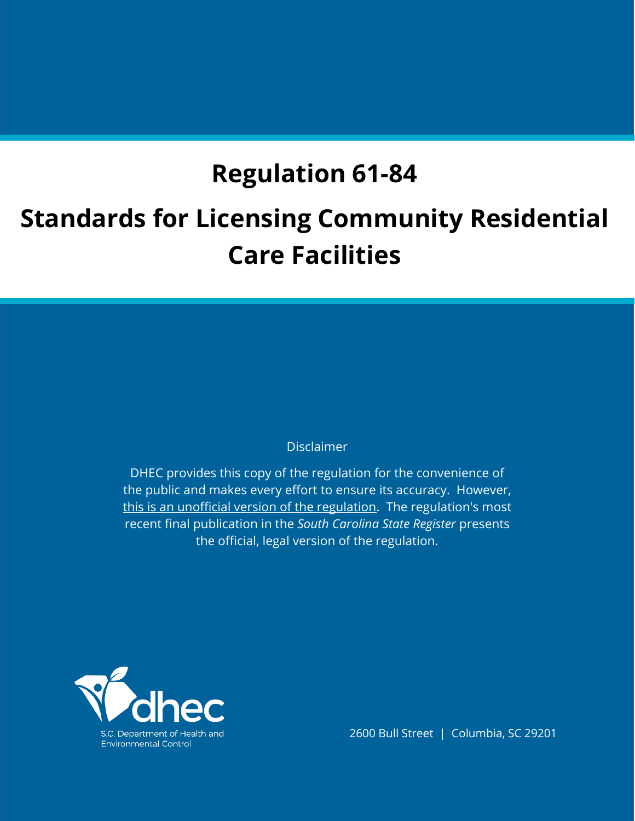# **Regulation 61-84**

# **Standards for Licensing Community Residential Care Facilities**

# Disclaimer

DHEC provides this copy of the regulation for the convenience of the public and makes every effort to ensure its accuracy. However, this is an unofficial version of the regulation. The regulation's most recent final publication in the *South Carolina State Register* presents the official, legal version of the regulation.



2600 Bull Street | Columbia, SC 29201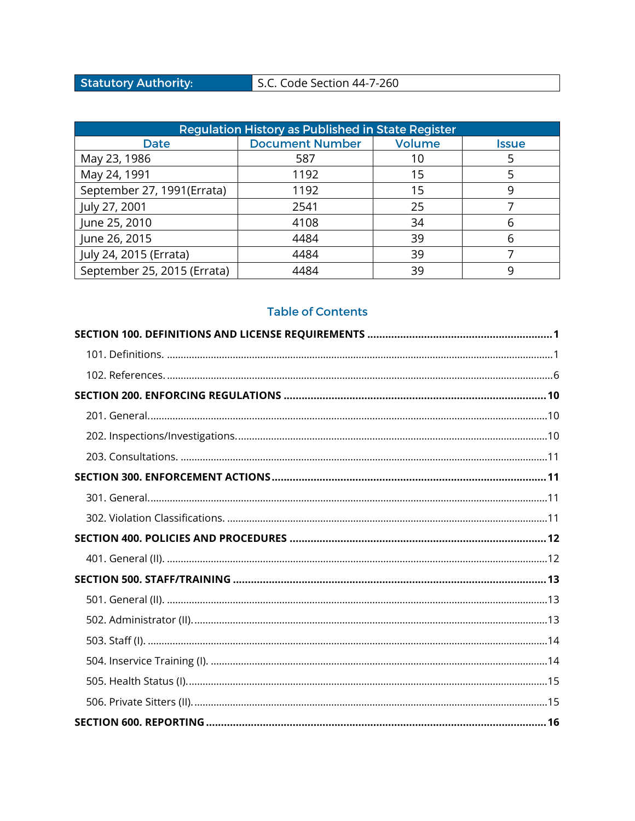# **Statutory Authority:**

# S.C. Code Section 44-7-260

| <b>Regulation History as Published in State Register</b> |                                         |    |              |  |
|----------------------------------------------------------|-----------------------------------------|----|--------------|--|
| Date                                                     | <b>Document Number</b><br><b>Volume</b> |    | <b>Issue</b> |  |
| May 23, 1986                                             | 587                                     | 10 |              |  |
| May 24, 1991<br>1192                                     |                                         | 15 |              |  |
| September 27, 1991(Errata)                               | 1192                                    | 15 | 9            |  |
| July 27, 2001                                            | 2541                                    | 25 |              |  |
| June 25, 2010<br>4108                                    |                                         | 34 | ჩ            |  |
| June 26, 2015                                            | 4484                                    | 39 | h            |  |
| July 24, 2015 (Errata)                                   | 4484                                    | 39 |              |  |
| September 25, 2015 (Errata)                              | 4484                                    | 39 | q            |  |

# **Table of Contents**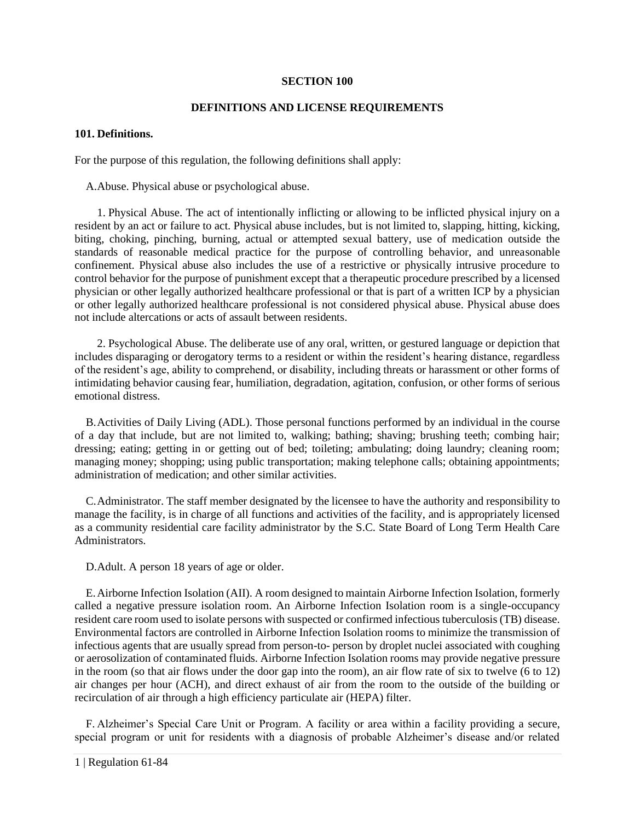#### **SECTION 100**

# **DEFINITIONS AND LICENSE REQUIREMENTS**

# <span id="page-6-1"></span><span id="page-6-0"></span>**101. Definitions.**

For the purpose of this regulation, the following definitions shall apply:

A.Abuse. Physical abuse or psychological abuse.

1. Physical Abuse. The act of intentionally inflicting or allowing to be inflicted physical injury on a resident by an act or failure to act. Physical abuse includes, but is not limited to, slapping, hitting, kicking, biting, choking, pinching, burning, actual or attempted sexual battery, use of medication outside the standards of reasonable medical practice for the purpose of controlling behavior, and unreasonable confinement. Physical abuse also includes the use of a restrictive or physically intrusive procedure to control behavior for the purpose of punishment except that a therapeutic procedure prescribed by a licensed physician or other legally authorized healthcare professional or that is part of a written ICP by a physician or other legally authorized healthcare professional is not considered physical abuse. Physical abuse does not include altercations or acts of assault between residents.

2. Psychological Abuse. The deliberate use of any oral, written, or gestured language or depiction that includes disparaging or derogatory terms to a resident or within the resident's hearing distance, regardless of the resident's age, ability to comprehend, or disability, including threats or harassment or other forms of intimidating behavior causing fear, humiliation, degradation, agitation, confusion, or other forms of serious emotional distress.

B.Activities of Daily Living (ADL). Those personal functions performed by an individual in the course of a day that include, but are not limited to, walking; bathing; shaving; brushing teeth; combing hair; dressing; eating; getting in or getting out of bed; toileting; ambulating; doing laundry; cleaning room; managing money; shopping; using public transportation; making telephone calls; obtaining appointments; administration of medication; and other similar activities.

C.Administrator. The staff member designated by the licensee to have the authority and responsibility to manage the facility, is in charge of all functions and activities of the facility, and is appropriately licensed as a community residential care facility administrator by the S.C. State Board of Long Term Health Care Administrators.

D.Adult. A person 18 years of age or older.

E.Airborne Infection Isolation (AII). A room designed to maintain Airborne Infection Isolation, formerly called a negative pressure isolation room. An Airborne Infection Isolation room is a single-occupancy resident care room used to isolate persons with suspected or confirmed infectious tuberculosis (TB) disease. Environmental factors are controlled in Airborne Infection Isolation rooms to minimize the transmission of infectious agents that are usually spread from person-to- person by droplet nuclei associated with coughing or aerosolization of contaminated fluids. Airborne Infection Isolation rooms may provide negative pressure in the room (so that air flows under the door gap into the room), an air flow rate of six to twelve (6 to 12) air changes per hour (ACH), and direct exhaust of air from the room to the outside of the building or recirculation of air through a high efficiency particulate air (HEPA) filter.

F. Alzheimer's Special Care Unit or Program. A facility or area within a facility providing a secure, special program or unit for residents with a diagnosis of probable Alzheimer's disease and/or related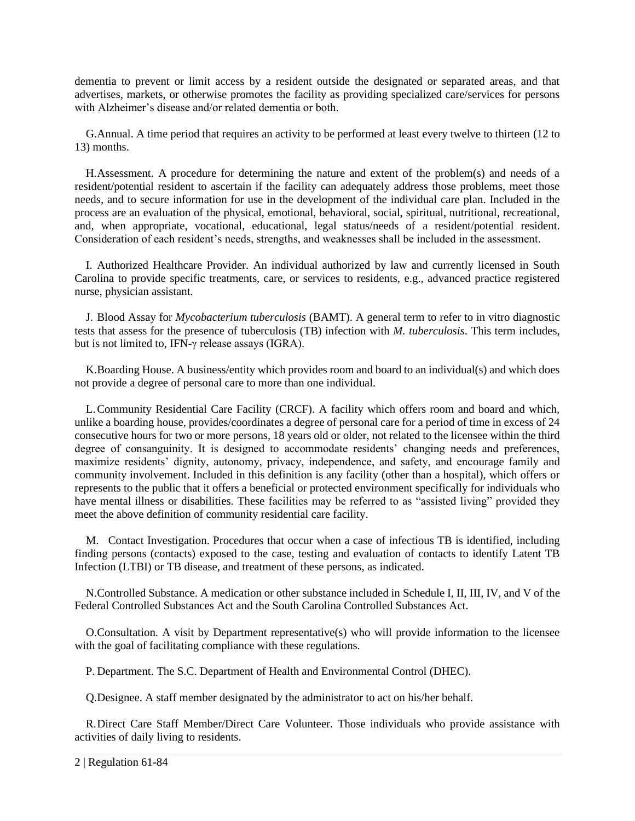dementia to prevent or limit access by a resident outside the designated or separated areas, and that advertises, markets, or otherwise promotes the facility as providing specialized care/services for persons with Alzheimer's disease and/or related dementia or both.

G.Annual. A time period that requires an activity to be performed at least every twelve to thirteen (12 to 13) months.

H.Assessment. A procedure for determining the nature and extent of the problem(s) and needs of a resident/potential resident to ascertain if the facility can adequately address those problems, meet those needs, and to secure information for use in the development of the individual care plan. Included in the process are an evaluation of the physical, emotional, behavioral, social, spiritual, nutritional, recreational, and, when appropriate, vocational, educational, legal status/needs of a resident/potential resident. Consideration of each resident's needs, strengths, and weaknesses shall be included in the assessment.

I. Authorized Healthcare Provider. An individual authorized by law and currently licensed in South Carolina to provide specific treatments, care, or services to residents, e.g., advanced practice registered nurse, physician assistant.

J. Blood Assay for *Mycobacterium tuberculosis* (BAMT). A general term to refer to in vitro diagnostic tests that assess for the presence of tuberculosis (TB) infection with *M. tuberculosis*. This term includes, but is not limited to, IFN-γ release assays (IGRA).

K.Boarding House. A business/entity which provides room and board to an individual(s) and which does not provide a degree of personal care to more than one individual.

L.Community Residential Care Facility (CRCF). A facility which offers room and board and which, unlike a boarding house, provides/coordinates a degree of personal care for a period of time in excess of 24 consecutive hours for two or more persons, 18 years old or older, not related to the licensee within the third degree of consanguinity. It is designed to accommodate residents' changing needs and preferences, maximize residents' dignity, autonomy, privacy, independence, and safety, and encourage family and community involvement. Included in this definition is any facility (other than a hospital), which offers or represents to the public that it offers a beneficial or protected environment specifically for individuals who have mental illness or disabilities. These facilities may be referred to as "assisted living" provided they meet the above definition of community residential care facility.

M. Contact Investigation. Procedures that occur when a case of infectious TB is identified, including finding persons (contacts) exposed to the case, testing and evaluation of contacts to identify Latent TB Infection (LTBI) or TB disease, and treatment of these persons, as indicated.

N.Controlled Substance. A medication or other substance included in Schedule I, II, III, IV, and V of the Federal Controlled Substances Act and the South Carolina Controlled Substances Act.

O.Consultation. A visit by Department representative(s) who will provide information to the licensee with the goal of facilitating compliance with these regulations.

P. Department. The S.C. Department of Health and Environmental Control (DHEC).

Q.Designee. A staff member designated by the administrator to act on his/her behalf.

R.Direct Care Staff Member/Direct Care Volunteer. Those individuals who provide assistance with activities of daily living to residents.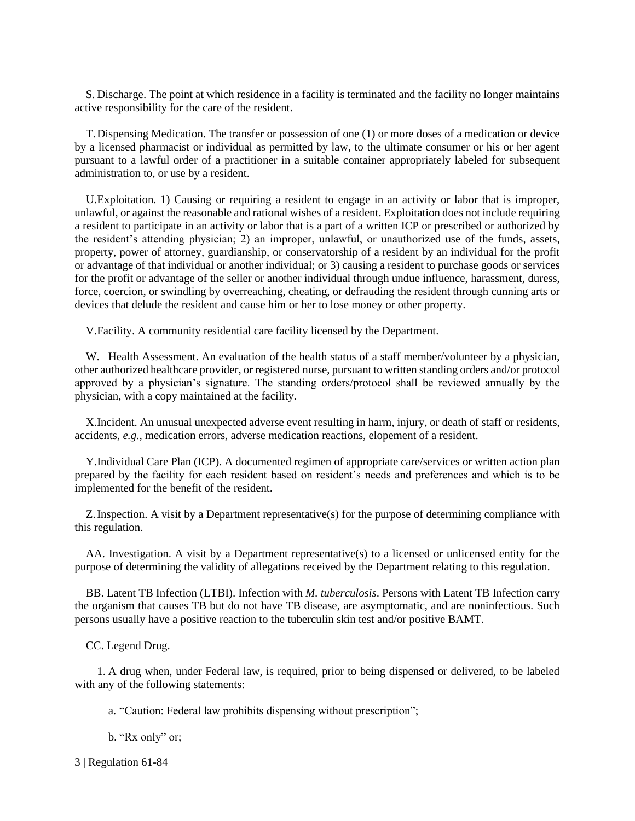S. Discharge. The point at which residence in a facility is terminated and the facility no longer maintains active responsibility for the care of the resident.

T.Dispensing Medication. The transfer or possession of one (1) or more doses of a medication or device by a licensed pharmacist or individual as permitted by law, to the ultimate consumer or his or her agent pursuant to a lawful order of a practitioner in a suitable container appropriately labeled for subsequent administration to, or use by a resident.

U.Exploitation. 1) Causing or requiring a resident to engage in an activity or labor that is improper, unlawful, or against the reasonable and rational wishes of a resident. Exploitation does not include requiring a resident to participate in an activity or labor that is a part of a written ICP or prescribed or authorized by the resident's attending physician; 2) an improper, unlawful, or unauthorized use of the funds, assets, property, power of attorney, guardianship, or conservatorship of a resident by an individual for the profit or advantage of that individual or another individual; or 3) causing a resident to purchase goods or services for the profit or advantage of the seller or another individual through undue influence, harassment, duress, force, coercion, or swindling by overreaching, cheating, or defrauding the resident through cunning arts or devices that delude the resident and cause him or her to lose money or other property.

V.Facility. A community residential care facility licensed by the Department.

W. Health Assessment. An evaluation of the health status of a staff member/volunteer by a physician, other authorized healthcare provider, or registered nurse, pursuant to written standing orders and/or protocol approved by a physician's signature. The standing orders/protocol shall be reviewed annually by the physician, with a copy maintained at the facility.

X.Incident. An unusual unexpected adverse event resulting in harm, injury, or death of staff or residents, accidents, *e.g.*, medication errors, adverse medication reactions, elopement of a resident.

Y.Individual Care Plan (ICP). A documented regimen of appropriate care/services or written action plan prepared by the facility for each resident based on resident's needs and preferences and which is to be implemented for the benefit of the resident.

Z.Inspection. A visit by a Department representative(s) for the purpose of determining compliance with this regulation.

AA. Investigation. A visit by a Department representative(s) to a licensed or unlicensed entity for the purpose of determining the validity of allegations received by the Department relating to this regulation.

BB. Latent TB Infection (LTBI). Infection with *M. tuberculosis*. Persons with Latent TB Infection carry the organism that causes TB but do not have TB disease, are asymptomatic, and are noninfectious. Such persons usually have a positive reaction to the tuberculin skin test and/or positive BAMT.

CC. Legend Drug.

1. A drug when, under Federal law, is required, prior to being dispensed or delivered, to be labeled with any of the following statements:

a. "Caution: Federal law prohibits dispensing without prescription";

b. "Rx only" or;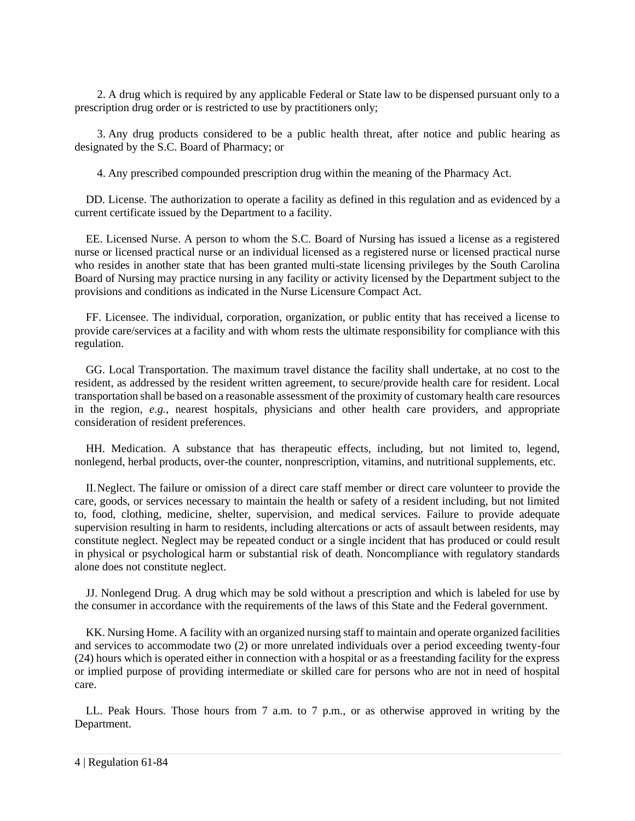2. A drug which is required by any applicable Federal or State law to be dispensed pursuant only to a prescription drug order or is restricted to use by practitioners only;

3. Any drug products considered to be a public health threat, after notice and public hearing as designated by the S.C. Board of Pharmacy; or

4. Any prescribed compounded prescription drug within the meaning of the Pharmacy Act.

DD. License. The authorization to operate a facility as defined in this regulation and as evidenced by a current certificate issued by the Department to a facility.

EE. Licensed Nurse. A person to whom the S.C. Board of Nursing has issued a license as a registered nurse or licensed practical nurse or an individual licensed as a registered nurse or licensed practical nurse who resides in another state that has been granted multi-state licensing privileges by the South Carolina Board of Nursing may practice nursing in any facility or activity licensed by the Department subject to the provisions and conditions as indicated in the Nurse Licensure Compact Act.

FF. Licensee. The individual, corporation, organization, or public entity that has received a license to provide care/services at a facility and with whom rests the ultimate responsibility for compliance with this regulation.

GG. Local Transportation. The maximum travel distance the facility shall undertake, at no cost to the resident, as addressed by the resident written agreement, to secure/provide health care for resident. Local transportation shall be based on a reasonable assessment of the proximity of customary health care resources in the region, *e.g.*, nearest hospitals, physicians and other health care providers, and appropriate consideration of resident preferences.

HH. Medication. A substance that has therapeutic effects, including, but not limited to, legend, nonlegend, herbal products, over-the counter, nonprescription, vitamins, and nutritional supplements, etc.

II.Neglect. The failure or omission of a direct care staff member or direct care volunteer to provide the care, goods, or services necessary to maintain the health or safety of a resident including, but not limited to, food, clothing, medicine, shelter, supervision, and medical services. Failure to provide adequate supervision resulting in harm to residents, including altercations or acts of assault between residents, may constitute neglect. Neglect may be repeated conduct or a single incident that has produced or could result in physical or psychological harm or substantial risk of death. Noncompliance with regulatory standards alone does not constitute neglect.

JJ. Nonlegend Drug. A drug which may be sold without a prescription and which is labeled for use by the consumer in accordance with the requirements of the laws of this State and the Federal government.

KK. Nursing Home. A facility with an organized nursing staff to maintain and operate organized facilities and services to accommodate two (2) or more unrelated individuals over a period exceeding twenty-four (24) hours which is operated either in connection with a hospital or as a freestanding facility for the express or implied purpose of providing intermediate or skilled care for persons who are not in need of hospital care.

LL. Peak Hours. Those hours from 7 a.m. to 7 p.m., or as otherwise approved in writing by the Department.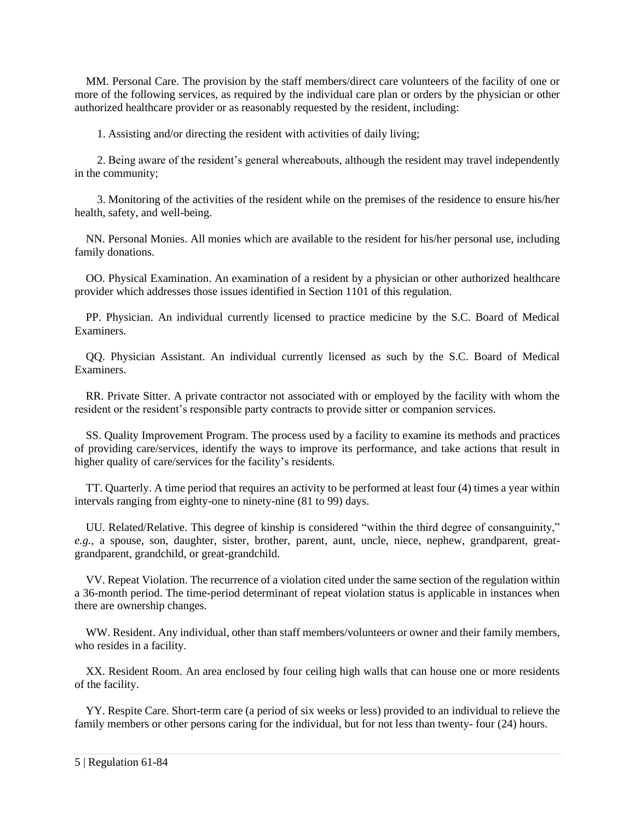MM. Personal Care. The provision by the staff members/direct care volunteers of the facility of one or more of the following services, as required by the individual care plan or orders by the physician or other authorized healthcare provider or as reasonably requested by the resident, including:

1. Assisting and/or directing the resident with activities of daily living;

2. Being aware of the resident's general whereabouts, although the resident may travel independently in the community;

3. Monitoring of the activities of the resident while on the premises of the residence to ensure his/her health, safety, and well-being.

NN. Personal Monies. All monies which are available to the resident for his/her personal use, including family donations.

OO. Physical Examination. An examination of a resident by a physician or other authorized healthcare provider which addresses those issues identified in Section 1101 of this regulation.

PP. Physician. An individual currently licensed to practice medicine by the S.C. Board of Medical Examiners.

QQ. Physician Assistant. An individual currently licensed as such by the S.C. Board of Medical Examiners.

RR. Private Sitter. A private contractor not associated with or employed by the facility with whom the resident or the resident's responsible party contracts to provide sitter or companion services.

SS. Quality Improvement Program. The process used by a facility to examine its methods and practices of providing care/services, identify the ways to improve its performance, and take actions that result in higher quality of care/services for the facility's residents.

TT. Quarterly. A time period that requires an activity to be performed at least four (4) times a year within intervals ranging from eighty-one to ninety-nine (81 to 99) days.

UU. Related/Relative. This degree of kinship is considered "within the third degree of consanguinity," *e.g.*, a spouse, son, daughter, sister, brother, parent, aunt, uncle, niece, nephew, grandparent, greatgrandparent, grandchild, or great-grandchild.

VV. Repeat Violation. The recurrence of a violation cited under the same section of the regulation within a 36-month period. The time-period determinant of repeat violation status is applicable in instances when there are ownership changes.

WW. Resident. Any individual, other than staff members/volunteers or owner and their family members, who resides in a facility.

XX. Resident Room. An area enclosed by four ceiling high walls that can house one or more residents of the facility.

YY. Respite Care. Short-term care (a period of six weeks or less) provided to an individual to relieve the family members or other persons caring for the individual, but for not less than twenty- four (24) hours.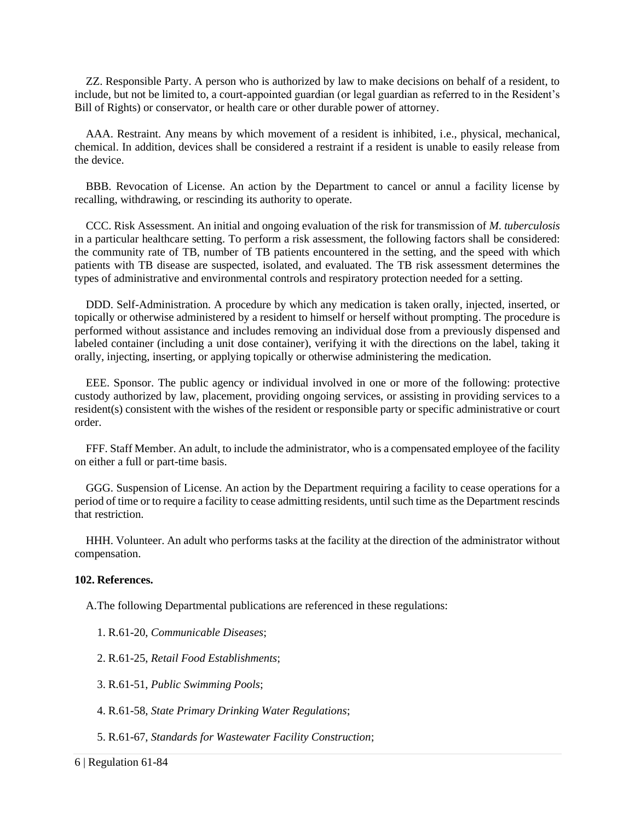ZZ. Responsible Party. A person who is authorized by law to make decisions on behalf of a resident, to include, but not be limited to, a court-appointed guardian (or legal guardian as referred to in the Resident's Bill of Rights) or conservator, or health care or other durable power of attorney.

AAA. Restraint. Any means by which movement of a resident is inhibited, i.e., physical, mechanical, chemical. In addition, devices shall be considered a restraint if a resident is unable to easily release from the device.

BBB. Revocation of License. An action by the Department to cancel or annul a facility license by recalling, withdrawing, or rescinding its authority to operate.

CCC. Risk Assessment. An initial and ongoing evaluation of the risk for transmission of *M. tuberculosis* in a particular healthcare setting. To perform a risk assessment, the following factors shall be considered: the community rate of TB, number of TB patients encountered in the setting, and the speed with which patients with TB disease are suspected, isolated, and evaluated. The TB risk assessment determines the types of administrative and environmental controls and respiratory protection needed for a setting.

DDD. Self-Administration. A procedure by which any medication is taken orally, injected, inserted, or topically or otherwise administered by a resident to himself or herself without prompting. The procedure is performed without assistance and includes removing an individual dose from a previously dispensed and labeled container (including a unit dose container), verifying it with the directions on the label, taking it orally, injecting, inserting, or applying topically or otherwise administering the medication.

EEE. Sponsor. The public agency or individual involved in one or more of the following: protective custody authorized by law, placement, providing ongoing services, or assisting in providing services to a resident(s) consistent with the wishes of the resident or responsible party or specific administrative or court order.

FFF. Staff Member. An adult, to include the administrator, who is a compensated employee of the facility on either a full or part-time basis.

GGG. Suspension of License. An action by the Department requiring a facility to cease operations for a period of time or to require a facility to cease admitting residents, until such time as the Department rescinds that restriction.

HHH. Volunteer. An adult who performs tasks at the facility at the direction of the administrator without compensation.

#### <span id="page-11-0"></span>**102. References.**

A.The following Departmental publications are referenced in these regulations:

- 1. R.61-20, *Communicable Diseases*;
- 2. R.61-25, *Retail Food Establishments*;
- 3. R.61-51, *Public Swimming Pools*;
- 4. R.61-58, *State Primary Drinking Water Regulations*;
- 5. R.61-67, *Standards for Wastewater Facility Construction*;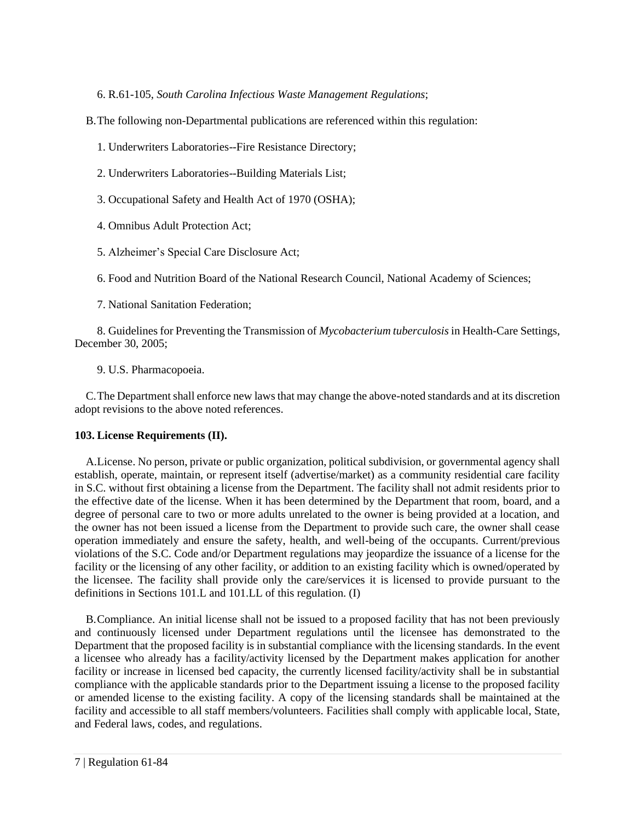6. R.61-105, *South Carolina Infectious Waste Management Regulations*;

B.The following non-Departmental publications are referenced within this regulation:

- 1. Underwriters Laboratories--Fire Resistance Directory;
- 2. Underwriters Laboratories--Building Materials List;
- 3. Occupational Safety and Health Act of 1970 (OSHA);
- 4. Omnibus Adult Protection Act;
- 5. Alzheimer's Special Care Disclosure Act;

6. Food and Nutrition Board of the National Research Council, National Academy of Sciences;

7. National Sanitation Federation;

8. Guidelines for Preventing the Transmission of *Mycobacterium tuberculosis* in Health-Care Settings, December 30, 2005;

9. U.S. Pharmacopoeia.

C.The Department shall enforce new laws that may change the above-noted standards and at its discretion adopt revisions to the above noted references.

# **103. License Requirements (II).**

A.License. No person, private or public organization, political subdivision, or governmental agency shall establish, operate, maintain, or represent itself (advertise/market) as a community residential care facility in S.C. without first obtaining a license from the Department. The facility shall not admit residents prior to the effective date of the license. When it has been determined by the Department that room, board, and a degree of personal care to two or more adults unrelated to the owner is being provided at a location, and the owner has not been issued a license from the Department to provide such care, the owner shall cease operation immediately and ensure the safety, health, and well-being of the occupants. Current/previous violations of the S.C. Code and/or Department regulations may jeopardize the issuance of a license for the facility or the licensing of any other facility, or addition to an existing facility which is owned/operated by the licensee. The facility shall provide only the care/services it is licensed to provide pursuant to the definitions in Sections 101.L and 101.LL of this regulation. (I)

B.Compliance. An initial license shall not be issued to a proposed facility that has not been previously and continuously licensed under Department regulations until the licensee has demonstrated to the Department that the proposed facility is in substantial compliance with the licensing standards. In the event a licensee who already has a facility/activity licensed by the Department makes application for another facility or increase in licensed bed capacity, the currently licensed facility/activity shall be in substantial compliance with the applicable standards prior to the Department issuing a license to the proposed facility or amended license to the existing facility. A copy of the licensing standards shall be maintained at the facility and accessible to all staff members/volunteers. Facilities shall comply with applicable local, State, and Federal laws, codes, and regulations.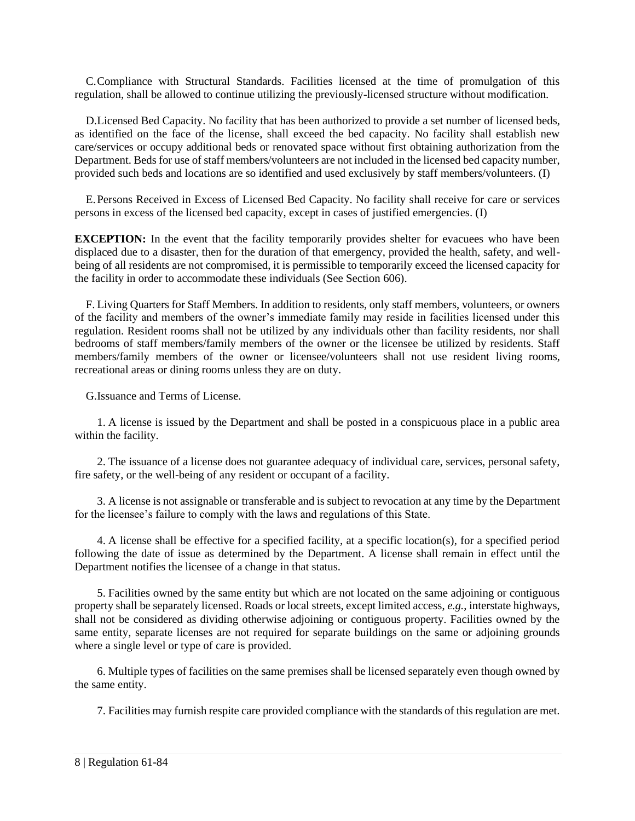C.Compliance with Structural Standards. Facilities licensed at the time of promulgation of this regulation, shall be allowed to continue utilizing the previously-licensed structure without modification.

D.Licensed Bed Capacity. No facility that has been authorized to provide a set number of licensed beds, as identified on the face of the license, shall exceed the bed capacity. No facility shall establish new care/services or occupy additional beds or renovated space without first obtaining authorization from the Department. Beds for use of staff members/volunteers are not included in the licensed bed capacity number, provided such beds and locations are so identified and used exclusively by staff members/volunteers. (I)

E.Persons Received in Excess of Licensed Bed Capacity. No facility shall receive for care or services persons in excess of the licensed bed capacity, except in cases of justified emergencies. (I)

**EXCEPTION:** In the event that the facility temporarily provides shelter for evacuees who have been displaced due to a disaster, then for the duration of that emergency, provided the health, safety, and wellbeing of all residents are not compromised, it is permissible to temporarily exceed the licensed capacity for the facility in order to accommodate these individuals (See Section 606).

F. Living Quarters for Staff Members. In addition to residents, only staff members, volunteers, or owners of the facility and members of the owner's immediate family may reside in facilities licensed under this regulation. Resident rooms shall not be utilized by any individuals other than facility residents, nor shall bedrooms of staff members/family members of the owner or the licensee be utilized by residents. Staff members/family members of the owner or licensee/volunteers shall not use resident living rooms, recreational areas or dining rooms unless they are on duty.

G.Issuance and Terms of License.

1. A license is issued by the Department and shall be posted in a conspicuous place in a public area within the facility.

2. The issuance of a license does not guarantee adequacy of individual care, services, personal safety, fire safety, or the well-being of any resident or occupant of a facility.

3. A license is not assignable or transferable and is subject to revocation at any time by the Department for the licensee's failure to comply with the laws and regulations of this State.

4. A license shall be effective for a specified facility, at a specific location(s), for a specified period following the date of issue as determined by the Department. A license shall remain in effect until the Department notifies the licensee of a change in that status.

5. Facilities owned by the same entity but which are not located on the same adjoining or contiguous property shall be separately licensed. Roads or local streets, except limited access, *e.g.*, interstate highways, shall not be considered as dividing otherwise adjoining or contiguous property. Facilities owned by the same entity, separate licenses are not required for separate buildings on the same or adjoining grounds where a single level or type of care is provided.

6. Multiple types of facilities on the same premises shall be licensed separately even though owned by the same entity.

7. Facilities may furnish respite care provided compliance with the standards of this regulation are met.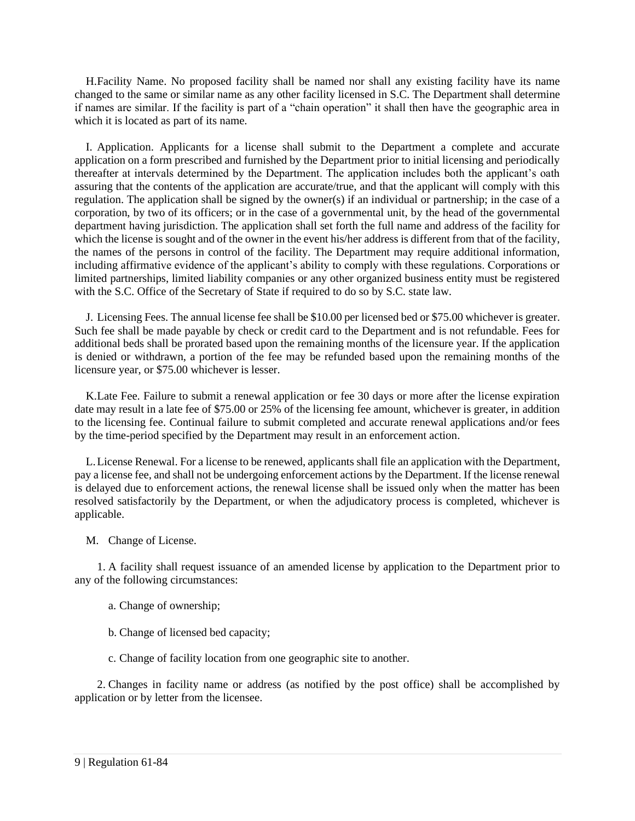H.Facility Name. No proposed facility shall be named nor shall any existing facility have its name changed to the same or similar name as any other facility licensed in S.C. The Department shall determine if names are similar. If the facility is part of a "chain operation" it shall then have the geographic area in which it is located as part of its name.

I. Application. Applicants for a license shall submit to the Department a complete and accurate application on a form prescribed and furnished by the Department prior to initial licensing and periodically thereafter at intervals determined by the Department. The application includes both the applicant's oath assuring that the contents of the application are accurate/true, and that the applicant will comply with this regulation. The application shall be signed by the owner(s) if an individual or partnership; in the case of a corporation, by two of its officers; or in the case of a governmental unit, by the head of the governmental department having jurisdiction. The application shall set forth the full name and address of the facility for which the license is sought and of the owner in the event his/her address is different from that of the facility, the names of the persons in control of the facility. The Department may require additional information, including affirmative evidence of the applicant's ability to comply with these regulations. Corporations or limited partnerships, limited liability companies or any other organized business entity must be registered with the S.C. Office of the Secretary of State if required to do so by S.C. state law.

J. Licensing Fees. The annual license fee shall be \$10.00 per licensed bed or \$75.00 whichever is greater. Such fee shall be made payable by check or credit card to the Department and is not refundable. Fees for additional beds shall be prorated based upon the remaining months of the licensure year. If the application is denied or withdrawn, a portion of the fee may be refunded based upon the remaining months of the licensure year, or \$75.00 whichever is lesser.

K.Late Fee. Failure to submit a renewal application or fee 30 days or more after the license expiration date may result in a late fee of \$75.00 or 25% of the licensing fee amount, whichever is greater, in addition to the licensing fee. Continual failure to submit completed and accurate renewal applications and/or fees by the time-period specified by the Department may result in an enforcement action.

L.License Renewal. For a license to be renewed, applicants shall file an application with the Department, pay a license fee, and shall not be undergoing enforcement actions by the Department. If the license renewal is delayed due to enforcement actions, the renewal license shall be issued only when the matter has been resolved satisfactorily by the Department, or when the adjudicatory process is completed, whichever is applicable.

M. Change of License.

1. A facility shall request issuance of an amended license by application to the Department prior to any of the following circumstances:

- a. Change of ownership;
- b. Change of licensed bed capacity;
- c. Change of facility location from one geographic site to another.

2. Changes in facility name or address (as notified by the post office) shall be accomplished by application or by letter from the licensee.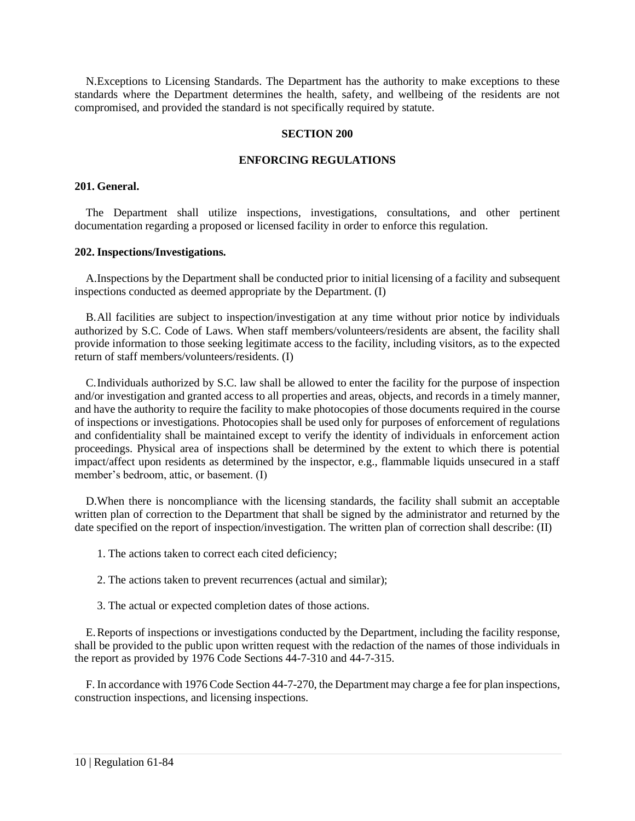<span id="page-15-0"></span>N.Exceptions to Licensing Standards. The Department has the authority to make exceptions to these standards where the Department determines the health, safety, and wellbeing of the residents are not compromised, and provided the standard is not specifically required by statute.

#### **SECTION 200**

# **ENFORCING REGULATIONS**

#### <span id="page-15-1"></span>**201. General.**

The Department shall utilize inspections, investigations, consultations, and other pertinent documentation regarding a proposed or licensed facility in order to enforce this regulation.

#### <span id="page-15-2"></span>**202. Inspections/Investigations.**

A.Inspections by the Department shall be conducted prior to initial licensing of a facility and subsequent inspections conducted as deemed appropriate by the Department. (I)

B.All facilities are subject to inspection/investigation at any time without prior notice by individuals authorized by S.C. Code of Laws. When staff members/volunteers/residents are absent, the facility shall provide information to those seeking legitimate access to the facility, including visitors, as to the expected return of staff members/volunteers/residents. (I)

C.Individuals authorized by S.C. law shall be allowed to enter the facility for the purpose of inspection and/or investigation and granted access to all properties and areas, objects, and records in a timely manner, and have the authority to require the facility to make photocopies of those documents required in the course of inspections or investigations. Photocopies shall be used only for purposes of enforcement of regulations and confidentiality shall be maintained except to verify the identity of individuals in enforcement action proceedings. Physical area of inspections shall be determined by the extent to which there is potential impact/affect upon residents as determined by the inspector, e.g., flammable liquids unsecured in a staff member's bedroom, attic, or basement. (I)

D.When there is noncompliance with the licensing standards, the facility shall submit an acceptable written plan of correction to the Department that shall be signed by the administrator and returned by the date specified on the report of inspection/investigation. The written plan of correction shall describe: (II)

- 1. The actions taken to correct each cited deficiency;
- 2. The actions taken to prevent recurrences (actual and similar);
- 3. The actual or expected completion dates of those actions.

E.Reports of inspections or investigations conducted by the Department, including the facility response, shall be provided to the public upon written request with the redaction of the names of those individuals in the report as provided by 1976 Code Sections 44-7-310 and 44-7-315.

<span id="page-15-3"></span>F. In accordance with 1976 Code Section 44-7-270, the Department may charge a fee for plan inspections, construction inspections, and licensing inspections.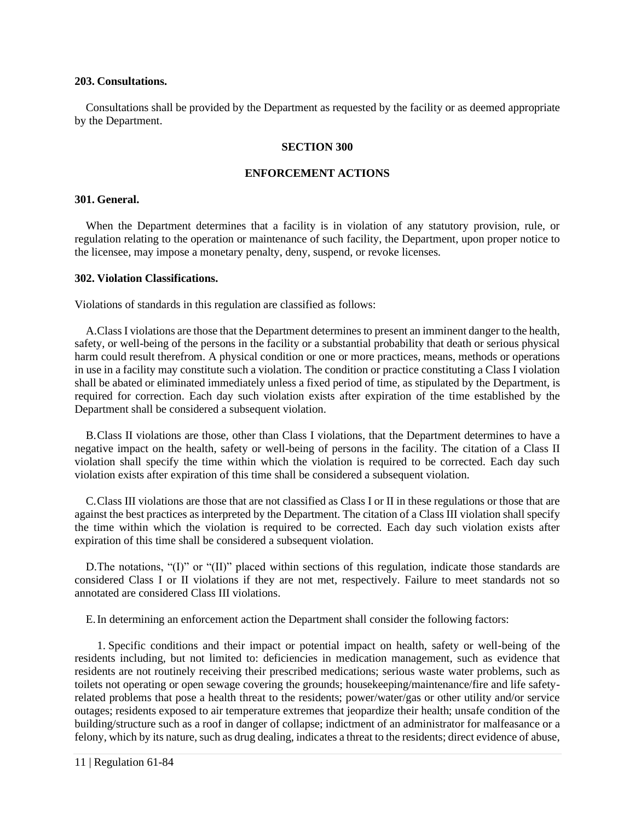#### **203. Consultations.**

<span id="page-16-0"></span>Consultations shall be provided by the Department as requested by the facility or as deemed appropriate by the Department.

#### **SECTION 300**

#### **ENFORCEMENT ACTIONS**

### <span id="page-16-1"></span>**301. General.**

When the Department determines that a facility is in violation of any statutory provision, rule, or regulation relating to the operation or maintenance of such facility, the Department, upon proper notice to the licensee, may impose a monetary penalty, deny, suspend, or revoke licenses.

#### <span id="page-16-2"></span>**302. Violation Classifications.**

Violations of standards in this regulation are classified as follows:

A.Class I violations are those that the Department determines to present an imminent danger to the health, safety, or well-being of the persons in the facility or a substantial probability that death or serious physical harm could result therefrom. A physical condition or one or more practices, means, methods or operations in use in a facility may constitute such a violation. The condition or practice constituting a Class I violation shall be abated or eliminated immediately unless a fixed period of time, as stipulated by the Department, is required for correction. Each day such violation exists after expiration of the time established by the Department shall be considered a subsequent violation.

B.Class II violations are those, other than Class I violations, that the Department determines to have a negative impact on the health, safety or well-being of persons in the facility. The citation of a Class II violation shall specify the time within which the violation is required to be corrected. Each day such violation exists after expiration of this time shall be considered a subsequent violation.

C.Class III violations are those that are not classified as Class I or II in these regulations or those that are against the best practices as interpreted by the Department. The citation of a Class III violation shall specify the time within which the violation is required to be corrected. Each day such violation exists after expiration of this time shall be considered a subsequent violation.

D.The notations, "(I)" or "(II)" placed within sections of this regulation, indicate those standards are considered Class I or II violations if they are not met, respectively. Failure to meet standards not so annotated are considered Class III violations.

E.In determining an enforcement action the Department shall consider the following factors:

1. Specific conditions and their impact or potential impact on health, safety or well-being of the residents including, but not limited to: deficiencies in medication management, such as evidence that residents are not routinely receiving their prescribed medications; serious waste water problems, such as toilets not operating or open sewage covering the grounds; housekeeping/maintenance/fire and life safetyrelated problems that pose a health threat to the residents; power/water/gas or other utility and/or service outages; residents exposed to air temperature extremes that jeopardize their health; unsafe condition of the building/structure such as a roof in danger of collapse; indictment of an administrator for malfeasance or a felony, which by its nature, such as drug dealing, indicates a threat to the residents; direct evidence of abuse,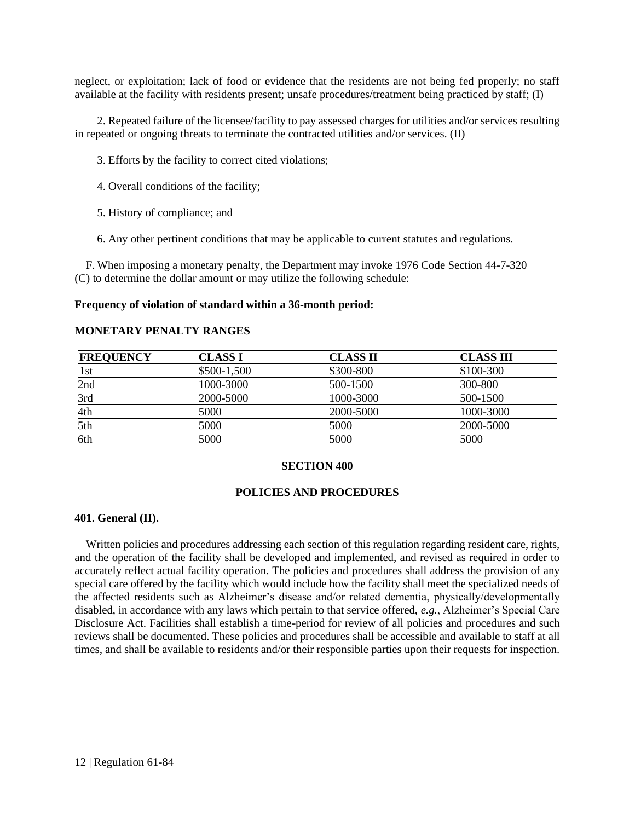neglect, or exploitation; lack of food or evidence that the residents are not being fed properly; no staff available at the facility with residents present; unsafe procedures/treatment being practiced by staff; (I)

2. Repeated failure of the licensee/facility to pay assessed charges for utilities and/or services resulting in repeated or ongoing threats to terminate the contracted utilities and/or services. (II)

- 3. Efforts by the facility to correct cited violations;
- 4. Overall conditions of the facility;
- 5. History of compliance; and
- 6. Any other pertinent conditions that may be applicable to current statutes and regulations.

F. When imposing a monetary penalty, the Department may invoke 1976 Code Section 44-7-320 (C) to determine the dollar amount or may utilize the following schedule:

#### **Frequency of violation of standard within a 36-month period:**

#### **MONETARY PENALTY RANGES**

| <b>FREQUENCY</b> | CLASS I      | <b>CLASS II</b> | <b>CLASS III</b> |
|------------------|--------------|-----------------|------------------|
| 1st              | $$500-1,500$ | \$300-800       | \$100-300        |
| 2nd              | 1000-3000    | 500-1500        | 300-800          |
| 3rd              | 2000-5000    | 1000-3000       | 500-1500         |
| 4th              | 5000         | 2000-5000       | 1000-3000        |
| 5th              | 5000         | 5000            | 2000-5000        |
| 6th              | 5000         | 5000            | 5000             |

#### **SECTION 400**

#### **POLICIES AND PROCEDURES**

#### <span id="page-17-1"></span><span id="page-17-0"></span>**401. General (II).**

<span id="page-17-2"></span>Written policies and procedures addressing each section of this regulation regarding resident care, rights, and the operation of the facility shall be developed and implemented, and revised as required in order to accurately reflect actual facility operation. The policies and procedures shall address the provision of any special care offered by the facility which would include how the facility shall meet the specialized needs of the affected residents such as Alzheimer's disease and/or related dementia, physically/developmentally disabled, in accordance with any laws which pertain to that service offered, *e.g.*, Alzheimer's Special Care Disclosure Act. Facilities shall establish a time-period for review of all policies and procedures and such reviews shall be documented. These policies and procedures shall be accessible and available to staff at all times, and shall be available to residents and/or their responsible parties upon their requests for inspection.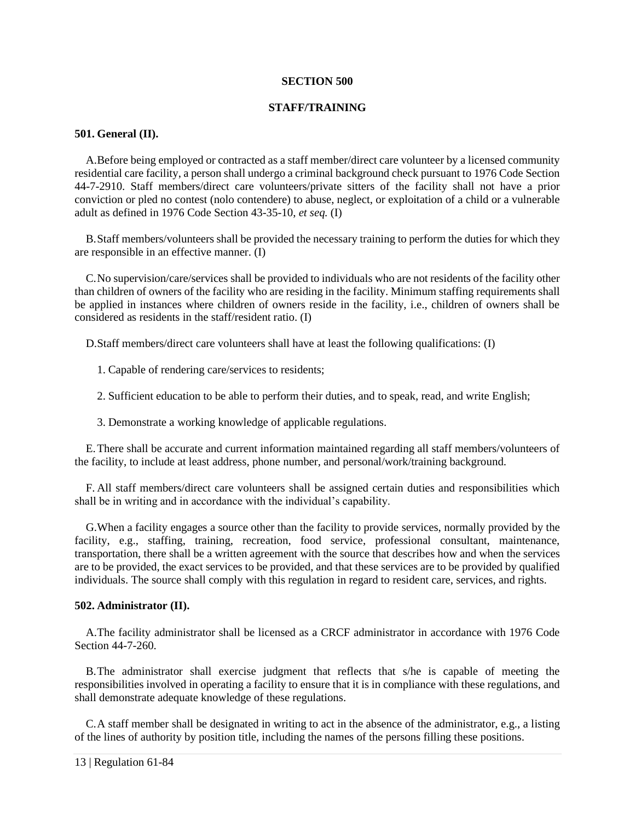#### **SECTION 500**

# **STAFF/TRAINING**

# <span id="page-18-0"></span>**501. General (II).**

A.Before being employed or contracted as a staff member/direct care volunteer by a licensed community residential care facility, a person shall undergo a criminal background check pursuant to 1976 Code Section 44-7-2910. Staff members/direct care volunteers/private sitters of the facility shall not have a prior conviction or pled no contest (nolo contendere) to abuse, neglect, or exploitation of a child or a vulnerable adult as defined in 1976 Code Section 43-35-10, *et seq.* (I)

B.Staff members/volunteers shall be provided the necessary training to perform the duties for which they are responsible in an effective manner. (I)

C.No supervision/care/services shall be provided to individuals who are not residents of the facility other than children of owners of the facility who are residing in the facility. Minimum staffing requirements shall be applied in instances where children of owners reside in the facility, i.e., children of owners shall be considered as residents in the staff/resident ratio. (I)

D.Staff members/direct care volunteers shall have at least the following qualifications: (I)

1. Capable of rendering care/services to residents;

2. Sufficient education to be able to perform their duties, and to speak, read, and write English;

3. Demonstrate a working knowledge of applicable regulations.

E.There shall be accurate and current information maintained regarding all staff members/volunteers of the facility, to include at least address, phone number, and personal/work/training background.

F. All staff members/direct care volunteers shall be assigned certain duties and responsibilities which shall be in writing and in accordance with the individual's capability.

G.When a facility engages a source other than the facility to provide services, normally provided by the facility, e.g., staffing, training, recreation, food service, professional consultant, maintenance, transportation, there shall be a written agreement with the source that describes how and when the services are to be provided, the exact services to be provided, and that these services are to be provided by qualified individuals. The source shall comply with this regulation in regard to resident care, services, and rights.

#### <span id="page-18-1"></span>**502. Administrator (II).**

A.The facility administrator shall be licensed as a CRCF administrator in accordance with 1976 Code Section 44-7-260.

B.The administrator shall exercise judgment that reflects that s/he is capable of meeting the responsibilities involved in operating a facility to ensure that it is in compliance with these regulations, and shall demonstrate adequate knowledge of these regulations.

C.A staff member shall be designated in writing to act in the absence of the administrator, e.g., a listing of the lines of authority by position title, including the names of the persons filling these positions.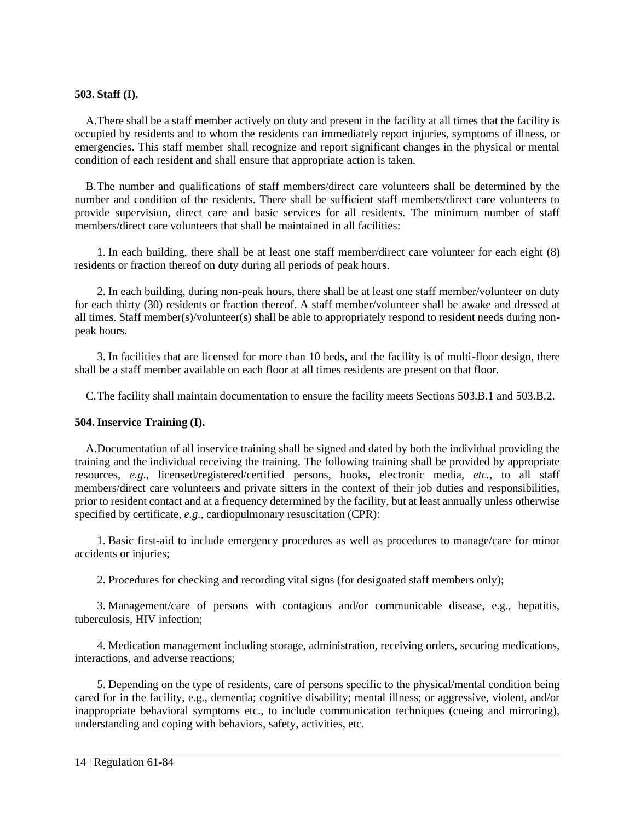# <span id="page-19-0"></span>**503. Staff (I).**

A.There shall be a staff member actively on duty and present in the facility at all times that the facility is occupied by residents and to whom the residents can immediately report injuries, symptoms of illness, or emergencies. This staff member shall recognize and report significant changes in the physical or mental condition of each resident and shall ensure that appropriate action is taken.

B.The number and qualifications of staff members/direct care volunteers shall be determined by the number and condition of the residents. There shall be sufficient staff members/direct care volunteers to provide supervision, direct care and basic services for all residents. The minimum number of staff members/direct care volunteers that shall be maintained in all facilities:

1. In each building, there shall be at least one staff member/direct care volunteer for each eight (8) residents or fraction thereof on duty during all periods of peak hours.

2. In each building, during non-peak hours, there shall be at least one staff member/volunteer on duty for each thirty (30) residents or fraction thereof. A staff member/volunteer shall be awake and dressed at all times. Staff member(s)/volunteer(s) shall be able to appropriately respond to resident needs during nonpeak hours.

3. In facilities that are licensed for more than 10 beds, and the facility is of multi-floor design, there shall be a staff member available on each floor at all times residents are present on that floor.

C.The facility shall maintain documentation to ensure the facility meets Sections 503.B.1 and 503.B.2.

# <span id="page-19-1"></span>**504. Inservice Training (I).**

A.Documentation of all inservice training shall be signed and dated by both the individual providing the training and the individual receiving the training. The following training shall be provided by appropriate resources, *e.g.*, licensed/registered/certified persons, books, electronic media, *etc.*, to all staff members/direct care volunteers and private sitters in the context of their job duties and responsibilities, prior to resident contact and at a frequency determined by the facility, but at least annually unless otherwise specified by certificate, *e.g.*, cardiopulmonary resuscitation (CPR):

1. Basic first-aid to include emergency procedures as well as procedures to manage/care for minor accidents or injuries;

2. Procedures for checking and recording vital signs (for designated staff members only);

3. Management/care of persons with contagious and/or communicable disease, e.g., hepatitis, tuberculosis, HIV infection;

4. Medication management including storage, administration, receiving orders, securing medications, interactions, and adverse reactions;

5. Depending on the type of residents, care of persons specific to the physical/mental condition being cared for in the facility, e.g., dementia; cognitive disability; mental illness; or aggressive, violent, and/or inappropriate behavioral symptoms etc., to include communication techniques (cueing and mirroring), understanding and coping with behaviors, safety, activities, etc.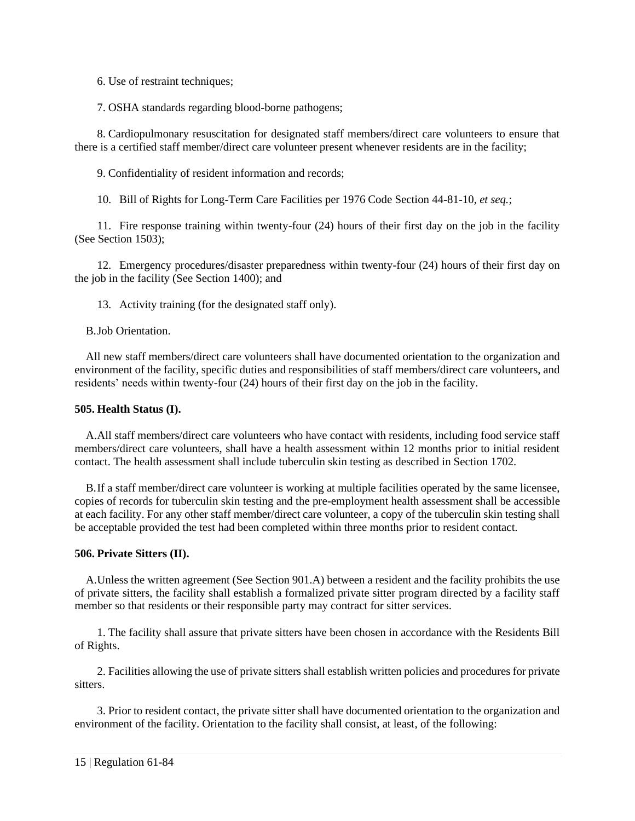6. Use of restraint techniques;

7. OSHA standards regarding blood-borne pathogens;

8. Cardiopulmonary resuscitation for designated staff members/direct care volunteers to ensure that there is a certified staff member/direct care volunteer present whenever residents are in the facility;

9. Confidentiality of resident information and records;

10. Bill of Rights for Long-Term Care Facilities per 1976 Code Section 44-81-10, *et seq.*;

11. Fire response training within twenty-four (24) hours of their first day on the job in the facility (See Section 1503);

12. Emergency procedures/disaster preparedness within twenty-four (24) hours of their first day on the job in the facility (See Section 1400); and

13. Activity training (for the designated staff only).

B.Job Orientation.

All new staff members/direct care volunteers shall have documented orientation to the organization and environment of the facility, specific duties and responsibilities of staff members/direct care volunteers, and residents' needs within twenty-four (24) hours of their first day on the job in the facility.

# <span id="page-20-0"></span>**505. Health Status (I).**

A.All staff members/direct care volunteers who have contact with residents, including food service staff members/direct care volunteers, shall have a health assessment within 12 months prior to initial resident contact. The health assessment shall include tuberculin skin testing as described in Section 1702.

B.If a staff member/direct care volunteer is working at multiple facilities operated by the same licensee, copies of records for tuberculin skin testing and the pre-employment health assessment shall be accessible at each facility. For any other staff member/direct care volunteer, a copy of the tuberculin skin testing shall be acceptable provided the test had been completed within three months prior to resident contact.

# <span id="page-20-1"></span>**506. Private Sitters (II).**

A.Unless the written agreement (See Section 901.A) between a resident and the facility prohibits the use of private sitters, the facility shall establish a formalized private sitter program directed by a facility staff member so that residents or their responsible party may contract for sitter services.

1. The facility shall assure that private sitters have been chosen in accordance with the Residents Bill of Rights.

2. Facilities allowing the use of private sitters shall establish written policies and procedures for private sitters.

3. Prior to resident contact, the private sitter shall have documented orientation to the organization and environment of the facility. Orientation to the facility shall consist, at least, of the following: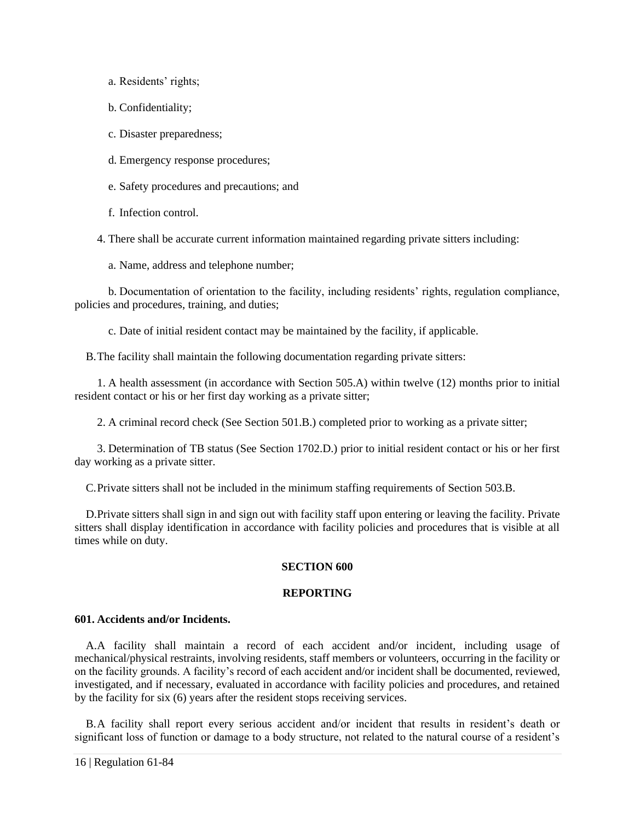a. Residents' rights;

b. Confidentiality;

c. Disaster preparedness;

d. Emergency response procedures;

e. Safety procedures and precautions; and

f. Infection control.

4. There shall be accurate current information maintained regarding private sitters including:

a. Name, address and telephone number;

b. Documentation of orientation to the facility, including residents' rights, regulation compliance, policies and procedures, training, and duties;

c. Date of initial resident contact may be maintained by the facility, if applicable.

B.The facility shall maintain the following documentation regarding private sitters:

1. A health assessment (in accordance with Section 505.A) within twelve (12) months prior to initial resident contact or his or her first day working as a private sitter;

2. A criminal record check (See Section 501.B.) completed prior to working as a private sitter;

3. Determination of TB status (See Section 1702.D.) prior to initial resident contact or his or her first day working as a private sitter.

C.Private sitters shall not be included in the minimum staffing requirements of Section 503.B.

<span id="page-21-0"></span>D.Private sitters shall sign in and sign out with facility staff upon entering or leaving the facility. Private sitters shall display identification in accordance with facility policies and procedures that is visible at all times while on duty.

# **SECTION 600**

# **REPORTING**

# <span id="page-21-1"></span>**601. Accidents and/or Incidents.**

A.A facility shall maintain a record of each accident and/or incident, including usage of mechanical/physical restraints, involving residents, staff members or volunteers, occurring in the facility or on the facility grounds. A facility's record of each accident and/or incident shall be documented, reviewed, investigated, and if necessary, evaluated in accordance with facility policies and procedures, and retained by the facility for six (6) years after the resident stops receiving services.

B.A facility shall report every serious accident and/or incident that results in resident's death or significant loss of function or damage to a body structure, not related to the natural course of a resident's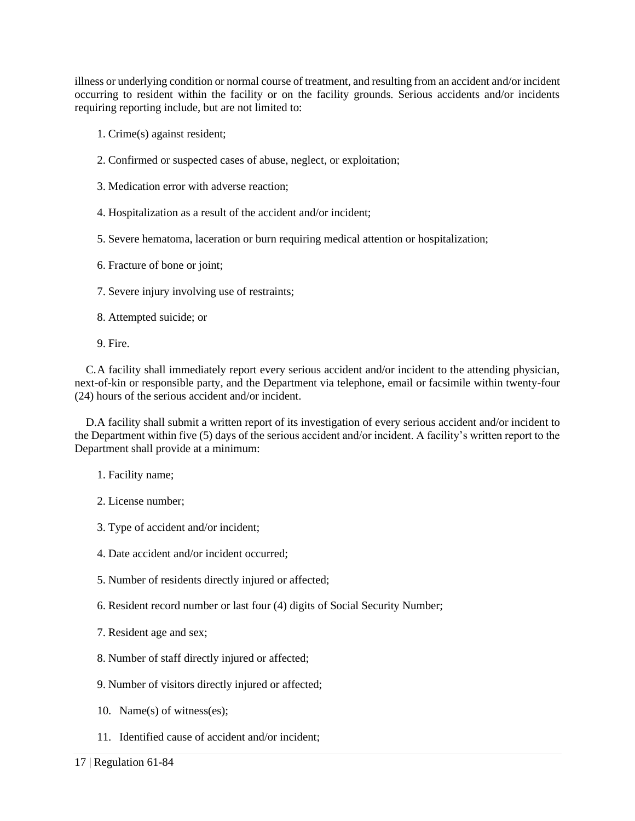illness or underlying condition or normal course of treatment, and resulting from an accident and/or incident occurring to resident within the facility or on the facility grounds. Serious accidents and/or incidents requiring reporting include, but are not limited to:

- 1. Crime(s) against resident;
- 2. Confirmed or suspected cases of abuse, neglect, or exploitation;
- 3. Medication error with adverse reaction;
- 4. Hospitalization as a result of the accident and/or incident;
- 5. Severe hematoma, laceration or burn requiring medical attention or hospitalization;

6. Fracture of bone or joint;

- 7. Severe injury involving use of restraints;
- 8. Attempted suicide; or
- 9. Fire.

C.A facility shall immediately report every serious accident and/or incident to the attending physician, next-of-kin or responsible party, and the Department via telephone, email or facsimile within twenty-four (24) hours of the serious accident and/or incident.

D.A facility shall submit a written report of its investigation of every serious accident and/or incident to the Department within five (5) days of the serious accident and/or incident. A facility's written report to the Department shall provide at a minimum:

- 1. Facility name;
- 2. License number;
- 3. Type of accident and/or incident;
- 4. Date accident and/or incident occurred;
- 5. Number of residents directly injured or affected;
- 6. Resident record number or last four (4) digits of Social Security Number;
- 7. Resident age and sex;
- 8. Number of staff directly injured or affected;
- 9. Number of visitors directly injured or affected;
- 10. Name(s) of witness(es);
- 11. Identified cause of accident and/or incident;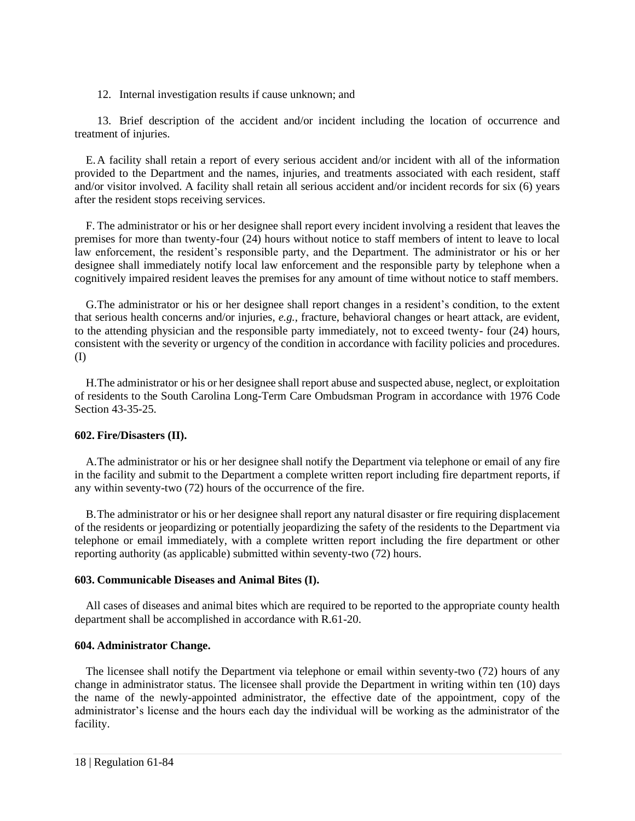12. Internal investigation results if cause unknown; and

13. Brief description of the accident and/or incident including the location of occurrence and treatment of injuries.

E.A facility shall retain a report of every serious accident and/or incident with all of the information provided to the Department and the names, injuries, and treatments associated with each resident, staff and/or visitor involved. A facility shall retain all serious accident and/or incident records for six (6) years after the resident stops receiving services.

F. The administrator or his or her designee shall report every incident involving a resident that leaves the premises for more than twenty-four (24) hours without notice to staff members of intent to leave to local law enforcement, the resident's responsible party, and the Department. The administrator or his or her designee shall immediately notify local law enforcement and the responsible party by telephone when a cognitively impaired resident leaves the premises for any amount of time without notice to staff members.

G.The administrator or his or her designee shall report changes in a resident's condition, to the extent that serious health concerns and/or injuries, *e.g.*, fracture, behavioral changes or heart attack, are evident, to the attending physician and the responsible party immediately, not to exceed twenty- four (24) hours, consistent with the severity or urgency of the condition in accordance with facility policies and procedures. (I)

H.The administrator or his or her designee shall report abuse and suspected abuse, neglect, or exploitation of residents to the South Carolina Long-Term Care Ombudsman Program in accordance with 1976 Code Section 43-35-25.

# <span id="page-23-0"></span>**602. Fire/Disasters (II).**

A.The administrator or his or her designee shall notify the Department via telephone or email of any fire in the facility and submit to the Department a complete written report including fire department reports, if any within seventy-two (72) hours of the occurrence of the fire.

B.The administrator or his or her designee shall report any natural disaster or fire requiring displacement of the residents or jeopardizing or potentially jeopardizing the safety of the residents to the Department via telephone or email immediately, with a complete written report including the fire department or other reporting authority (as applicable) submitted within seventy-two (72) hours.

# <span id="page-23-1"></span>**603. Communicable Diseases and Animal Bites (I).**

All cases of diseases and animal bites which are required to be reported to the appropriate county health department shall be accomplished in accordance with R.61-20.

# <span id="page-23-2"></span>**604. Administrator Change.**

The licensee shall notify the Department via telephone or email within seventy-two (72) hours of any change in administrator status. The licensee shall provide the Department in writing within ten (10) days the name of the newly-appointed administrator, the effective date of the appointment, copy of the administrator's license and the hours each day the individual will be working as the administrator of the facility.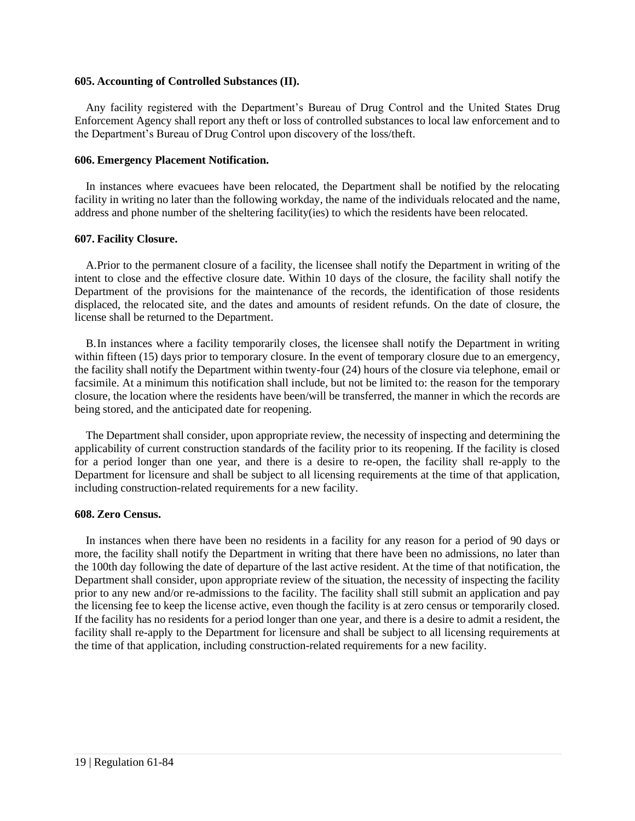#### <span id="page-24-0"></span>**605. Accounting of Controlled Substances (II).**

Any facility registered with the Department's Bureau of Drug Control and the United States Drug Enforcement Agency shall report any theft or loss of controlled substances to local law enforcement and to the Department's Bureau of Drug Control upon discovery of the loss/theft.

# <span id="page-24-1"></span>**606. Emergency Placement Notification.**

In instances where evacuees have been relocated, the Department shall be notified by the relocating facility in writing no later than the following workday, the name of the individuals relocated and the name, address and phone number of the sheltering facility(ies) to which the residents have been relocated.

# <span id="page-24-2"></span>**607. Facility Closure.**

A.Prior to the permanent closure of a facility, the licensee shall notify the Department in writing of the intent to close and the effective closure date. Within 10 days of the closure, the facility shall notify the Department of the provisions for the maintenance of the records, the identification of those residents displaced, the relocated site, and the dates and amounts of resident refunds. On the date of closure, the license shall be returned to the Department.

B.In instances where a facility temporarily closes, the licensee shall notify the Department in writing within fifteen (15) days prior to temporary closure. In the event of temporary closure due to an emergency, the facility shall notify the Department within twenty-four (24) hours of the closure via telephone, email or facsimile. At a minimum this notification shall include, but not be limited to: the reason for the temporary closure, the location where the residents have been/will be transferred, the manner in which the records are being stored, and the anticipated date for reopening.

The Department shall consider, upon appropriate review, the necessity of inspecting and determining the applicability of current construction standards of the facility prior to its reopening. If the facility is closed for a period longer than one year, and there is a desire to re-open, the facility shall re-apply to the Department for licensure and shall be subject to all licensing requirements at the time of that application, including construction-related requirements for a new facility.

#### <span id="page-24-3"></span>**608. Zero Census.**

<span id="page-24-4"></span>In instances when there have been no residents in a facility for any reason for a period of 90 days or more, the facility shall notify the Department in writing that there have been no admissions, no later than the 100th day following the date of departure of the last active resident. At the time of that notification, the Department shall consider, upon appropriate review of the situation, the necessity of inspecting the facility prior to any new and/or re-admissions to the facility. The facility shall still submit an application and pay the licensing fee to keep the license active, even though the facility is at zero census or temporarily closed. If the facility has no residents for a period longer than one year, and there is a desire to admit a resident, the facility shall re-apply to the Department for licensure and shall be subject to all licensing requirements at the time of that application, including construction-related requirements for a new facility.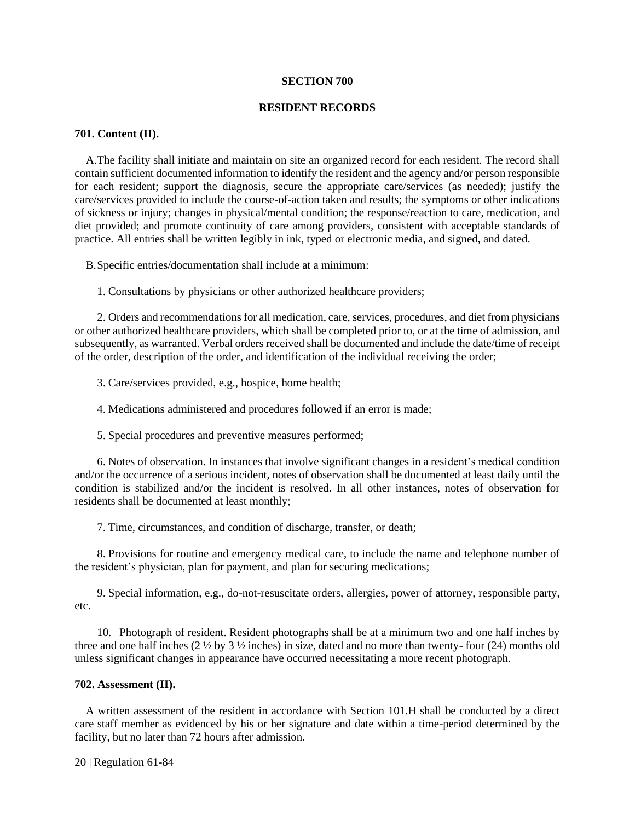#### **SECTION 700**

# **RESIDENT RECORDS**

# <span id="page-25-0"></span>**701. Content (II).**

A.The facility shall initiate and maintain on site an organized record for each resident. The record shall contain sufficient documented information to identify the resident and the agency and/or person responsible for each resident; support the diagnosis, secure the appropriate care/services (as needed); justify the care/services provided to include the course-of-action taken and results; the symptoms or other indications of sickness or injury; changes in physical/mental condition; the response/reaction to care, medication, and diet provided; and promote continuity of care among providers, consistent with acceptable standards of practice. All entries shall be written legibly in ink, typed or electronic media, and signed, and dated.

B.Specific entries/documentation shall include at a minimum:

1. Consultations by physicians or other authorized healthcare providers;

2. Orders and recommendations for all medication, care, services, procedures, and diet from physicians or other authorized healthcare providers, which shall be completed prior to, or at the time of admission, and subsequently, as warranted. Verbal orders received shall be documented and include the date/time of receipt of the order, description of the order, and identification of the individual receiving the order;

3. Care/services provided, e.g., hospice, home health;

4. Medications administered and procedures followed if an error is made;

5. Special procedures and preventive measures performed;

6. Notes of observation. In instances that involve significant changes in a resident's medical condition and/or the occurrence of a serious incident, notes of observation shall be documented at least daily until the condition is stabilized and/or the incident is resolved. In all other instances, notes of observation for residents shall be documented at least monthly;

7. Time, circumstances, and condition of discharge, transfer, or death;

8. Provisions for routine and emergency medical care, to include the name and telephone number of the resident's physician, plan for payment, and plan for securing medications;

9. Special information, e.g., do-not-resuscitate orders, allergies, power of attorney, responsible party, etc.

10. Photograph of resident. Resident photographs shall be at a minimum two and one half inches by three and one half inches (2 ½ by 3 ½ inches) in size, dated and no more than twenty- four (24) months old unless significant changes in appearance have occurred necessitating a more recent photograph.

# <span id="page-25-1"></span>**702. Assessment (II).**

A written assessment of the resident in accordance with Section 101.H shall be conducted by a direct care staff member as evidenced by his or her signature and date within a time-period determined by the facility, but no later than 72 hours after admission.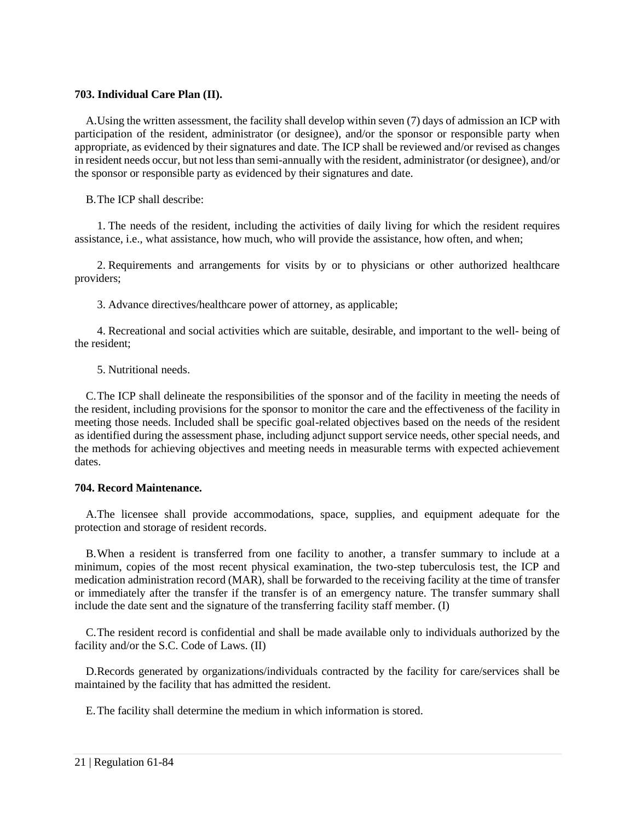# <span id="page-26-0"></span>**703. Individual Care Plan (II).**

A.Using the written assessment, the facility shall develop within seven (7) days of admission an ICP with participation of the resident, administrator (or designee), and/or the sponsor or responsible party when appropriate, as evidenced by their signatures and date. The ICP shall be reviewed and/or revised as changes in resident needs occur, but not less than semi-annually with the resident, administrator (or designee), and/or the sponsor or responsible party as evidenced by their signatures and date.

B.The ICP shall describe:

1. The needs of the resident, including the activities of daily living for which the resident requires assistance, i.e., what assistance, how much, who will provide the assistance, how often, and when;

2. Requirements and arrangements for visits by or to physicians or other authorized healthcare providers;

3. Advance directives/healthcare power of attorney, as applicable;

4. Recreational and social activities which are suitable, desirable, and important to the well- being of the resident;

5. Nutritional needs.

C.The ICP shall delineate the responsibilities of the sponsor and of the facility in meeting the needs of the resident, including provisions for the sponsor to monitor the care and the effectiveness of the facility in meeting those needs. Included shall be specific goal-related objectives based on the needs of the resident as identified during the assessment phase, including adjunct support service needs, other special needs, and the methods for achieving objectives and meeting needs in measurable terms with expected achievement dates.

# <span id="page-26-1"></span>**704. Record Maintenance.**

A.The licensee shall provide accommodations, space, supplies, and equipment adequate for the protection and storage of resident records.

B.When a resident is transferred from one facility to another, a transfer summary to include at a minimum, copies of the most recent physical examination, the two-step tuberculosis test, the ICP and medication administration record (MAR), shall be forwarded to the receiving facility at the time of transfer or immediately after the transfer if the transfer is of an emergency nature. The transfer summary shall include the date sent and the signature of the transferring facility staff member. (I)

C.The resident record is confidential and shall be made available only to individuals authorized by the facility and/or the S.C. Code of Laws. (II)

D.Records generated by organizations/individuals contracted by the facility for care/services shall be maintained by the facility that has admitted the resident.

E.The facility shall determine the medium in which information is stored.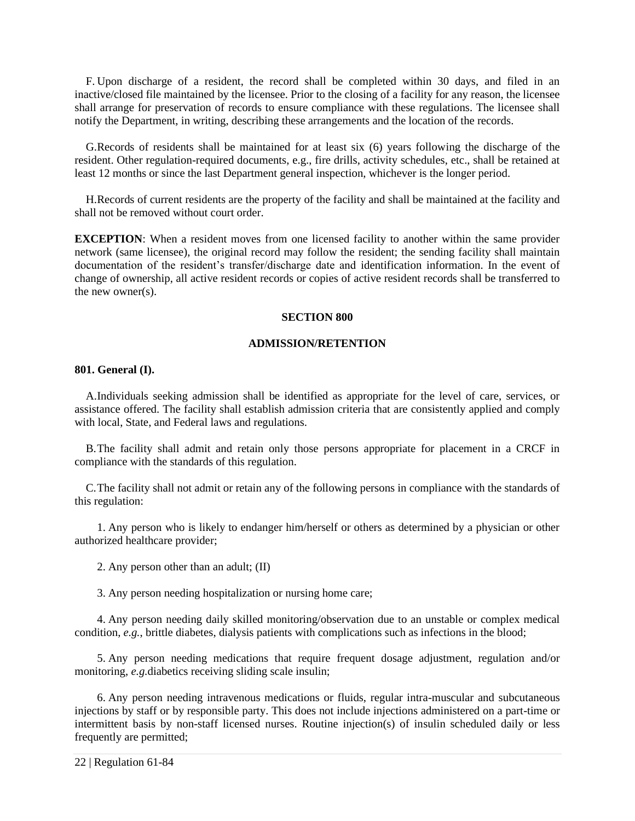F. Upon discharge of a resident, the record shall be completed within 30 days, and filed in an inactive/closed file maintained by the licensee. Prior to the closing of a facility for any reason, the licensee shall arrange for preservation of records to ensure compliance with these regulations. The licensee shall notify the Department, in writing, describing these arrangements and the location of the records.

G.Records of residents shall be maintained for at least six (6) years following the discharge of the resident. Other regulation-required documents, e.g., fire drills, activity schedules, etc., shall be retained at least 12 months or since the last Department general inspection, whichever is the longer period.

H.Records of current residents are the property of the facility and shall be maintained at the facility and shall not be removed without court order.

**EXCEPTION:** When a resident moves from one licensed facility to another within the same provider network (same licensee), the original record may follow the resident; the sending facility shall maintain documentation of the resident's transfer/discharge date and identification information. In the event of change of ownership, all active resident records or copies of active resident records shall be transferred to the new owner(s).

#### **SECTION 800**

#### **ADMISSION/RETENTION**

#### <span id="page-27-1"></span><span id="page-27-0"></span>**801. General (I).**

A.Individuals seeking admission shall be identified as appropriate for the level of care, services, or assistance offered. The facility shall establish admission criteria that are consistently applied and comply with local, State, and Federal laws and regulations.

B.The facility shall admit and retain only those persons appropriate for placement in a CRCF in compliance with the standards of this regulation.

C.The facility shall not admit or retain any of the following persons in compliance with the standards of this regulation:

1. Any person who is likely to endanger him/herself or others as determined by a physician or other authorized healthcare provider;

2. Any person other than an adult; (II)

3. Any person needing hospitalization or nursing home care;

4. Any person needing daily skilled monitoring/observation due to an unstable or complex medical condition, *e.g.*, brittle diabetes, dialysis patients with complications such as infections in the blood;

5. Any person needing medications that require frequent dosage adjustment, regulation and/or monitoring, *e.g.*diabetics receiving sliding scale insulin;

6. Any person needing intravenous medications or fluids, regular intra-muscular and subcutaneous injections by staff or by responsible party. This does not include injections administered on a part-time or intermittent basis by non-staff licensed nurses. Routine injection(s) of insulin scheduled daily or less frequently are permitted;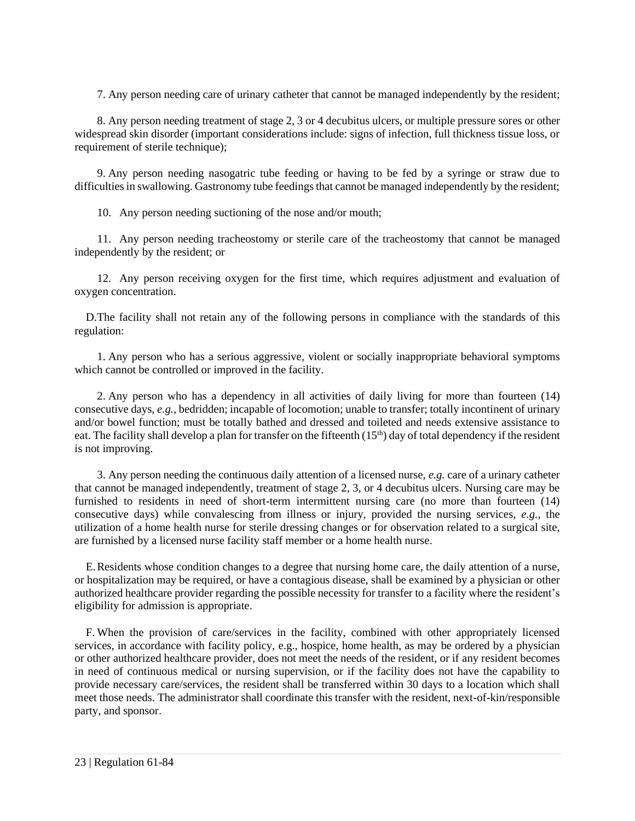7. Any person needing care of urinary catheter that cannot be managed independently by the resident;

8. Any person needing treatment of stage 2, 3 or 4 decubitus ulcers, or multiple pressure sores or other widespread skin disorder (important considerations include: signs of infection, full thickness tissue loss, or requirement of sterile technique);

9. Any person needing nasogatric tube feeding or having to be fed by a syringe or straw due to difficulties in swallowing. Gastronomy tube feedings that cannot be managed independently by the resident;

10. Any person needing suctioning of the nose and/or mouth;

11. Any person needing tracheostomy or sterile care of the tracheostomy that cannot be managed independently by the resident; or

12. Any person receiving oxygen for the first time, which requires adjustment and evaluation of oxygen concentration.

D.The facility shall not retain any of the following persons in compliance with the standards of this regulation:

1. Any person who has a serious aggressive, violent or socially inappropriate behavioral symptoms which cannot be controlled or improved in the facility.

2. Any person who has a dependency in all activities of daily living for more than fourteen (14) consecutive days, *e.g.*, bedridden; incapable of locomotion; unable to transfer; totally incontinent of urinary and/or bowel function; must be totally bathed and dressed and toileted and needs extensive assistance to eat. The facility shall develop a plan for transfer on the fifteenth  $(15<sup>th</sup>)$  day of total dependency if the resident is not improving.

3. Any person needing the continuous daily attention of a licensed nurse, *e.g.* care of a urinary catheter that cannot be managed independently, treatment of stage 2, 3, or 4 decubitus ulcers. Nursing care may be furnished to residents in need of short-term intermittent nursing care (no more than fourteen (14) consecutive days) while convalescing from illness or injury, provided the nursing services, *e.g.*, the utilization of a home health nurse for sterile dressing changes or for observation related to a surgical site, are furnished by a licensed nurse facility staff member or a home health nurse.

E.Residents whose condition changes to a degree that nursing home care, the daily attention of a nurse, or hospitalization may be required, or have a contagious disease, shall be examined by a physician or other authorized healthcare provider regarding the possible necessity for transfer to a facility where the resident's eligibility for admission is appropriate.

<span id="page-28-0"></span>F. When the provision of care/services in the facility, combined with other appropriately licensed services, in accordance with facility policy, e.g., hospice, home health, as may be ordered by a physician or other authorized healthcare provider, does not meet the needs of the resident, or if any resident becomes in need of continuous medical or nursing supervision, or if the facility does not have the capability to provide necessary care/services, the resident shall be transferred within 30 days to a location which shall meet those needs. The administrator shall coordinate this transfer with the resident, next-of-kin/responsible party, and sponsor.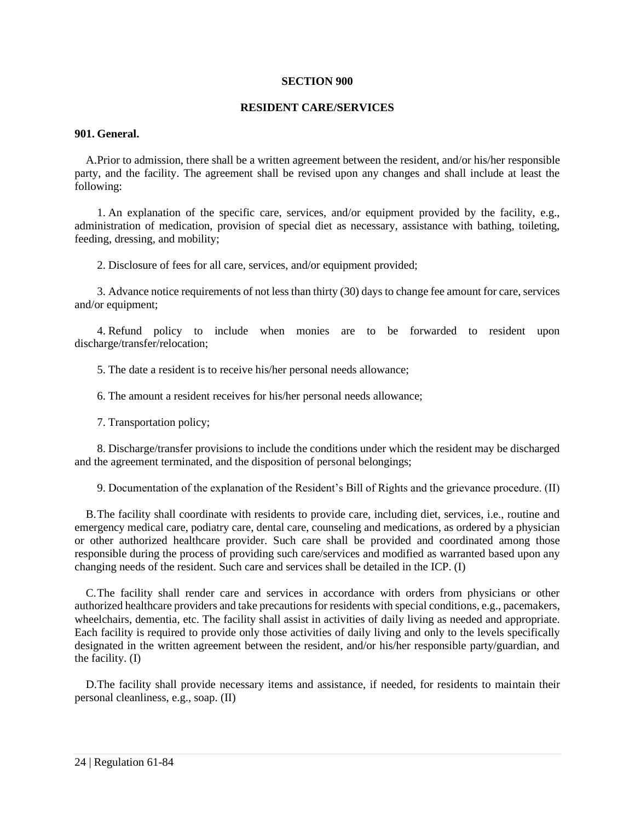#### **SECTION 900**

#### **RESIDENT CARE/SERVICES**

#### <span id="page-29-0"></span>**901. General.**

A.Prior to admission, there shall be a written agreement between the resident, and/or his/her responsible party, and the facility. The agreement shall be revised upon any changes and shall include at least the following:

1. An explanation of the specific care, services, and/or equipment provided by the facility, e.g., administration of medication, provision of special diet as necessary, assistance with bathing, toileting, feeding, dressing, and mobility;

2. Disclosure of fees for all care, services, and/or equipment provided;

3. Advance notice requirements of not less than thirty (30) days to change fee amount for care, services and/or equipment;

4. Refund policy to include when monies are to be forwarded to resident upon discharge/transfer/relocation;

5. The date a resident is to receive his/her personal needs allowance;

6. The amount a resident receives for his/her personal needs allowance;

7. Transportation policy;

8. Discharge/transfer provisions to include the conditions under which the resident may be discharged and the agreement terminated, and the disposition of personal belongings;

9. Documentation of the explanation of the Resident's Bill of Rights and the grievance procedure. (II)

B.The facility shall coordinate with residents to provide care, including diet, services, i.e., routine and emergency medical care, podiatry care, dental care, counseling and medications, as ordered by a physician or other authorized healthcare provider. Such care shall be provided and coordinated among those responsible during the process of providing such care/services and modified as warranted based upon any changing needs of the resident. Such care and services shall be detailed in the ICP. (I)

C.The facility shall render care and services in accordance with orders from physicians or other authorized healthcare providers and take precautions for residents with special conditions, e.g., pacemakers, wheelchairs, dementia, etc. The facility shall assist in activities of daily living as needed and appropriate. Each facility is required to provide only those activities of daily living and only to the levels specifically designated in the written agreement between the resident, and/or his/her responsible party/guardian, and the facility. (I)

D.The facility shall provide necessary items and assistance, if needed, for residents to maintain their personal cleanliness, e.g., soap. (II)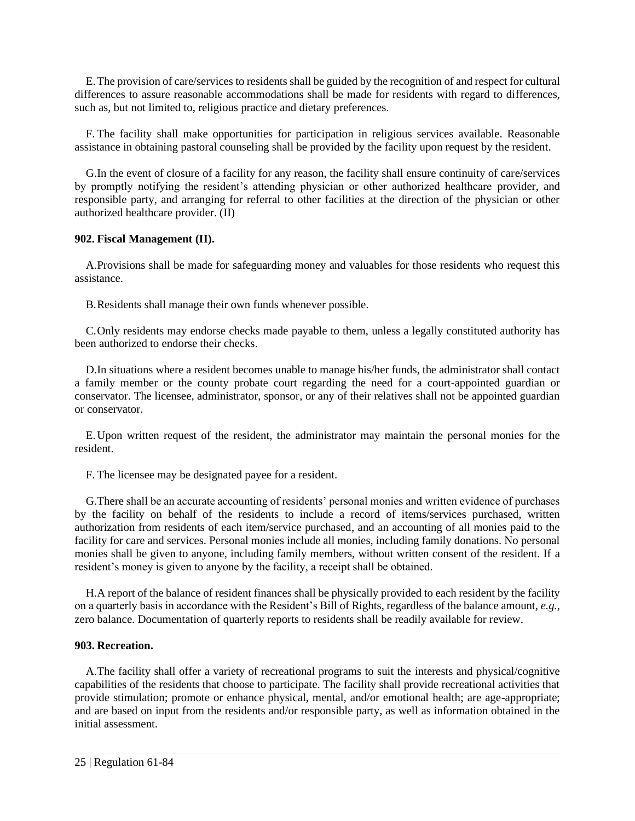E.The provision of care/services to residents shall be guided by the recognition of and respect for cultural differences to assure reasonable accommodations shall be made for residents with regard to differences, such as, but not limited to, religious practice and dietary preferences.

F. The facility shall make opportunities for participation in religious services available. Reasonable assistance in obtaining pastoral counseling shall be provided by the facility upon request by the resident.

G.In the event of closure of a facility for any reason, the facility shall ensure continuity of care/services by promptly notifying the resident's attending physician or other authorized healthcare provider, and responsible party, and arranging for referral to other facilities at the direction of the physician or other authorized healthcare provider. (II)

# <span id="page-30-0"></span>**902. Fiscal Management (II).**

A.Provisions shall be made for safeguarding money and valuables for those residents who request this assistance.

B.Residents shall manage their own funds whenever possible.

C.Only residents may endorse checks made payable to them, unless a legally constituted authority has been authorized to endorse their checks.

D.In situations where a resident becomes unable to manage his/her funds, the administrator shall contact a family member or the county probate court regarding the need for a court-appointed guardian or conservator. The licensee, administrator, sponsor, or any of their relatives shall not be appointed guardian or conservator.

E.Upon written request of the resident, the administrator may maintain the personal monies for the resident.

F. The licensee may be designated payee for a resident.

G.There shall be an accurate accounting of residents' personal monies and written evidence of purchases by the facility on behalf of the residents to include a record of items/services purchased, written authorization from residents of each item/service purchased, and an accounting of all monies paid to the facility for care and services. Personal monies include all monies, including family donations. No personal monies shall be given to anyone, including family members, without written consent of the resident. If a resident's money is given to anyone by the facility, a receipt shall be obtained.

H.A report of the balance of resident finances shall be physically provided to each resident by the facility on a quarterly basis in accordance with the Resident's Bill of Rights, regardless of the balance amount, *e.g.*, zero balance. Documentation of quarterly reports to residents shall be readily available for review.

#### <span id="page-30-1"></span>**903. Recreation.**

A.The facility shall offer a variety of recreational programs to suit the interests and physical/cognitive capabilities of the residents that choose to participate. The facility shall provide recreational activities that provide stimulation; promote or enhance physical, mental, and/or emotional health; are age-appropriate; and are based on input from the residents and/or responsible party, as well as information obtained in the initial assessment.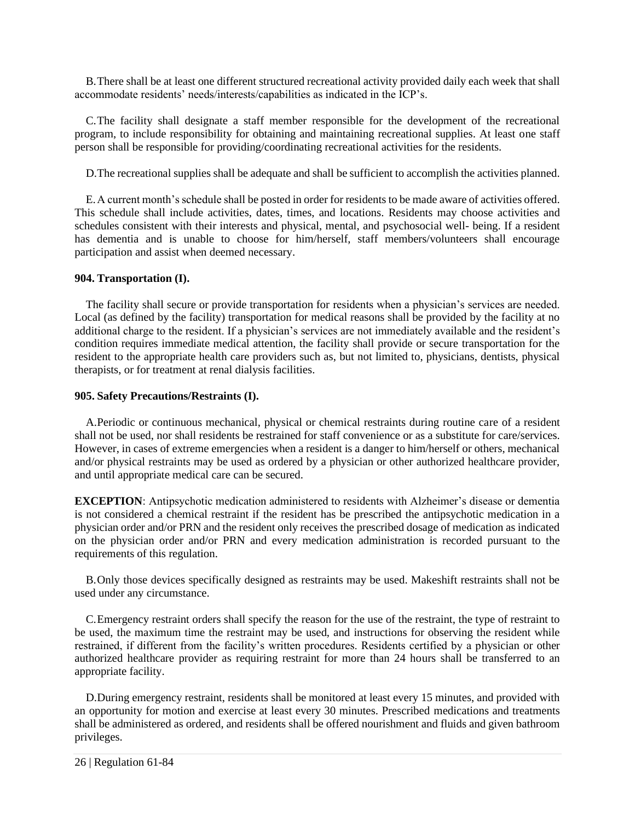B.There shall be at least one different structured recreational activity provided daily each week that shall accommodate residents' needs/interests/capabilities as indicated in the ICP's.

C.The facility shall designate a staff member responsible for the development of the recreational program, to include responsibility for obtaining and maintaining recreational supplies. At least one staff person shall be responsible for providing/coordinating recreational activities for the residents.

D.The recreational supplies shall be adequate and shall be sufficient to accomplish the activities planned.

E.A current month's schedule shall be posted in order for residents to be made aware of activities offered. This schedule shall include activities, dates, times, and locations. Residents may choose activities and schedules consistent with their interests and physical, mental, and psychosocial well- being. If a resident has dementia and is unable to choose for him/herself, staff members/volunteers shall encourage participation and assist when deemed necessary.

# <span id="page-31-0"></span>**904. Transportation (I).**

The facility shall secure or provide transportation for residents when a physician's services are needed. Local (as defined by the facility) transportation for medical reasons shall be provided by the facility at no additional charge to the resident. If a physician's services are not immediately available and the resident's condition requires immediate medical attention, the facility shall provide or secure transportation for the resident to the appropriate health care providers such as, but not limited to, physicians, dentists, physical therapists, or for treatment at renal dialysis facilities.

# <span id="page-31-1"></span>**905. Safety Precautions/Restraints (I).**

A.Periodic or continuous mechanical, physical or chemical restraints during routine care of a resident shall not be used, nor shall residents be restrained for staff convenience or as a substitute for care/services. However, in cases of extreme emergencies when a resident is a danger to him/herself or others, mechanical and/or physical restraints may be used as ordered by a physician or other authorized healthcare provider, and until appropriate medical care can be secured.

**EXCEPTION**: Antipsychotic medication administered to residents with Alzheimer's disease or dementia is not considered a chemical restraint if the resident has be prescribed the antipsychotic medication in a physician order and/or PRN and the resident only receives the prescribed dosage of medication as indicated on the physician order and/or PRN and every medication administration is recorded pursuant to the requirements of this regulation.

B.Only those devices specifically designed as restraints may be used. Makeshift restraints shall not be used under any circumstance.

C.Emergency restraint orders shall specify the reason for the use of the restraint, the type of restraint to be used, the maximum time the restraint may be used, and instructions for observing the resident while restrained, if different from the facility's written procedures. Residents certified by a physician or other authorized healthcare provider as requiring restraint for more than 24 hours shall be transferred to an appropriate facility.

D.During emergency restraint, residents shall be monitored at least every 15 minutes, and provided with an opportunity for motion and exercise at least every 30 minutes. Prescribed medications and treatments shall be administered as ordered, and residents shall be offered nourishment and fluids and given bathroom privileges.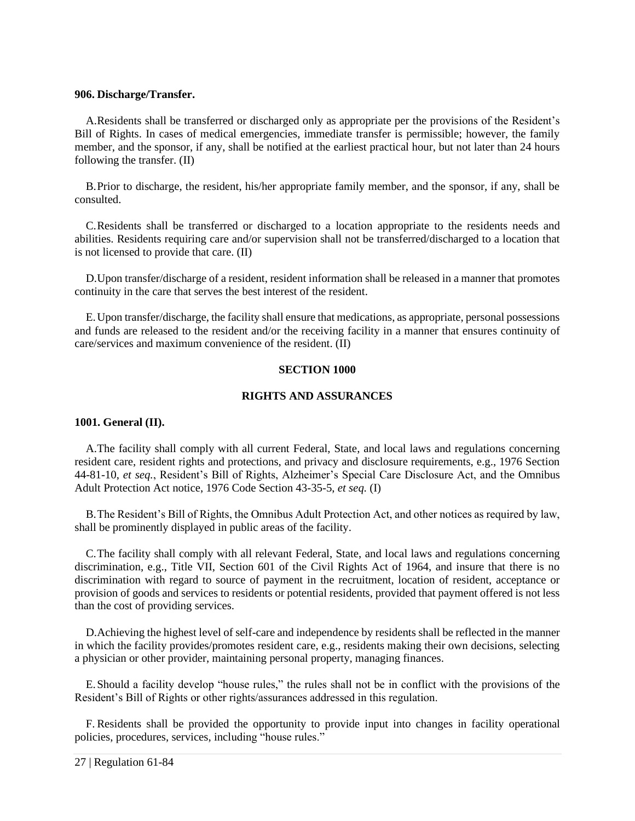# <span id="page-32-0"></span>**906. Discharge/Transfer.**

A.Residents shall be transferred or discharged only as appropriate per the provisions of the Resident's Bill of Rights. In cases of medical emergencies, immediate transfer is permissible; however, the family member, and the sponsor, if any, shall be notified at the earliest practical hour, but not later than 24 hours following the transfer. (II)

B.Prior to discharge, the resident, his/her appropriate family member, and the sponsor, if any, shall be consulted.

C.Residents shall be transferred or discharged to a location appropriate to the residents needs and abilities. Residents requiring care and/or supervision shall not be transferred/discharged to a location that is not licensed to provide that care. (II)

D.Upon transfer/discharge of a resident, resident information shall be released in a manner that promotes continuity in the care that serves the best interest of the resident.

<span id="page-32-1"></span>E.Upon transfer/discharge, the facility shall ensure that medications, as appropriate, personal possessions and funds are released to the resident and/or the receiving facility in a manner that ensures continuity of care/services and maximum convenience of the resident. (II)

# **SECTION 1000**

# **RIGHTS AND ASSURANCES**

# <span id="page-32-2"></span>**1001. General (II).**

A.The facility shall comply with all current Federal, State, and local laws and regulations concerning resident care, resident rights and protections, and privacy and disclosure requirements, e.g., 1976 Section 44-81-10, *et seq.*, Resident's Bill of Rights, Alzheimer's Special Care Disclosure Act, and the Omnibus Adult Protection Act notice, 1976 Code Section 43-35-5, *et seq.* (I)

B.The Resident's Bill of Rights, the Omnibus Adult Protection Act, and other notices as required by law, shall be prominently displayed in public areas of the facility.

C.The facility shall comply with all relevant Federal, State, and local laws and regulations concerning discrimination, e.g., Title VII, Section 601 of the Civil Rights Act of 1964, and insure that there is no discrimination with regard to source of payment in the recruitment, location of resident, acceptance or provision of goods and services to residents or potential residents, provided that payment offered is not less than the cost of providing services.

D.Achieving the highest level of self-care and independence by residents shall be reflected in the manner in which the facility provides/promotes resident care, e.g., residents making their own decisions, selecting a physician or other provider, maintaining personal property, managing finances.

E.Should a facility develop "house rules," the rules shall not be in conflict with the provisions of the Resident's Bill of Rights or other rights/assurances addressed in this regulation.

F. Residents shall be provided the opportunity to provide input into changes in facility operational policies, procedures, services, including "house rules."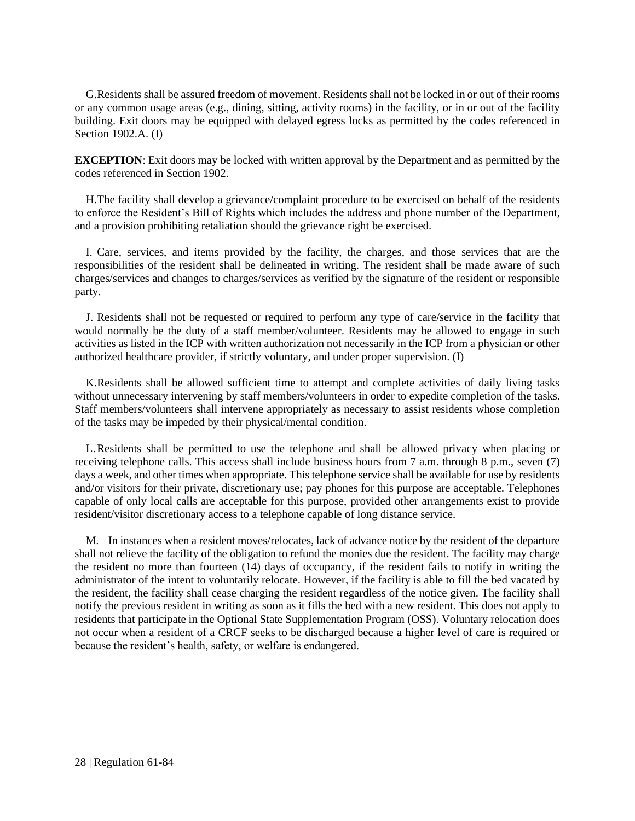G.Residents shall be assured freedom of movement. Residents shall not be locked in or out of their rooms or any common usage areas (e.g., dining, sitting, activity rooms) in the facility, or in or out of the facility building. Exit doors may be equipped with delayed egress locks as permitted by the codes referenced in Section 1902.A. (I)

**EXCEPTION**: Exit doors may be locked with written approval by the Department and as permitted by the codes referenced in Section 1902.

H.The facility shall develop a grievance/complaint procedure to be exercised on behalf of the residents to enforce the Resident's Bill of Rights which includes the address and phone number of the Department, and a provision prohibiting retaliation should the grievance right be exercised.

I. Care, services, and items provided by the facility, the charges, and those services that are the responsibilities of the resident shall be delineated in writing. The resident shall be made aware of such charges/services and changes to charges/services as verified by the signature of the resident or responsible party.

J. Residents shall not be requested or required to perform any type of care/service in the facility that would normally be the duty of a staff member/volunteer. Residents may be allowed to engage in such activities as listed in the ICP with written authorization not necessarily in the ICP from a physician or other authorized healthcare provider, if strictly voluntary, and under proper supervision. (I)

K.Residents shall be allowed sufficient time to attempt and complete activities of daily living tasks without unnecessary intervening by staff members/volunteers in order to expedite completion of the tasks. Staff members/volunteers shall intervene appropriately as necessary to assist residents whose completion of the tasks may be impeded by their physical/mental condition.

L.Residents shall be permitted to use the telephone and shall be allowed privacy when placing or receiving telephone calls. This access shall include business hours from 7 a.m. through 8 p.m., seven (7) days a week, and other times when appropriate. This telephone service shall be available for use by residents and/or visitors for their private, discretionary use; pay phones for this purpose are acceptable. Telephones capable of only local calls are acceptable for this purpose, provided other arrangements exist to provide resident/visitor discretionary access to a telephone capable of long distance service.

<span id="page-33-0"></span>M. In instances when a resident moves/relocates, lack of advance notice by the resident of the departure shall not relieve the facility of the obligation to refund the monies due the resident. The facility may charge the resident no more than fourteen (14) days of occupancy, if the resident fails to notify in writing the administrator of the intent to voluntarily relocate. However, if the facility is able to fill the bed vacated by the resident, the facility shall cease charging the resident regardless of the notice given. The facility shall notify the previous resident in writing as soon as it fills the bed with a new resident. This does not apply to residents that participate in the Optional State Supplementation Program (OSS). Voluntary relocation does not occur when a resident of a CRCF seeks to be discharged because a higher level of care is required or because the resident's health, safety, or welfare is endangered.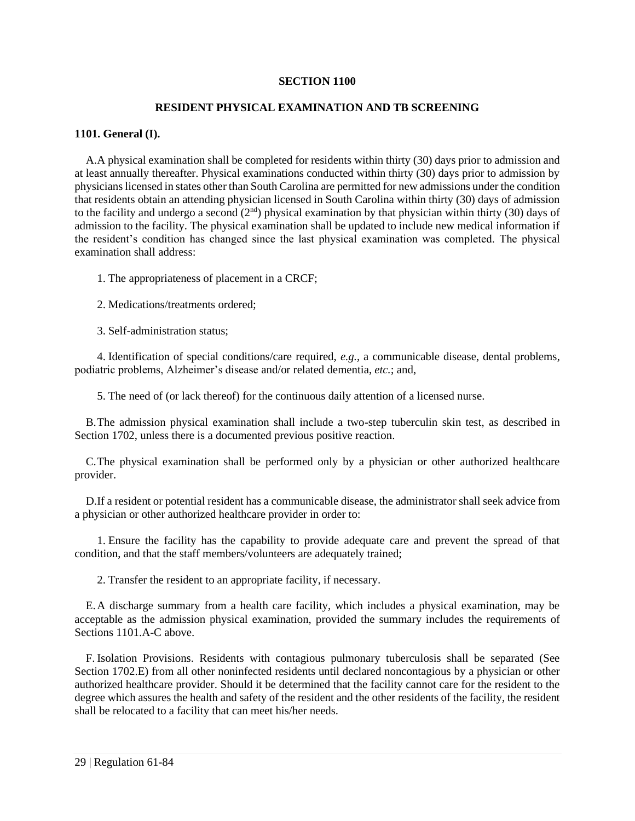#### **SECTION 1100**

# **RESIDENT PHYSICAL EXAMINATION AND TB SCREENING**

# <span id="page-34-0"></span>**1101. General (I).**

A.A physical examination shall be completed for residents within thirty (30) days prior to admission and at least annually thereafter. Physical examinations conducted within thirty (30) days prior to admission by physicians licensed in states other than South Carolina are permitted for new admissions under the condition that residents obtain an attending physician licensed in South Carolina within thirty (30) days of admission to the facility and undergo a second  $(2<sup>nd</sup>)$  physical examination by that physician within thirty (30) days of admission to the facility. The physical examination shall be updated to include new medical information if the resident's condition has changed since the last physical examination was completed. The physical examination shall address:

1. The appropriateness of placement in a CRCF;

2. Medications/treatments ordered;

3. Self-administration status;

4. Identification of special conditions/care required, *e.g.*, a communicable disease, dental problems, podiatric problems, Alzheimer's disease and/or related dementia, *etc.*; and,

5. The need of (or lack thereof) for the continuous daily attention of a licensed nurse.

B.The admission physical examination shall include a two-step tuberculin skin test, as described in Section 1702, unless there is a documented previous positive reaction.

C.The physical examination shall be performed only by a physician or other authorized healthcare provider.

D.If a resident or potential resident has a communicable disease, the administrator shall seek advice from a physician or other authorized healthcare provider in order to:

1. Ensure the facility has the capability to provide adequate care and prevent the spread of that condition, and that the staff members/volunteers are adequately trained;

2. Transfer the resident to an appropriate facility, if necessary.

E.A discharge summary from a health care facility, which includes a physical examination, may be acceptable as the admission physical examination, provided the summary includes the requirements of Sections 1101.A-C above.

F. Isolation Provisions. Residents with contagious pulmonary tuberculosis shall be separated (See Section 1702.E) from all other noninfected residents until declared noncontagious by a physician or other authorized healthcare provider. Should it be determined that the facility cannot care for the resident to the degree which assures the health and safety of the resident and the other residents of the facility, the resident shall be relocated to a facility that can meet his/her needs.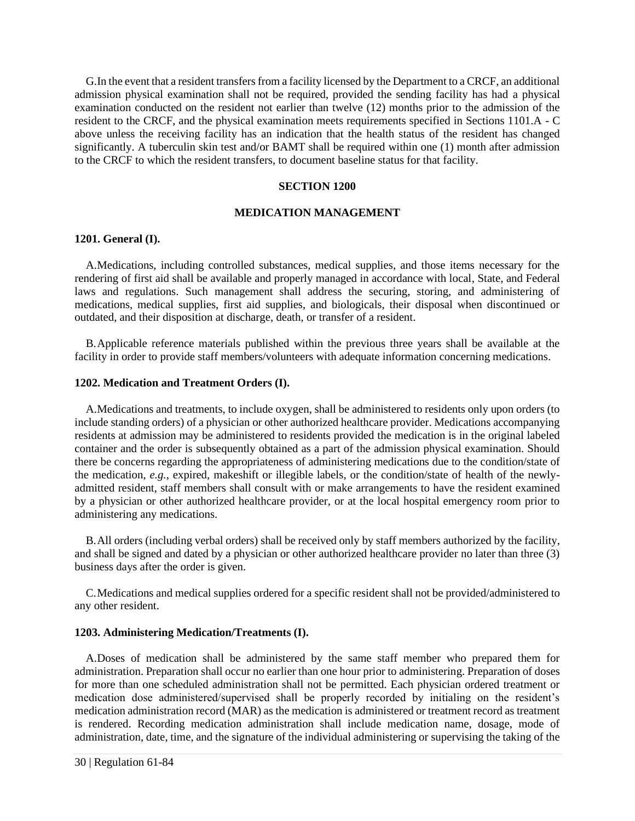G.In the event that a resident transfers from a facility licensed by the Department to a CRCF, an additional admission physical examination shall not be required, provided the sending facility has had a physical examination conducted on the resident not earlier than twelve (12) months prior to the admission of the resident to the CRCF, and the physical examination meets requirements specified in Sections 1101.A - C above unless the receiving facility has an indication that the health status of the resident has changed significantly. A tuberculin skin test and/or BAMT shall be required within one (1) month after admission to the CRCF to which the resident transfers, to document baseline status for that facility.

#### **SECTION 1200**

#### **MEDICATION MANAGEMENT**

#### <span id="page-35-1"></span><span id="page-35-0"></span>**1201. General (I).**

A.Medications, including controlled substances, medical supplies, and those items necessary for the rendering of first aid shall be available and properly managed in accordance with local, State, and Federal laws and regulations. Such management shall address the securing, storing, and administering of medications, medical supplies, first aid supplies, and biologicals, their disposal when discontinued or outdated, and their disposition at discharge, death, or transfer of a resident.

B.Applicable reference materials published within the previous three years shall be available at the facility in order to provide staff members/volunteers with adequate information concerning medications.

#### **1202. Medication and Treatment Orders (I).**

A.Medications and treatments, to include oxygen, shall be administered to residents only upon orders (to include standing orders) of a physician or other authorized healthcare provider. Medications accompanying residents at admission may be administered to residents provided the medication is in the original labeled container and the order is subsequently obtained as a part of the admission physical examination. Should there be concerns regarding the appropriateness of administering medications due to the condition/state of the medication, *e.g.*, expired, makeshift or illegible labels, or the condition/state of health of the newlyadmitted resident, staff members shall consult with or make arrangements to have the resident examined by a physician or other authorized healthcare provider, or at the local hospital emergency room prior to administering any medications.

B.All orders (including verbal orders) shall be received only by staff members authorized by the facility, and shall be signed and dated by a physician or other authorized healthcare provider no later than three (3) business days after the order is given.

C.Medications and medical supplies ordered for a specific resident shall not be provided/administered to any other resident.

# <span id="page-35-2"></span>**1203. Administering Medication/Treatments (I).**

A.Doses of medication shall be administered by the same staff member who prepared them for administration. Preparation shall occur no earlier than one hour prior to administering. Preparation of doses for more than one scheduled administration shall not be permitted. Each physician ordered treatment or medication dose administered/supervised shall be properly recorded by initialing on the resident's medication administration record (MAR) as the medication is administered or treatment record as treatment is rendered. Recording medication administration shall include medication name, dosage, mode of administration, date, time, and the signature of the individual administering or supervising the taking of the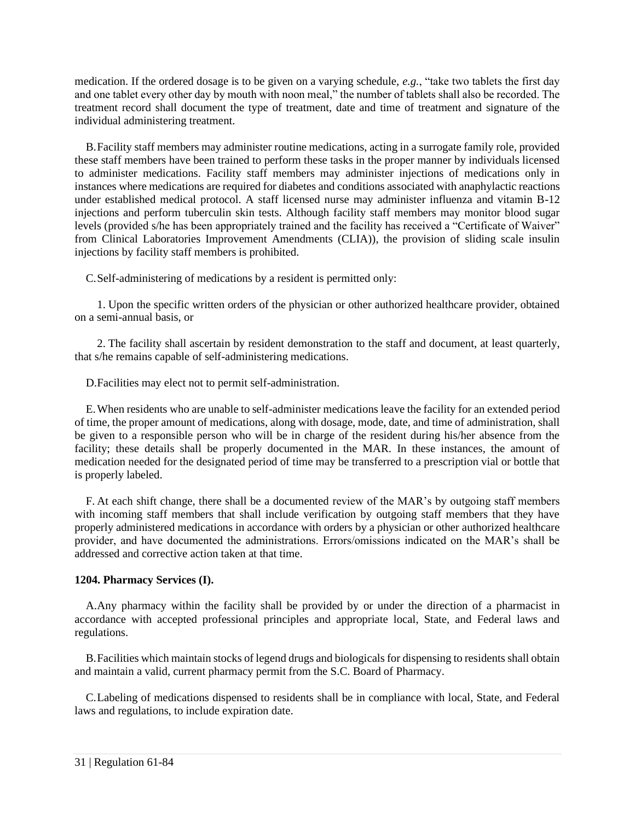medication. If the ordered dosage is to be given on a varying schedule, *e.g.*, "take two tablets the first day and one tablet every other day by mouth with noon meal," the number of tablets shall also be recorded. The treatment record shall document the type of treatment, date and time of treatment and signature of the individual administering treatment.

B.Facility staff members may administer routine medications, acting in a surrogate family role, provided these staff members have been trained to perform these tasks in the proper manner by individuals licensed to administer medications. Facility staff members may administer injections of medications only in instances where medications are required for diabetes and conditions associated with anaphylactic reactions under established medical protocol. A staff licensed nurse may administer influenza and vitamin B-12 injections and perform tuberculin skin tests. Although facility staff members may monitor blood sugar levels (provided s/he has been appropriately trained and the facility has received a "Certificate of Waiver" from Clinical Laboratories Improvement Amendments (CLIA)), the provision of sliding scale insulin injections by facility staff members is prohibited.

C.Self-administering of medications by a resident is permitted only:

1. Upon the specific written orders of the physician or other authorized healthcare provider, obtained on a semi-annual basis, or

2. The facility shall ascertain by resident demonstration to the staff and document, at least quarterly, that s/he remains capable of self-administering medications.

D.Facilities may elect not to permit self-administration.

E.When residents who are unable to self-administer medications leave the facility for an extended period of time, the proper amount of medications, along with dosage, mode, date, and time of administration, shall be given to a responsible person who will be in charge of the resident during his/her absence from the facility; these details shall be properly documented in the MAR. In these instances, the amount of medication needed for the designated period of time may be transferred to a prescription vial or bottle that is properly labeled.

F. At each shift change, there shall be a documented review of the MAR's by outgoing staff members with incoming staff members that shall include verification by outgoing staff members that they have properly administered medications in accordance with orders by a physician or other authorized healthcare provider, and have documented the administrations. Errors/omissions indicated on the MAR's shall be addressed and corrective action taken at that time.

# <span id="page-36-0"></span>**1204. Pharmacy Services (I).**

A.Any pharmacy within the facility shall be provided by or under the direction of a pharmacist in accordance with accepted professional principles and appropriate local, State, and Federal laws and regulations.

B.Facilities which maintain stocks of legend drugs and biologicals for dispensing to residents shall obtain and maintain a valid, current pharmacy permit from the S.C. Board of Pharmacy.

<span id="page-36-1"></span>C.Labeling of medications dispensed to residents shall be in compliance with local, State, and Federal laws and regulations, to include expiration date.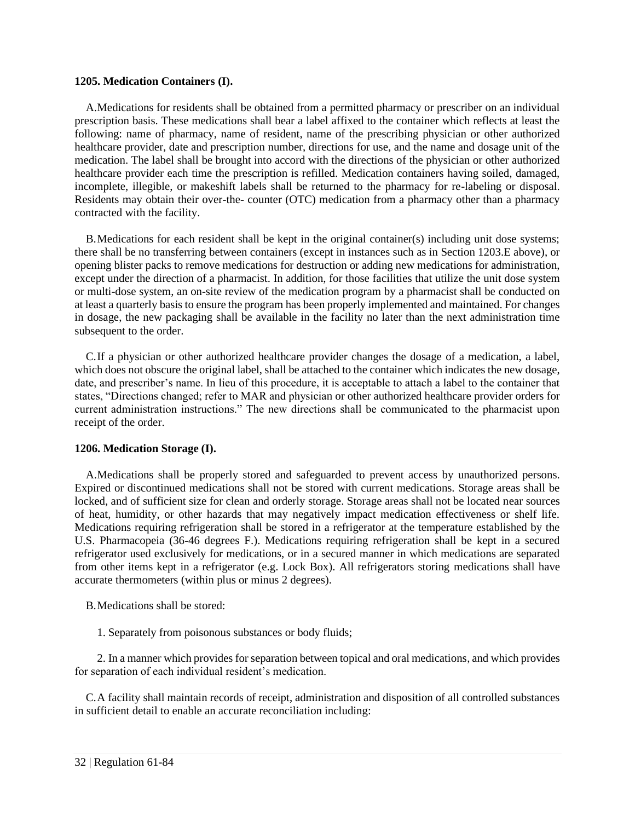#### **1205. Medication Containers (I).**

A.Medications for residents shall be obtained from a permitted pharmacy or prescriber on an individual prescription basis. These medications shall bear a label affixed to the container which reflects at least the following: name of pharmacy, name of resident, name of the prescribing physician or other authorized healthcare provider, date and prescription number, directions for use, and the name and dosage unit of the medication. The label shall be brought into accord with the directions of the physician or other authorized healthcare provider each time the prescription is refilled. Medication containers having soiled, damaged, incomplete, illegible, or makeshift labels shall be returned to the pharmacy for re-labeling or disposal. Residents may obtain their over-the- counter (OTC) medication from a pharmacy other than a pharmacy contracted with the facility.

B.Medications for each resident shall be kept in the original container(s) including unit dose systems; there shall be no transferring between containers (except in instances such as in Section 1203.E above), or opening blister packs to remove medications for destruction or adding new medications for administration, except under the direction of a pharmacist. In addition, for those facilities that utilize the unit dose system or multi-dose system, an on-site review of the medication program by a pharmacist shall be conducted on at least a quarterly basis to ensure the program has been properly implemented and maintained. For changes in dosage, the new packaging shall be available in the facility no later than the next administration time subsequent to the order.

C.If a physician or other authorized healthcare provider changes the dosage of a medication, a label, which does not obscure the original label, shall be attached to the container which indicates the new dosage, date, and prescriber's name. In lieu of this procedure, it is acceptable to attach a label to the container that states, "Directions changed; refer to MAR and physician or other authorized healthcare provider orders for current administration instructions." The new directions shall be communicated to the pharmacist upon receipt of the order.

#### <span id="page-37-0"></span>**1206. Medication Storage (I).**

A.Medications shall be properly stored and safeguarded to prevent access by unauthorized persons. Expired or discontinued medications shall not be stored with current medications. Storage areas shall be locked, and of sufficient size for clean and orderly storage. Storage areas shall not be located near sources of heat, humidity, or other hazards that may negatively impact medication effectiveness or shelf life. Medications requiring refrigeration shall be stored in a refrigerator at the temperature established by the U.S. Pharmacopeia (36-46 degrees F.). Medications requiring refrigeration shall be kept in a secured refrigerator used exclusively for medications, or in a secured manner in which medications are separated from other items kept in a refrigerator (e.g. Lock Box). All refrigerators storing medications shall have accurate thermometers (within plus or minus 2 degrees).

B.Medications shall be stored:

1. Separately from poisonous substances or body fluids;

2. In a manner which provides for separation between topical and oral medications, and which provides for separation of each individual resident's medication.

C.A facility shall maintain records of receipt, administration and disposition of all controlled substances in sufficient detail to enable an accurate reconciliation including: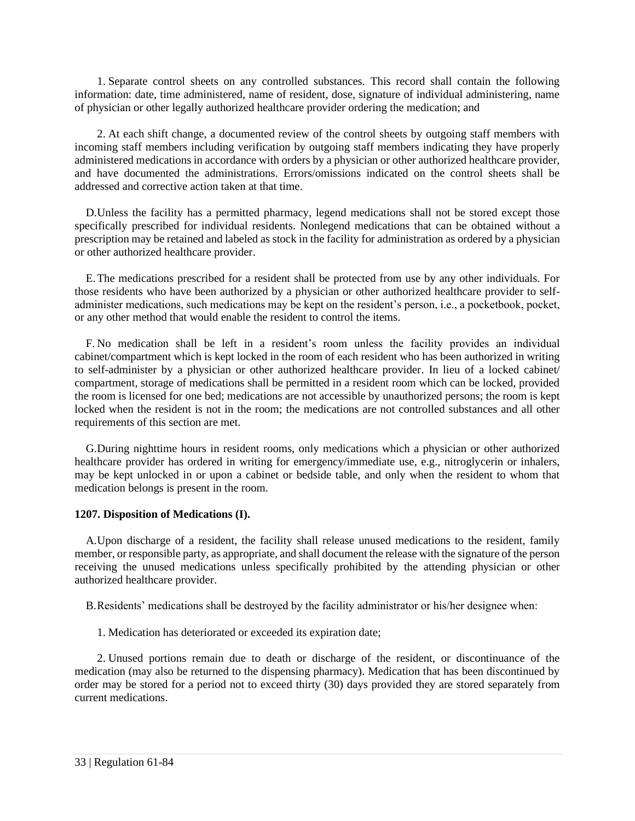1. Separate control sheets on any controlled substances. This record shall contain the following information: date, time administered, name of resident, dose, signature of individual administering, name of physician or other legally authorized healthcare provider ordering the medication; and

2. At each shift change, a documented review of the control sheets by outgoing staff members with incoming staff members including verification by outgoing staff members indicating they have properly administered medications in accordance with orders by a physician or other authorized healthcare provider, and have documented the administrations. Errors/omissions indicated on the control sheets shall be addressed and corrective action taken at that time.

D.Unless the facility has a permitted pharmacy, legend medications shall not be stored except those specifically prescribed for individual residents. Nonlegend medications that can be obtained without a prescription may be retained and labeled as stock in the facility for administration as ordered by a physician or other authorized healthcare provider.

E.The medications prescribed for a resident shall be protected from use by any other individuals. For those residents who have been authorized by a physician or other authorized healthcare provider to selfadminister medications, such medications may be kept on the resident's person, i.e., a pocketbook, pocket, or any other method that would enable the resident to control the items.

F. No medication shall be left in a resident's room unless the facility provides an individual cabinet/compartment which is kept locked in the room of each resident who has been authorized in writing to self-administer by a physician or other authorized healthcare provider. In lieu of a locked cabinet/ compartment, storage of medications shall be permitted in a resident room which can be locked, provided the room is licensed for one bed; medications are not accessible by unauthorized persons; the room is kept locked when the resident is not in the room; the medications are not controlled substances and all other requirements of this section are met.

G.During nighttime hours in resident rooms, only medications which a physician or other authorized healthcare provider has ordered in writing for emergency/immediate use, e.g., nitroglycerin or inhalers, may be kept unlocked in or upon a cabinet or bedside table, and only when the resident to whom that medication belongs is present in the room.

# <span id="page-38-0"></span>**1207. Disposition of Medications (I).**

A.Upon discharge of a resident, the facility shall release unused medications to the resident, family member, or responsible party, as appropriate, and shall document the release with the signature of the person receiving the unused medications unless specifically prohibited by the attending physician or other authorized healthcare provider.

B.Residents' medications shall be destroyed by the facility administrator or his/her designee when:

1. Medication has deteriorated or exceeded its expiration date;

2. Unused portions remain due to death or discharge of the resident, or discontinuance of the medication (may also be returned to the dispensing pharmacy). Medication that has been discontinued by order may be stored for a period not to exceed thirty (30) days provided they are stored separately from current medications.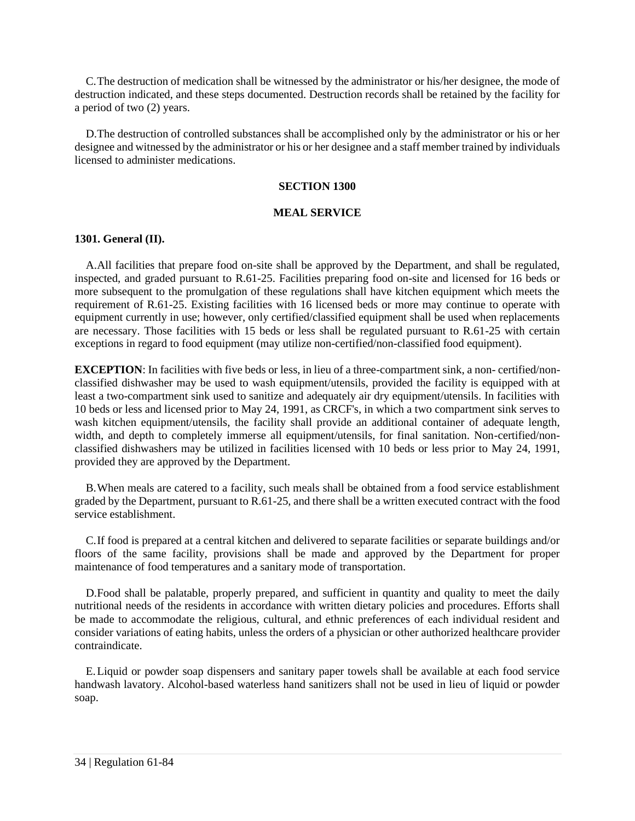C.The destruction of medication shall be witnessed by the administrator or his/her designee, the mode of destruction indicated, and these steps documented. Destruction records shall be retained by the facility for a period of two (2) years.

<span id="page-39-0"></span>D.The destruction of controlled substances shall be accomplished only by the administrator or his or her designee and witnessed by the administrator or his or her designee and a staff member trained by individuals licensed to administer medications.

# **SECTION 1300**

# **MEAL SERVICE**

# <span id="page-39-1"></span>**1301. General (II).**

A.All facilities that prepare food on-site shall be approved by the Department, and shall be regulated, inspected, and graded pursuant to R.61-25. Facilities preparing food on-site and licensed for 16 beds or more subsequent to the promulgation of these regulations shall have kitchen equipment which meets the requirement of R.61-25. Existing facilities with 16 licensed beds or more may continue to operate with equipment currently in use; however, only certified/classified equipment shall be used when replacements are necessary. Those facilities with 15 beds or less shall be regulated pursuant to R.61-25 with certain exceptions in regard to food equipment (may utilize non-certified/non-classified food equipment).

**EXCEPTION**: In facilities with five beds or less, in lieu of a three-compartment sink, a non- certified/nonclassified dishwasher may be used to wash equipment/utensils, provided the facility is equipped with at least a two-compartment sink used to sanitize and adequately air dry equipment/utensils. In facilities with 10 beds or less and licensed prior to May 24, 1991, as CRCF's, in which a two compartment sink serves to wash kitchen equipment/utensils, the facility shall provide an additional container of adequate length, width, and depth to completely immerse all equipment/utensils, for final sanitation. Non-certified/nonclassified dishwashers may be utilized in facilities licensed with 10 beds or less prior to May 24, 1991, provided they are approved by the Department.

B.When meals are catered to a facility, such meals shall be obtained from a food service establishment graded by the Department, pursuant to R.61-25, and there shall be a written executed contract with the food service establishment.

C.If food is prepared at a central kitchen and delivered to separate facilities or separate buildings and/or floors of the same facility, provisions shall be made and approved by the Department for proper maintenance of food temperatures and a sanitary mode of transportation.

D.Food shall be palatable, properly prepared, and sufficient in quantity and quality to meet the daily nutritional needs of the residents in accordance with written dietary policies and procedures. Efforts shall be made to accommodate the religious, cultural, and ethnic preferences of each individual resident and consider variations of eating habits, unless the orders of a physician or other authorized healthcare provider contraindicate.

<span id="page-39-2"></span>E.Liquid or powder soap dispensers and sanitary paper towels shall be available at each food service handwash lavatory. Alcohol-based waterless hand sanitizers shall not be used in lieu of liquid or powder soap.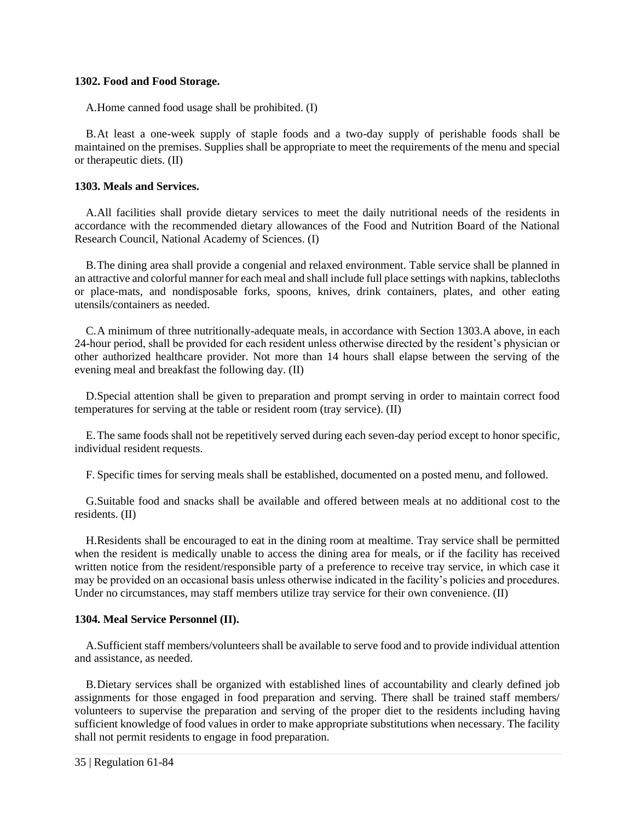#### **1302. Food and Food Storage.**

A.Home canned food usage shall be prohibited. (I)

B.At least a one-week supply of staple foods and a two-day supply of perishable foods shall be maintained on the premises. Supplies shall be appropriate to meet the requirements of the menu and special or therapeutic diets. (II)

# <span id="page-40-0"></span>**1303. Meals and Services.**

A.All facilities shall provide dietary services to meet the daily nutritional needs of the residents in accordance with the recommended dietary allowances of the Food and Nutrition Board of the National Research Council, National Academy of Sciences. (I)

B.The dining area shall provide a congenial and relaxed environment. Table service shall be planned in an attractive and colorful manner for each meal and shall include full place settings with napkins, tablecloths or place-mats, and nondisposable forks, spoons, knives, drink containers, plates, and other eating utensils/containers as needed.

C.A minimum of three nutritionally-adequate meals, in accordance with Section 1303.A above, in each 24-hour period, shall be provided for each resident unless otherwise directed by the resident's physician or other authorized healthcare provider. Not more than 14 hours shall elapse between the serving of the evening meal and breakfast the following day. (II)

D.Special attention shall be given to preparation and prompt serving in order to maintain correct food temperatures for serving at the table or resident room (tray service). (II)

E.The same foods shall not be repetitively served during each seven-day period except to honor specific, individual resident requests.

F. Specific times for serving meals shall be established, documented on a posted menu, and followed.

G.Suitable food and snacks shall be available and offered between meals at no additional cost to the residents. (II)

H.Residents shall be encouraged to eat in the dining room at mealtime. Tray service shall be permitted when the resident is medically unable to access the dining area for meals, or if the facility has received written notice from the resident/responsible party of a preference to receive tray service, in which case it may be provided on an occasional basis unless otherwise indicated in the facility's policies and procedures. Under no circumstances, may staff members utilize tray service for their own convenience. (II)

# <span id="page-40-1"></span>**1304. Meal Service Personnel (II).**

A.Sufficient staff members/volunteers shall be available to serve food and to provide individual attention and assistance, as needed.

B.Dietary services shall be organized with established lines of accountability and clearly defined job assignments for those engaged in food preparation and serving. There shall be trained staff members/ volunteers to supervise the preparation and serving of the proper diet to the residents including having sufficient knowledge of food values in order to make appropriate substitutions when necessary. The facility shall not permit residents to engage in food preparation.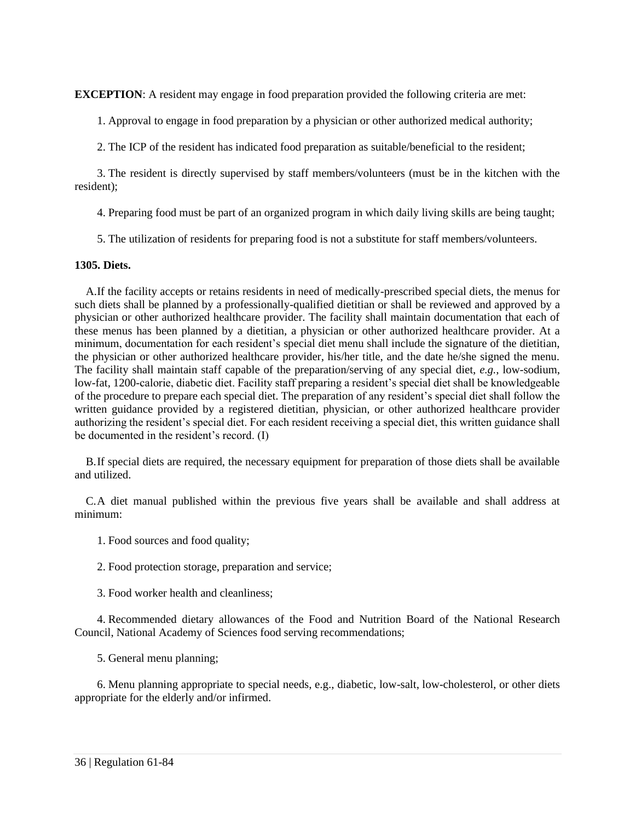**EXCEPTION:** A resident may engage in food preparation provided the following criteria are met:

1. Approval to engage in food preparation by a physician or other authorized medical authority;

2. The ICP of the resident has indicated food preparation as suitable/beneficial to the resident;

3. The resident is directly supervised by staff members/volunteers (must be in the kitchen with the resident);

4. Preparing food must be part of an organized program in which daily living skills are being taught;

5. The utilization of residents for preparing food is not a substitute for staff members/volunteers.

# <span id="page-41-0"></span>**1305. Diets.**

A.If the facility accepts or retains residents in need of medically-prescribed special diets, the menus for such diets shall be planned by a professionally-qualified dietitian or shall be reviewed and approved by a physician or other authorized healthcare provider. The facility shall maintain documentation that each of these menus has been planned by a dietitian, a physician or other authorized healthcare provider. At a minimum, documentation for each resident's special diet menu shall include the signature of the dietitian, the physician or other authorized healthcare provider, his/her title, and the date he/she signed the menu. The facility shall maintain staff capable of the preparation/serving of any special diet, *e.g.*, low-sodium, low-fat, 1200-calorie, diabetic diet. Facility staff preparing a resident's special diet shall be knowledgeable of the procedure to prepare each special diet. The preparation of any resident's special diet shall follow the written guidance provided by a registered dietitian, physician, or other authorized healthcare provider authorizing the resident's special diet. For each resident receiving a special diet, this written guidance shall be documented in the resident's record. (I)

B.If special diets are required, the necessary equipment for preparation of those diets shall be available and utilized.

C.A diet manual published within the previous five years shall be available and shall address at minimum:

- 1. Food sources and food quality;
- 2. Food protection storage, preparation and service;
- 3. Food worker health and cleanliness;

4. Recommended dietary allowances of the Food and Nutrition Board of the National Research Council, National Academy of Sciences food serving recommendations;

5. General menu planning;

<span id="page-41-1"></span>6. Menu planning appropriate to special needs, e.g., diabetic, low-salt, low-cholesterol, or other diets appropriate for the elderly and/or infirmed.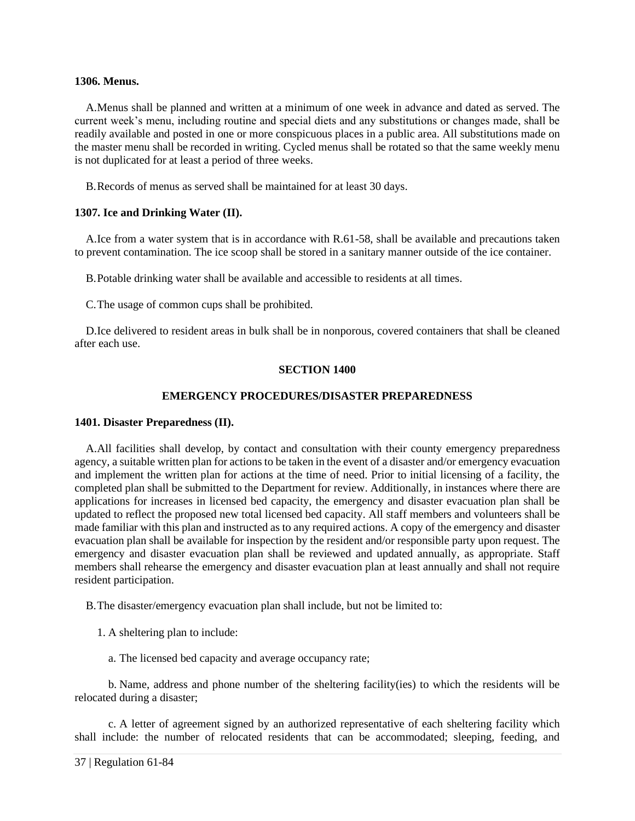#### **1306. Menus.**

A.Menus shall be planned and written at a minimum of one week in advance and dated as served. The current week's menu, including routine and special diets and any substitutions or changes made, shall be readily available and posted in one or more conspicuous places in a public area. All substitutions made on the master menu shall be recorded in writing. Cycled menus shall be rotated so that the same weekly menu is not duplicated for at least a period of three weeks.

B.Records of menus as served shall be maintained for at least 30 days.

# <span id="page-42-0"></span>**1307. Ice and Drinking Water (II).**

A.Ice from a water system that is in accordance with R.61-58, shall be available and precautions taken to prevent contamination. The ice scoop shall be stored in a sanitary manner outside of the ice container.

B.Potable drinking water shall be available and accessible to residents at all times.

C.The usage of common cups shall be prohibited.

<span id="page-42-1"></span>D.Ice delivered to resident areas in bulk shall be in nonporous, covered containers that shall be cleaned after each use.

# **SECTION 1400**

# **EMERGENCY PROCEDURES/DISASTER PREPAREDNESS**

# <span id="page-42-2"></span>**1401. Disaster Preparedness (II).**

A.All facilities shall develop, by contact and consultation with their county emergency preparedness agency, a suitable written plan for actions to be taken in the event of a disaster and/or emergency evacuation and implement the written plan for actions at the time of need. Prior to initial licensing of a facility, the completed plan shall be submitted to the Department for review. Additionally, in instances where there are applications for increases in licensed bed capacity, the emergency and disaster evacuation plan shall be updated to reflect the proposed new total licensed bed capacity. All staff members and volunteers shall be made familiar with this plan and instructed as to any required actions. A copy of the emergency and disaster evacuation plan shall be available for inspection by the resident and/or responsible party upon request. The emergency and disaster evacuation plan shall be reviewed and updated annually, as appropriate. Staff members shall rehearse the emergency and disaster evacuation plan at least annually and shall not require resident participation.

B.The disaster/emergency evacuation plan shall include, but not be limited to:

- 1. A sheltering plan to include:
	- a. The licensed bed capacity and average occupancy rate;

b. Name, address and phone number of the sheltering facility(ies) to which the residents will be relocated during a disaster;

c. A letter of agreement signed by an authorized representative of each sheltering facility which shall include: the number of relocated residents that can be accommodated; sleeping, feeding, and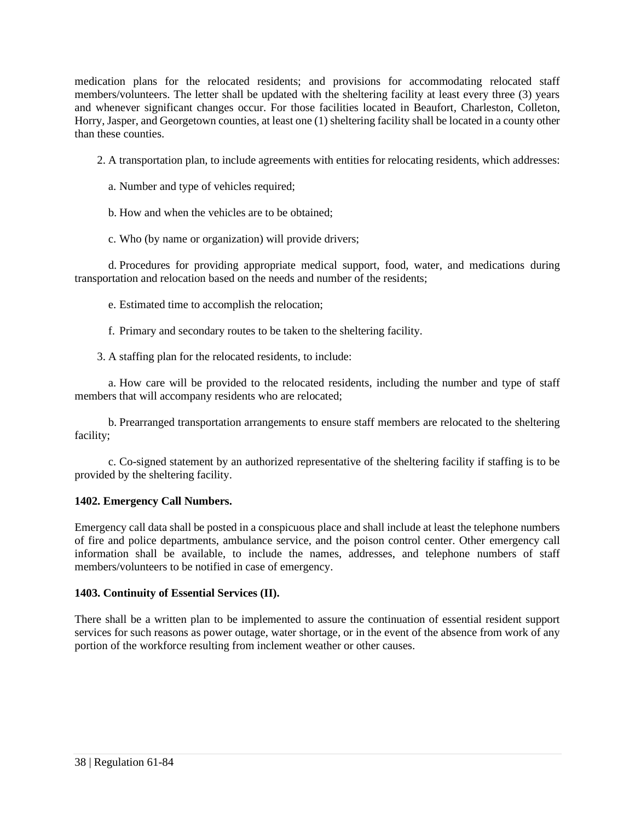medication plans for the relocated residents; and provisions for accommodating relocated staff members/volunteers. The letter shall be updated with the sheltering facility at least every three (3) years and whenever significant changes occur. For those facilities located in Beaufort, Charleston, Colleton, Horry, Jasper, and Georgetown counties, at least one (1) sheltering facility shall be located in a county other than these counties.

2. A transportation plan, to include agreements with entities for relocating residents, which addresses:

- a. Number and type of vehicles required;
- b. How and when the vehicles are to be obtained;
- c. Who (by name or organization) will provide drivers;

d. Procedures for providing appropriate medical support, food, water, and medications during transportation and relocation based on the needs and number of the residents;

e. Estimated time to accomplish the relocation;

f. Primary and secondary routes to be taken to the sheltering facility.

3. A staffing plan for the relocated residents, to include:

a. How care will be provided to the relocated residents, including the number and type of staff members that will accompany residents who are relocated;

b. Prearranged transportation arrangements to ensure staff members are relocated to the sheltering facility;

c. Co-signed statement by an authorized representative of the sheltering facility if staffing is to be provided by the sheltering facility.

# <span id="page-43-0"></span>**1402. Emergency Call Numbers.**

Emergency call data shall be posted in a conspicuous place and shall include at least the telephone numbers of fire and police departments, ambulance service, and the poison control center. Other emergency call information shall be available, to include the names, addresses, and telephone numbers of staff members/volunteers to be notified in case of emergency.

# <span id="page-43-1"></span>**1403. Continuity of Essential Services (II).**

<span id="page-43-2"></span>There shall be a written plan to be implemented to assure the continuation of essential resident support services for such reasons as power outage, water shortage, or in the event of the absence from work of any portion of the workforce resulting from inclement weather or other causes.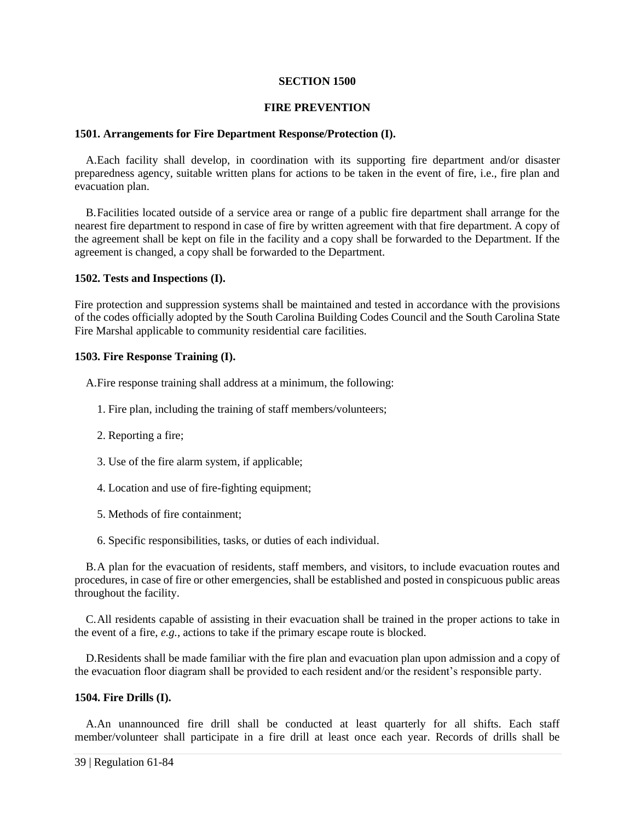#### **SECTION 1500**

#### **FIRE PREVENTION**

# <span id="page-44-0"></span>**1501. Arrangements for Fire Department Response/Protection (I).**

A.Each facility shall develop, in coordination with its supporting fire department and/or disaster preparedness agency, suitable written plans for actions to be taken in the event of fire, i.e., fire plan and evacuation plan.

B.Facilities located outside of a service area or range of a public fire department shall arrange for the nearest fire department to respond in case of fire by written agreement with that fire department. A copy of the agreement shall be kept on file in the facility and a copy shall be forwarded to the Department. If the agreement is changed, a copy shall be forwarded to the Department.

# <span id="page-44-1"></span>**1502. Tests and Inspections (I).**

Fire protection and suppression systems shall be maintained and tested in accordance with the provisions of the codes officially adopted by the South Carolina Building Codes Council and the South Carolina State Fire Marshal applicable to community residential care facilities.

# <span id="page-44-2"></span>**1503. Fire Response Training (I).**

A.Fire response training shall address at a minimum, the following:

- 1. Fire plan, including the training of staff members/volunteers;
- 2. Reporting a fire;
- 3. Use of the fire alarm system, if applicable;
- 4. Location and use of fire-fighting equipment;
- 5. Methods of fire containment;
- 6. Specific responsibilities, tasks, or duties of each individual.

B.A plan for the evacuation of residents, staff members, and visitors, to include evacuation routes and procedures, in case of fire or other emergencies, shall be established and posted in conspicuous public areas throughout the facility.

C.All residents capable of assisting in their evacuation shall be trained in the proper actions to take in the event of a fire, *e.g.*, actions to take if the primary escape route is blocked.

D.Residents shall be made familiar with the fire plan and evacuation plan upon admission and a copy of the evacuation floor diagram shall be provided to each resident and/or the resident's responsible party.

#### <span id="page-44-3"></span>**1504. Fire Drills (I).**

A.An unannounced fire drill shall be conducted at least quarterly for all shifts. Each staff member/volunteer shall participate in a fire drill at least once each year. Records of drills shall be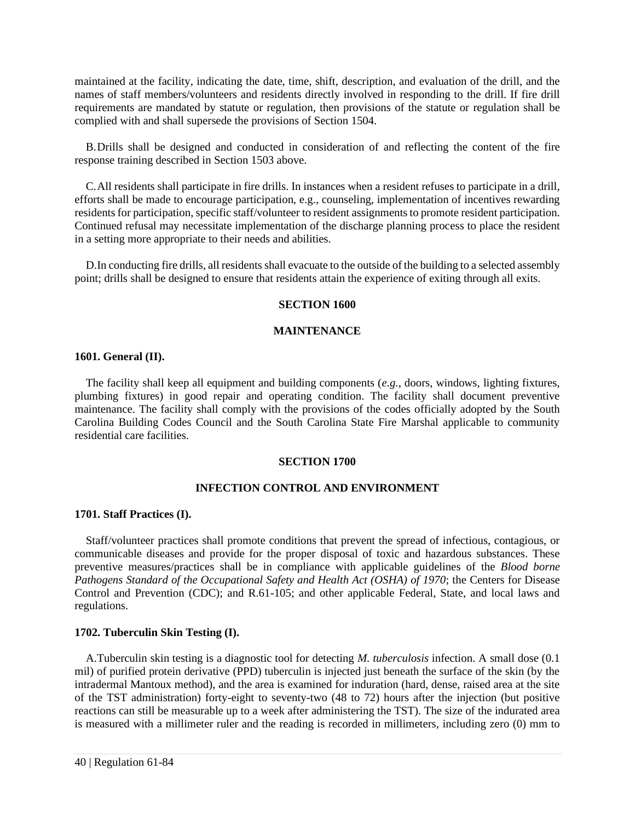maintained at the facility, indicating the date, time, shift, description, and evaluation of the drill, and the names of staff members/volunteers and residents directly involved in responding to the drill. If fire drill requirements are mandated by statute or regulation, then provisions of the statute or regulation shall be complied with and shall supersede the provisions of Section 1504.

B.Drills shall be designed and conducted in consideration of and reflecting the content of the fire response training described in Section 1503 above.

C.All residents shall participate in fire drills. In instances when a resident refuses to participate in a drill, efforts shall be made to encourage participation, e.g., counseling, implementation of incentives rewarding residents for participation, specific staff/volunteer to resident assignments to promote resident participation. Continued refusal may necessitate implementation of the discharge planning process to place the resident in a setting more appropriate to their needs and abilities.

<span id="page-45-0"></span>D.In conducting fire drills, all residents shall evacuate to the outside of the building to a selected assembly point; drills shall be designed to ensure that residents attain the experience of exiting through all exits.

#### **SECTION 1600**

# **MAINTENANCE**

#### <span id="page-45-1"></span>**1601. General (II).**

The facility shall keep all equipment and building components (*e.g.*, doors, windows, lighting fixtures, plumbing fixtures) in good repair and operating condition. The facility shall document preventive maintenance. The facility shall comply with the provisions of the codes officially adopted by the South Carolina Building Codes Council and the South Carolina State Fire Marshal applicable to community residential care facilities.

#### **SECTION 1700**

#### **INFECTION CONTROL AND ENVIRONMENT**

#### <span id="page-45-3"></span><span id="page-45-2"></span>**1701. Staff Practices (I).**

Staff/volunteer practices shall promote conditions that prevent the spread of infectious, contagious, or communicable diseases and provide for the proper disposal of toxic and hazardous substances. These preventive measures/practices shall be in compliance with applicable guidelines of the *Blood borne Pathogens Standard of the Occupational Safety and Health Act (OSHA) of 1970*; the Centers for Disease Control and Prevention (CDC); and R.61-105; and other applicable Federal, State, and local laws and regulations.

#### <span id="page-45-4"></span>**1702. Tuberculin Skin Testing (I).**

A.Tuberculin skin testing is a diagnostic tool for detecting *M. tuberculosis* infection. A small dose (0.1 mil) of purified protein derivative (PPD) tuberculin is injected just beneath the surface of the skin (by the intradermal Mantoux method), and the area is examined for induration (hard, dense, raised area at the site of the TST administration) forty-eight to seventy-two (48 to 72) hours after the injection (but positive reactions can still be measurable up to a week after administering the TST). The size of the indurated area is measured with a millimeter ruler and the reading is recorded in millimeters, including zero (0) mm to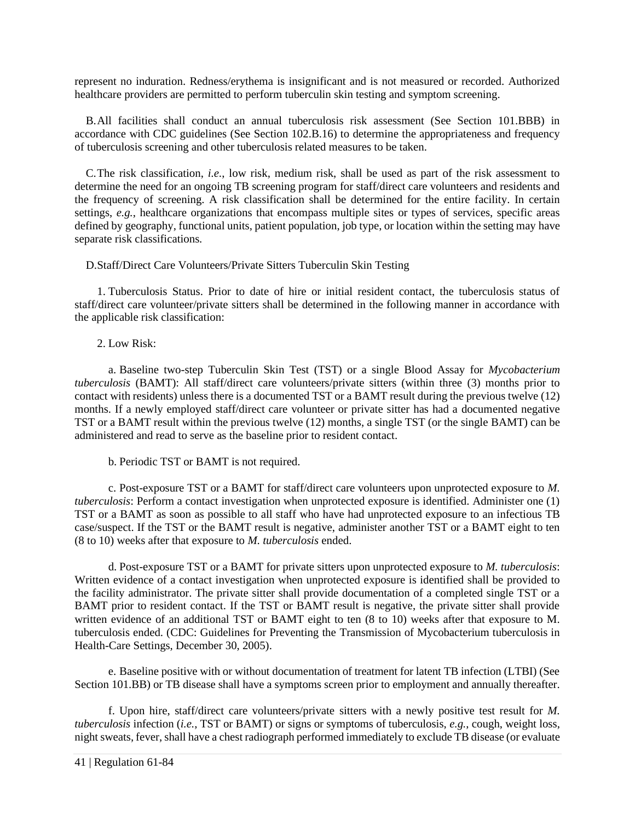represent no induration. Redness/erythema is insignificant and is not measured or recorded. Authorized healthcare providers are permitted to perform tuberculin skin testing and symptom screening.

B.All facilities shall conduct an annual tuberculosis risk assessment (See Section 101.BBB) in accordance with CDC guidelines (See Section 102.B.16) to determine the appropriateness and frequency of tuberculosis screening and other tuberculosis related measures to be taken.

C.The risk classification, *i.e.*, low risk, medium risk, shall be used as part of the risk assessment to determine the need for an ongoing TB screening program for staff/direct care volunteers and residents and the frequency of screening. A risk classification shall be determined for the entire facility. In certain settings, *e.g.*, healthcare organizations that encompass multiple sites or types of services, specific areas defined by geography, functional units, patient population, job type, or location within the setting may have separate risk classifications.

D.Staff/Direct Care Volunteers/Private Sitters Tuberculin Skin Testing

1. Tuberculosis Status. Prior to date of hire or initial resident contact, the tuberculosis status of staff/direct care volunteer/private sitters shall be determined in the following manner in accordance with the applicable risk classification:

2. Low Risk:

a. Baseline two-step Tuberculin Skin Test (TST) or a single Blood Assay for *Mycobacterium tuberculosis* (BAMT): All staff/direct care volunteers/private sitters (within three (3) months prior to contact with residents) unless there is a documented TST or a BAMT result during the previous twelve (12) months. If a newly employed staff/direct care volunteer or private sitter has had a documented negative TST or a BAMT result within the previous twelve (12) months, a single TST (or the single BAMT) can be administered and read to serve as the baseline prior to resident contact.

b. Periodic TST or BAMT is not required.

c. Post-exposure TST or a BAMT for staff/direct care volunteers upon unprotected exposure to *M. tuberculosis*: Perform a contact investigation when unprotected exposure is identified. Administer one (1) TST or a BAMT as soon as possible to all staff who have had unprotected exposure to an infectious TB case/suspect. If the TST or the BAMT result is negative, administer another TST or a BAMT eight to ten (8 to 10) weeks after that exposure to *M. tuberculosis* ended.

d. Post-exposure TST or a BAMT for private sitters upon unprotected exposure to *M. tuberculosis*: Written evidence of a contact investigation when unprotected exposure is identified shall be provided to the facility administrator. The private sitter shall provide documentation of a completed single TST or a BAMT prior to resident contact. If the TST or BAMT result is negative, the private sitter shall provide written evidence of an additional TST or BAMT eight to ten (8 to 10) weeks after that exposure to M. tuberculosis ended. (CDC: Guidelines for Preventing the Transmission of Mycobacterium tuberculosis in Health-Care Settings, December 30, 2005).

e. Baseline positive with or without documentation of treatment for latent TB infection (LTBI) (See Section 101.BB) or TB disease shall have a symptoms screen prior to employment and annually thereafter.

f. Upon hire, staff/direct care volunteers/private sitters with a newly positive test result for *M. tuberculosis* infection (*i.e.*, TST or BAMT) or signs or symptoms of tuberculosis, *e.g.*, cough, weight loss, night sweats, fever, shall have a chest radiograph performed immediately to exclude TB disease (or evaluate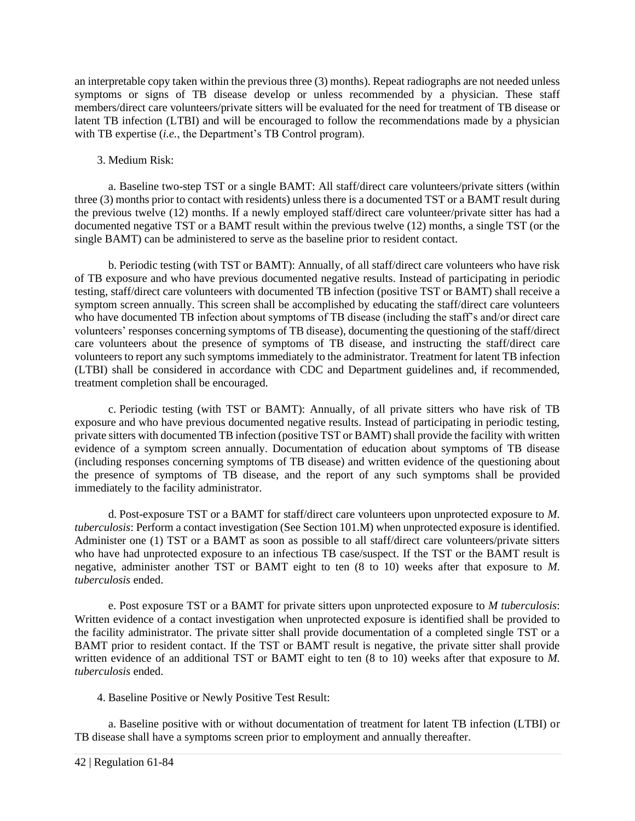an interpretable copy taken within the previous three (3) months). Repeat radiographs are not needed unless symptoms or signs of TB disease develop or unless recommended by a physician. These staff members/direct care volunteers/private sitters will be evaluated for the need for treatment of TB disease or latent TB infection (LTBI) and will be encouraged to follow the recommendations made by a physician with TB expertise (*i.e.*, the Department's TB Control program).

# 3. Medium Risk:

a. Baseline two-step TST or a single BAMT: All staff/direct care volunteers/private sitters (within three (3) months prior to contact with residents) unless there is a documented TST or a BAMT result during the previous twelve (12) months. If a newly employed staff/direct care volunteer/private sitter has had a documented negative TST or a BAMT result within the previous twelve (12) months, a single TST (or the single BAMT) can be administered to serve as the baseline prior to resident contact.

b. Periodic testing (with TST or BAMT): Annually, of all staff/direct care volunteers who have risk of TB exposure and who have previous documented negative results. Instead of participating in periodic testing, staff/direct care volunteers with documented TB infection (positive TST or BAMT) shall receive a symptom screen annually. This screen shall be accomplished by educating the staff/direct care volunteers who have documented TB infection about symptoms of TB disease (including the staff's and/or direct care volunteers' responses concerning symptoms of TB disease), documenting the questioning of the staff/direct care volunteers about the presence of symptoms of TB disease, and instructing the staff/direct care volunteers to report any such symptoms immediately to the administrator. Treatment for latent TB infection (LTBI) shall be considered in accordance with CDC and Department guidelines and, if recommended, treatment completion shall be encouraged.

c. Periodic testing (with TST or BAMT): Annually, of all private sitters who have risk of TB exposure and who have previous documented negative results. Instead of participating in periodic testing, private sitters with documented TB infection (positive TST or BAMT) shall provide the facility with written evidence of a symptom screen annually. Documentation of education about symptoms of TB disease (including responses concerning symptoms of TB disease) and written evidence of the questioning about the presence of symptoms of TB disease, and the report of any such symptoms shall be provided immediately to the facility administrator.

d. Post-exposure TST or a BAMT for staff/direct care volunteers upon unprotected exposure to *M. tuberculosis*: Perform a contact investigation (See Section 101.M) when unprotected exposure is identified. Administer one (1) TST or a BAMT as soon as possible to all staff/direct care volunteers/private sitters who have had unprotected exposure to an infectious TB case/suspect. If the TST or the BAMT result is negative, administer another TST or BAMT eight to ten (8 to 10) weeks after that exposure to *M. tuberculosis* ended.

e. Post exposure TST or a BAMT for private sitters upon unprotected exposure to *M tuberculosis*: Written evidence of a contact investigation when unprotected exposure is identified shall be provided to the facility administrator. The private sitter shall provide documentation of a completed single TST or a BAMT prior to resident contact. If the TST or BAMT result is negative, the private sitter shall provide written evidence of an additional TST or BAMT eight to ten (8 to 10) weeks after that exposure to *M. tuberculosis* ended.

4. Baseline Positive or Newly Positive Test Result:

a. Baseline positive with or without documentation of treatment for latent TB infection (LTBI) or TB disease shall have a symptoms screen prior to employment and annually thereafter.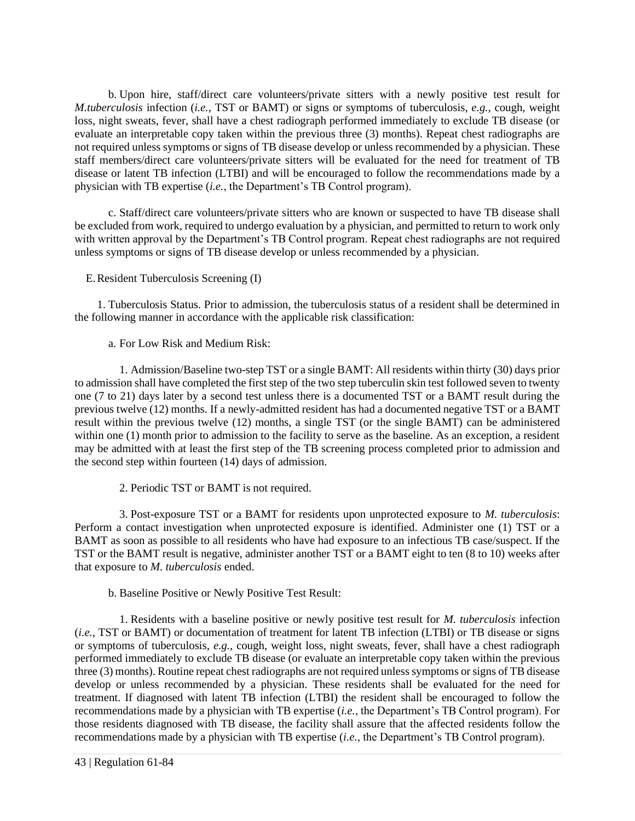b. Upon hire, staff/direct care volunteers/private sitters with a newly positive test result for *M.tuberculosis* infection (*i.e.*, TST or BAMT) or signs or symptoms of tuberculosis, *e.g.*, cough, weight loss, night sweats, fever, shall have a chest radiograph performed immediately to exclude TB disease (or evaluate an interpretable copy taken within the previous three (3) months). Repeat chest radiographs are not required unless symptoms or signs of TB disease develop or unless recommended by a physician. These staff members/direct care volunteers/private sitters will be evaluated for the need for treatment of TB disease or latent TB infection (LTBI) and will be encouraged to follow the recommendations made by a physician with TB expertise (*i.e.*, the Department's TB Control program).

c. Staff/direct care volunteers/private sitters who are known or suspected to have TB disease shall be excluded from work, required to undergo evaluation by a physician, and permitted to return to work only with written approval by the Department's TB Control program. Repeat chest radiographs are not required unless symptoms or signs of TB disease develop or unless recommended by a physician.

# E.Resident Tuberculosis Screening (I)

1. Tuberculosis Status. Prior to admission, the tuberculosis status of a resident shall be determined in the following manner in accordance with the applicable risk classification:

a. For Low Risk and Medium Risk:

1. Admission/Baseline two-step TST or a single BAMT: All residents within thirty (30) days prior to admission shall have completed the first step of the two step tuberculin skin test followed seven to twenty one (7 to 21) days later by a second test unless there is a documented TST or a BAMT result during the previous twelve (12) months. If a newly-admitted resident has had a documented negative TST or a BAMT result within the previous twelve (12) months, a single TST (or the single BAMT) can be administered within one (1) month prior to admission to the facility to serve as the baseline. As an exception, a resident may be admitted with at least the first step of the TB screening process completed prior to admission and the second step within fourteen (14) days of admission.

2. Periodic TST or BAMT is not required.

3. Post-exposure TST or a BAMT for residents upon unprotected exposure to *M. tuberculosis*: Perform a contact investigation when unprotected exposure is identified. Administer one (1) TST or a BAMT as soon as possible to all residents who have had exposure to an infectious TB case/suspect. If the TST or the BAMT result is negative, administer another TST or a BAMT eight to ten (8 to 10) weeks after that exposure to *M. tuberculosis* ended.

b. Baseline Positive or Newly Positive Test Result:

1. Residents with a baseline positive or newly positive test result for *M. tuberculosis* infection (*i.e.*, TST or BAMT) or documentation of treatment for latent TB infection (LTBI) or TB disease or signs or symptoms of tuberculosis, *e.g.*, cough, weight loss, night sweats, fever, shall have a chest radiograph performed immediately to exclude TB disease (or evaluate an interpretable copy taken within the previous three (3) months). Routine repeat chest radiographs are not required unless symptoms or signs of TB disease develop or unless recommended by a physician. These residents shall be evaluated for the need for treatment. If diagnosed with latent TB infection (LTBI) the resident shall be encouraged to follow the recommendations made by a physician with TB expertise (*i.e.*, the Department's TB Control program). For those residents diagnosed with TB disease, the facility shall assure that the affected residents follow the recommendations made by a physician with TB expertise (*i.e.*, the Department's TB Control program).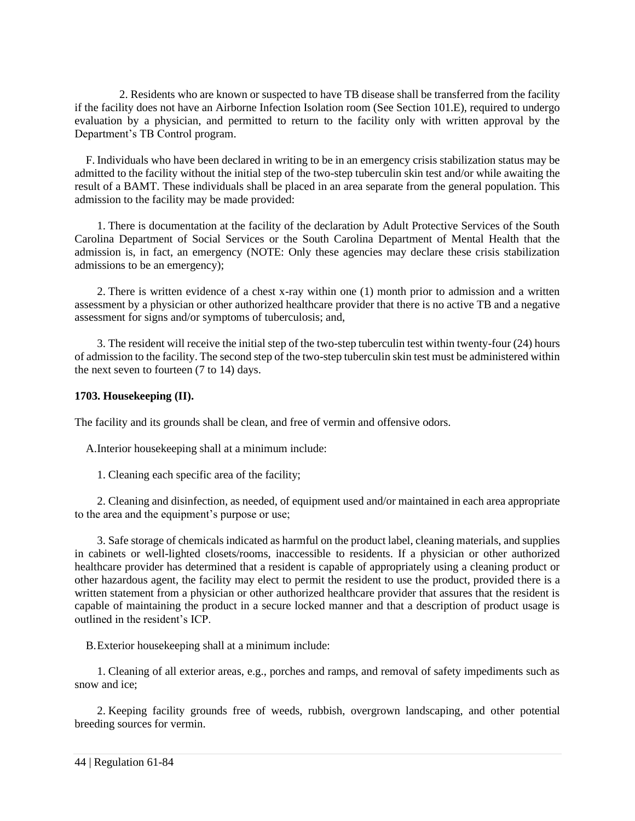2. Residents who are known or suspected to have TB disease shall be transferred from the facility if the facility does not have an Airborne Infection Isolation room (See Section 101.E), required to undergo evaluation by a physician, and permitted to return to the facility only with written approval by the Department's TB Control program.

F. Individuals who have been declared in writing to be in an emergency crisis stabilization status may be admitted to the facility without the initial step of the two-step tuberculin skin test and/or while awaiting the result of a BAMT. These individuals shall be placed in an area separate from the general population. This admission to the facility may be made provided:

1. There is documentation at the facility of the declaration by Adult Protective Services of the South Carolina Department of Social Services or the South Carolina Department of Mental Health that the admission is, in fact, an emergency (NOTE: Only these agencies may declare these crisis stabilization admissions to be an emergency);

2. There is written evidence of a chest x-ray within one (1) month prior to admission and a written assessment by a physician or other authorized healthcare provider that there is no active TB and a negative assessment for signs and/or symptoms of tuberculosis; and,

3. The resident will receive the initial step of the two-step tuberculin test within twenty-four (24) hours of admission to the facility. The second step of the two-step tuberculin skin test must be administered within the next seven to fourteen (7 to 14) days.

# <span id="page-49-0"></span>**1703. Housekeeping (II).**

The facility and its grounds shall be clean, and free of vermin and offensive odors.

A.Interior housekeeping shall at a minimum include:

1. Cleaning each specific area of the facility;

2. Cleaning and disinfection, as needed, of equipment used and/or maintained in each area appropriate to the area and the equipment's purpose or use;

3. Safe storage of chemicals indicated as harmful on the product label, cleaning materials, and supplies in cabinets or well-lighted closets/rooms, inaccessible to residents. If a physician or other authorized healthcare provider has determined that a resident is capable of appropriately using a cleaning product or other hazardous agent, the facility may elect to permit the resident to use the product, provided there is a written statement from a physician or other authorized healthcare provider that assures that the resident is capable of maintaining the product in a secure locked manner and that a description of product usage is outlined in the resident's ICP.

B.Exterior housekeeping shall at a minimum include:

1. Cleaning of all exterior areas, e.g., porches and ramps, and removal of safety impediments such as snow and ice;

2. Keeping facility grounds free of weeds, rubbish, overgrown landscaping, and other potential breeding sources for vermin.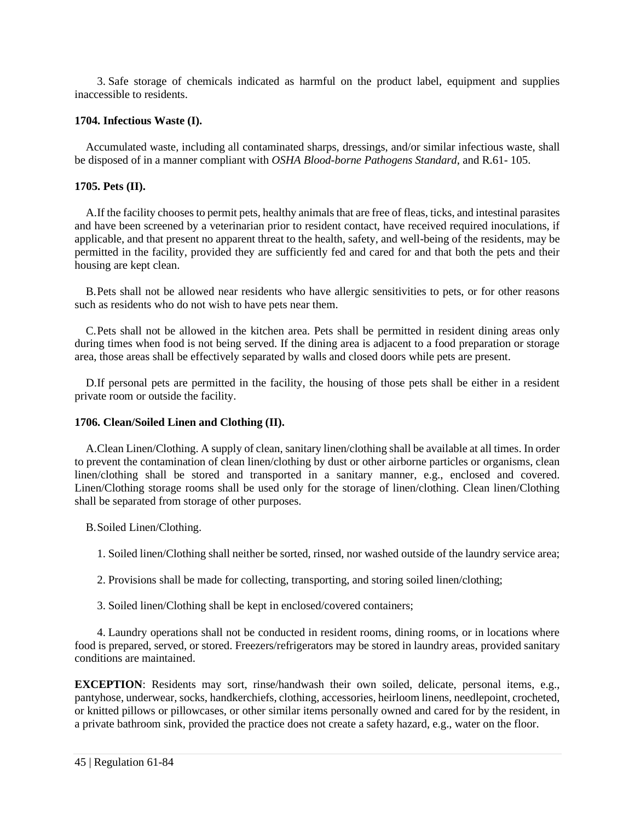3. Safe storage of chemicals indicated as harmful on the product label, equipment and supplies inaccessible to residents.

# <span id="page-50-0"></span>**1704. Infectious Waste (I).**

Accumulated waste, including all contaminated sharps, dressings, and/or similar infectious waste, shall be disposed of in a manner compliant with *OSHA Blood-borne Pathogens Standard*, and R.61- 105.

# <span id="page-50-1"></span>**1705. Pets (II).**

A.If the facility chooses to permit pets, healthy animals that are free of fleas, ticks, and intestinal parasites and have been screened by a veterinarian prior to resident contact, have received required inoculations, if applicable, and that present no apparent threat to the health, safety, and well-being of the residents, may be permitted in the facility, provided they are sufficiently fed and cared for and that both the pets and their housing are kept clean.

B.Pets shall not be allowed near residents who have allergic sensitivities to pets, or for other reasons such as residents who do not wish to have pets near them.

C.Pets shall not be allowed in the kitchen area. Pets shall be permitted in resident dining areas only during times when food is not being served. If the dining area is adjacent to a food preparation or storage area, those areas shall be effectively separated by walls and closed doors while pets are present.

D.If personal pets are permitted in the facility, the housing of those pets shall be either in a resident private room or outside the facility.

# <span id="page-50-2"></span>**1706. Clean/Soiled Linen and Clothing (II).**

A.Clean Linen/Clothing. A supply of clean, sanitary linen/clothing shall be available at all times. In order to prevent the contamination of clean linen/clothing by dust or other airborne particles or organisms, clean linen/clothing shall be stored and transported in a sanitary manner, e.g., enclosed and covered. Linen/Clothing storage rooms shall be used only for the storage of linen/clothing. Clean linen/Clothing shall be separated from storage of other purposes.

B.Soiled Linen/Clothing.

1. Soiled linen/Clothing shall neither be sorted, rinsed, nor washed outside of the laundry service area;

- 2. Provisions shall be made for collecting, transporting, and storing soiled linen/clothing;
- 3. Soiled linen/Clothing shall be kept in enclosed/covered containers;

4. Laundry operations shall not be conducted in resident rooms, dining rooms, or in locations where food is prepared, served, or stored. Freezers/refrigerators may be stored in laundry areas, provided sanitary conditions are maintained.

**EXCEPTION**: Residents may sort, rinse/handwash their own soiled, delicate, personal items, e.g., pantyhose, underwear, socks, handkerchiefs, clothing, accessories, heirloom linens, needlepoint, crocheted, or knitted pillows or pillowcases, or other similar items personally owned and cared for by the resident, in a private bathroom sink, provided the practice does not create a safety hazard, e.g., water on the floor.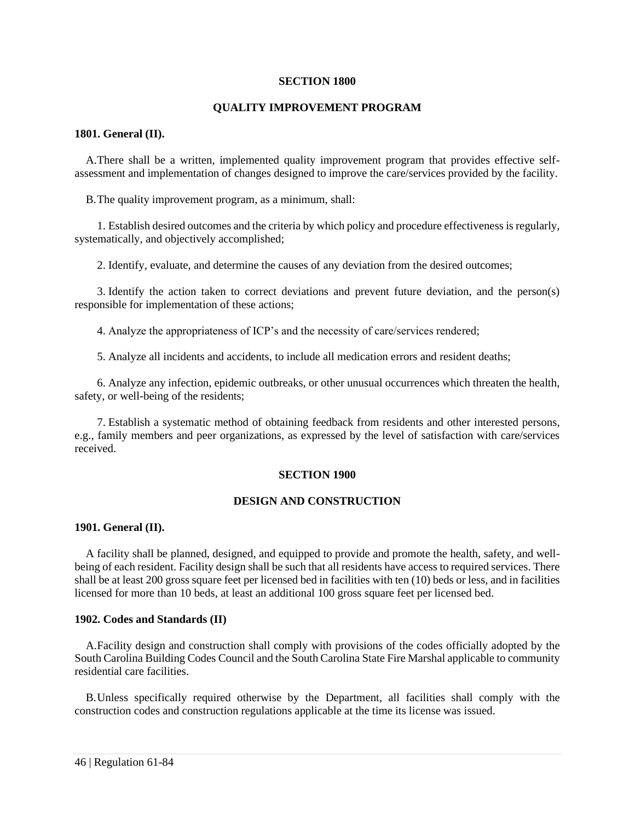#### **SECTION 1800**

#### **QUALITY IMPROVEMENT PROGRAM**

#### <span id="page-51-1"></span><span id="page-51-0"></span>**1801. General (II).**

A.There shall be a written, implemented quality improvement program that provides effective selfassessment and implementation of changes designed to improve the care/services provided by the facility.

B.The quality improvement program, as a minimum, shall:

1. Establish desired outcomes and the criteria by which policy and procedure effectiveness is regularly, systematically, and objectively accomplished;

2. Identify, evaluate, and determine the causes of any deviation from the desired outcomes;

3. Identify the action taken to correct deviations and prevent future deviation, and the person(s) responsible for implementation of these actions;

4. Analyze the appropriateness of ICP's and the necessity of care/services rendered;

5. Analyze all incidents and accidents, to include all medication errors and resident deaths;

6. Analyze any infection, epidemic outbreaks, or other unusual occurrences which threaten the health, safety, or well-being of the residents;

<span id="page-51-2"></span>7. Establish a systematic method of obtaining feedback from residents and other interested persons, e.g., family members and peer organizations, as expressed by the level of satisfaction with care/services received.

# **SECTION 1900**

#### **DESIGN AND CONSTRUCTION**

#### <span id="page-51-3"></span>**1901. General (II).**

A facility shall be planned, designed, and equipped to provide and promote the health, safety, and wellbeing of each resident. Facility design shall be such that all residents have access to required services. There shall be at least 200 gross square feet per licensed bed in facilities with ten (10) beds or less, and in facilities licensed for more than 10 beds, at least an additional 100 gross square feet per licensed bed.

#### <span id="page-51-4"></span>**1902. Codes and Standards (II)**

A.Facility design and construction shall comply with provisions of the codes officially adopted by the South Carolina Building Codes Council and the South Carolina State Fire Marshal applicable to community residential care facilities.

<span id="page-51-5"></span>B.Unless specifically required otherwise by the Department, all facilities shall comply with the construction codes and construction regulations applicable at the time its license was issued.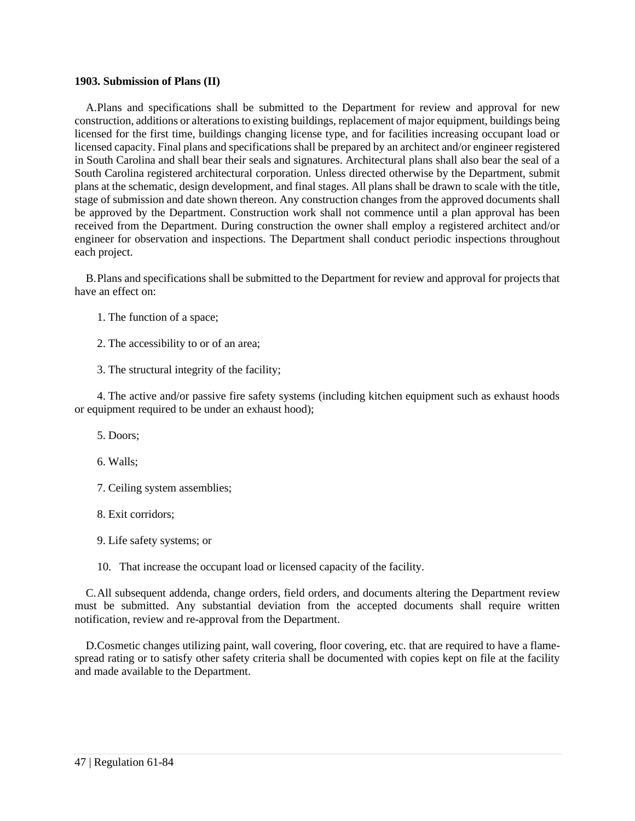#### **1903. Submission of Plans (II)**

A.Plans and specifications shall be submitted to the Department for review and approval for new construction, additions or alterations to existing buildings, replacement of major equipment, buildings being licensed for the first time, buildings changing license type, and for facilities increasing occupant load or licensed capacity. Final plans and specifications shall be prepared by an architect and/or engineer registered in South Carolina and shall bear their seals and signatures. Architectural plans shall also bear the seal of a South Carolina registered architectural corporation. Unless directed otherwise by the Department, submit plans at the schematic, design development, and final stages. All plans shall be drawn to scale with the title, stage of submission and date shown thereon. Any construction changes from the approved documents shall be approved by the Department. Construction work shall not commence until a plan approval has been received from the Department. During construction the owner shall employ a registered architect and/or engineer for observation and inspections. The Department shall conduct periodic inspections throughout each project.

B.Plans and specifications shall be submitted to the Department for review and approval for projects that have an effect on:

- 1. The function of a space;
- 2. The accessibility to or of an area;
- 3. The structural integrity of the facility;

4. The active and/or passive fire safety systems (including kitchen equipment such as exhaust hoods or equipment required to be under an exhaust hood);

- 5. Doors;
- 6. Walls;
- 7. Ceiling system assemblies;
- 8. Exit corridors;
- 9. Life safety systems; or
- 10. That increase the occupant load or licensed capacity of the facility.

C.All subsequent addenda, change orders, field orders, and documents altering the Department review must be submitted. Any substantial deviation from the accepted documents shall require written notification, review and re-approval from the Department.

<span id="page-52-0"></span>D.Cosmetic changes utilizing paint, wall covering, floor covering, etc. that are required to have a flamespread rating or to satisfy other safety criteria shall be documented with copies kept on file at the facility and made available to the Department.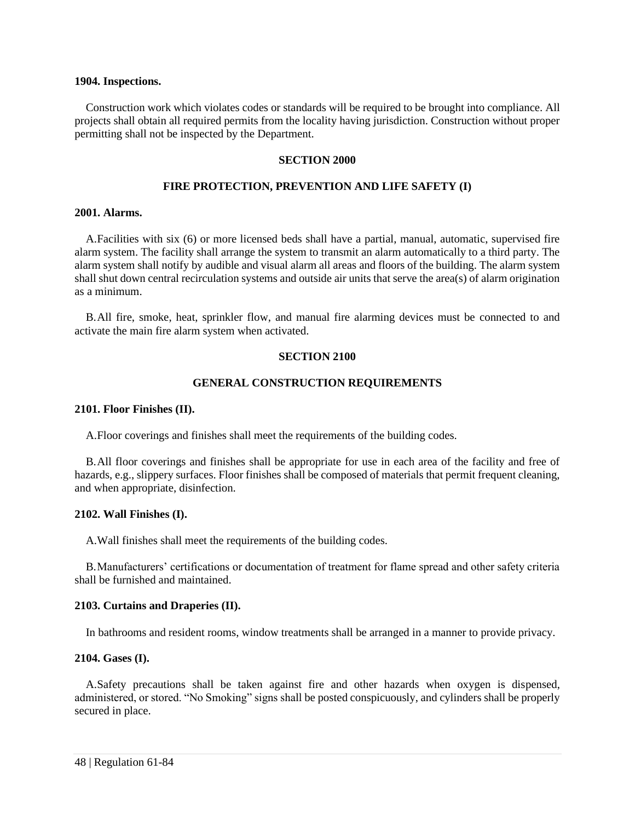#### **1904. Inspections.**

<span id="page-53-0"></span>Construction work which violates codes or standards will be required to be brought into compliance. All projects shall obtain all required permits from the locality having jurisdiction. Construction without proper permitting shall not be inspected by the Department.

#### **SECTION 2000**

#### **FIRE PROTECTION, PREVENTION AND LIFE SAFETY (I)**

#### <span id="page-53-1"></span>**2001. Alarms.**

A.Facilities with six (6) or more licensed beds shall have a partial, manual, automatic, supervised fire alarm system. The facility shall arrange the system to transmit an alarm automatically to a third party. The alarm system shall notify by audible and visual alarm all areas and floors of the building. The alarm system shall shut down central recirculation systems and outside air units that serve the area(s) of alarm origination as a minimum.

<span id="page-53-2"></span>B.All fire, smoke, heat, sprinkler flow, and manual fire alarming devices must be connected to and activate the main fire alarm system when activated.

#### **SECTION 2100**

#### **GENERAL CONSTRUCTION REQUIREMENTS**

#### <span id="page-53-3"></span>**2101. Floor Finishes (II).**

A.Floor coverings and finishes shall meet the requirements of the building codes.

B.All floor coverings and finishes shall be appropriate for use in each area of the facility and free of hazards, e.g., slippery surfaces. Floor finishes shall be composed of materials that permit frequent cleaning, and when appropriate, disinfection.

#### <span id="page-53-4"></span>**2102. Wall Finishes (I).**

A.Wall finishes shall meet the requirements of the building codes.

B.Manufacturers' certifications or documentation of treatment for flame spread and other safety criteria shall be furnished and maintained.

#### <span id="page-53-5"></span>**2103. Curtains and Draperies (II).**

In bathrooms and resident rooms, window treatments shall be arranged in a manner to provide privacy.

#### <span id="page-53-6"></span>**2104. Gases (I).**

A.Safety precautions shall be taken against fire and other hazards when oxygen is dispensed, administered, or stored. "No Smoking" signs shall be posted conspicuously, and cylinders shall be properly secured in place.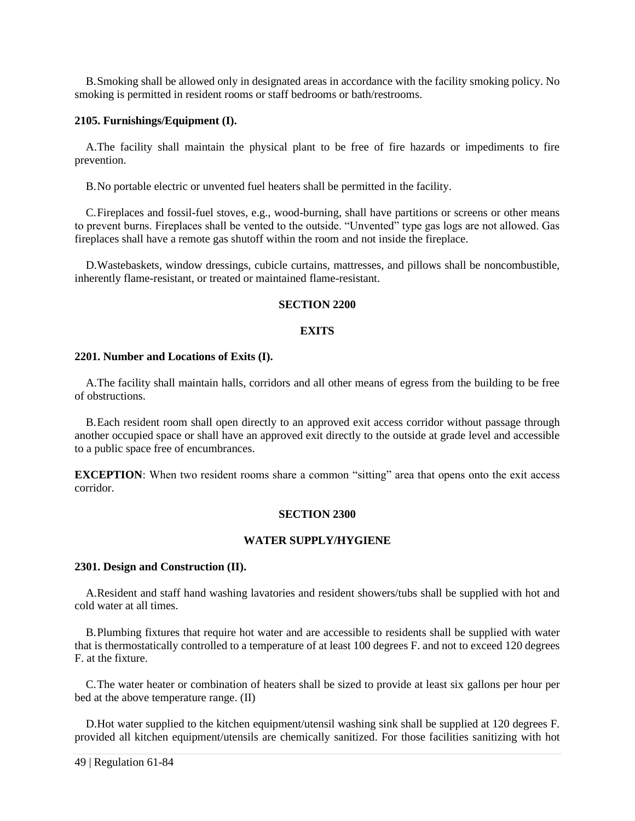B.Smoking shall be allowed only in designated areas in accordance with the facility smoking policy. No smoking is permitted in resident rooms or staff bedrooms or bath/restrooms.

#### <span id="page-54-0"></span>**2105. Furnishings/Equipment (I).**

A.The facility shall maintain the physical plant to be free of fire hazards or impediments to fire prevention.

B.No portable electric or unvented fuel heaters shall be permitted in the facility.

C.Fireplaces and fossil-fuel stoves, e.g., wood-burning, shall have partitions or screens or other means to prevent burns. Fireplaces shall be vented to the outside. "Unvented" type gas logs are not allowed. Gas fireplaces shall have a remote gas shutoff within the room and not inside the fireplace.

<span id="page-54-1"></span>D.Wastebaskets, window dressings, cubicle curtains, mattresses, and pillows shall be noncombustible, inherently flame-resistant, or treated or maintained flame-resistant.

#### **SECTION 2200**

# **EXITS**

#### <span id="page-54-2"></span>**2201. Number and Locations of Exits (I).**

A.The facility shall maintain halls, corridors and all other means of egress from the building to be free of obstructions.

B.Each resident room shall open directly to an approved exit access corridor without passage through another occupied space or shall have an approved exit directly to the outside at grade level and accessible to a public space free of encumbrances.

<span id="page-54-3"></span>**EXCEPTION**: When two resident rooms share a common "sitting" area that opens onto the exit access corridor.

#### **SECTION 2300**

#### **WATER SUPPLY/HYGIENE**

#### <span id="page-54-4"></span>**2301. Design and Construction (II).**

A.Resident and staff hand washing lavatories and resident showers/tubs shall be supplied with hot and cold water at all times.

B.Plumbing fixtures that require hot water and are accessible to residents shall be supplied with water that is thermostatically controlled to a temperature of at least 100 degrees F. and not to exceed 120 degrees F. at the fixture.

C.The water heater or combination of heaters shall be sized to provide at least six gallons per hour per bed at the above temperature range. (II)

D.Hot water supplied to the kitchen equipment/utensil washing sink shall be supplied at 120 degrees F. provided all kitchen equipment/utensils are chemically sanitized. For those facilities sanitizing with hot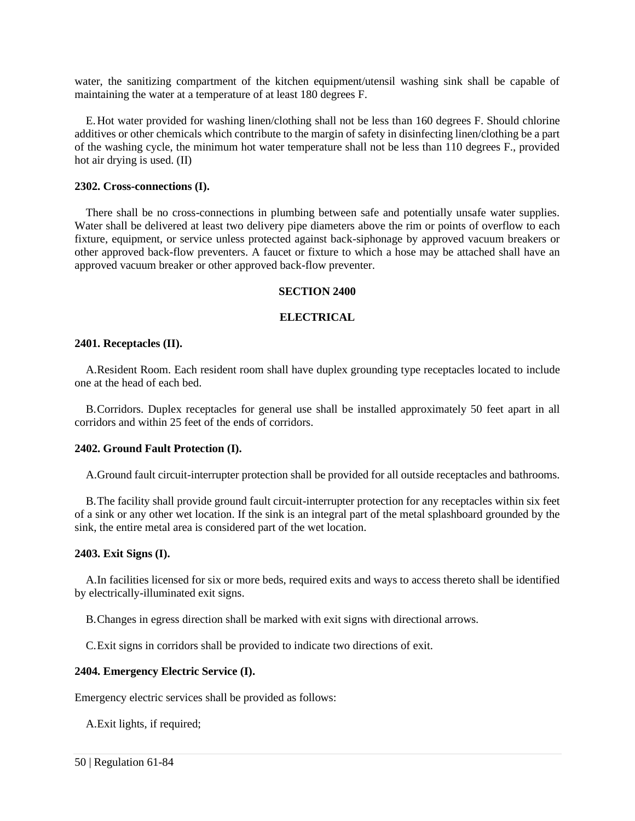water, the sanitizing compartment of the kitchen equipment/utensil washing sink shall be capable of maintaining the water at a temperature of at least 180 degrees F.

E.Hot water provided for washing linen/clothing shall not be less than 160 degrees F. Should chlorine additives or other chemicals which contribute to the margin of safety in disinfecting linen/clothing be a part of the washing cycle, the minimum hot water temperature shall not be less than 110 degrees F., provided hot air drying is used. (II)

#### <span id="page-55-0"></span>**2302. Cross-connections (I).**

There shall be no cross-connections in plumbing between safe and potentially unsafe water supplies. Water shall be delivered at least two delivery pipe diameters above the rim or points of overflow to each fixture, equipment, or service unless protected against back-siphonage by approved vacuum breakers or other approved back-flow preventers. A faucet or fixture to which a hose may be attached shall have an approved vacuum breaker or other approved back-flow preventer.

#### **SECTION 2400**

#### **ELECTRICAL**

#### <span id="page-55-2"></span><span id="page-55-1"></span>**2401. Receptacles (II).**

A.Resident Room. Each resident room shall have duplex grounding type receptacles located to include one at the head of each bed.

B.Corridors. Duplex receptacles for general use shall be installed approximately 50 feet apart in all corridors and within 25 feet of the ends of corridors.

#### <span id="page-55-3"></span>**2402. Ground Fault Protection (I).**

A.Ground fault circuit-interrupter protection shall be provided for all outside receptacles and bathrooms.

B.The facility shall provide ground fault circuit-interrupter protection for any receptacles within six feet of a sink or any other wet location. If the sink is an integral part of the metal splashboard grounded by the sink, the entire metal area is considered part of the wet location.

#### <span id="page-55-4"></span>**2403. Exit Signs (I).**

A.In facilities licensed for six or more beds, required exits and ways to access thereto shall be identified by electrically-illuminated exit signs.

B.Changes in egress direction shall be marked with exit signs with directional arrows.

C.Exit signs in corridors shall be provided to indicate two directions of exit.

#### <span id="page-55-5"></span>**2404. Emergency Electric Service (I).**

Emergency electric services shall be provided as follows:

A.Exit lights, if required;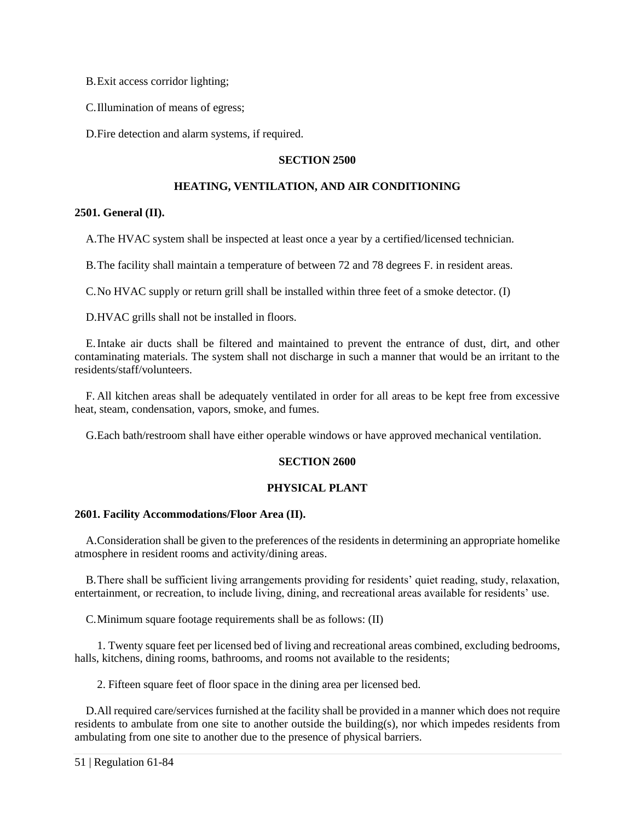B.Exit access corridor lighting;

C.Illumination of means of egress;

<span id="page-56-0"></span>D.Fire detection and alarm systems, if required.

# **SECTION 2500**

# **HEATING, VENTILATION, AND AIR CONDITIONING**

# <span id="page-56-1"></span>**2501. General (II).**

A.The HVAC system shall be inspected at least once a year by a certified/licensed technician.

B.The facility shall maintain a temperature of between 72 and 78 degrees F. in resident areas.

C.No HVAC supply or return grill shall be installed within three feet of a smoke detector. (I)

D.HVAC grills shall not be installed in floors.

E.Intake air ducts shall be filtered and maintained to prevent the entrance of dust, dirt, and other contaminating materials. The system shall not discharge in such a manner that would be an irritant to the residents/staff/volunteers.

F. All kitchen areas shall be adequately ventilated in order for all areas to be kept free from excessive heat, steam, condensation, vapors, smoke, and fumes.

<span id="page-56-2"></span>G.Each bath/restroom shall have either operable windows or have approved mechanical ventilation.

#### **SECTION 2600**

# **PHYSICAL PLANT**

#### <span id="page-56-3"></span>**2601. Facility Accommodations/Floor Area (II).**

A.Consideration shall be given to the preferences of the residents in determining an appropriate homelike atmosphere in resident rooms and activity/dining areas.

B.There shall be sufficient living arrangements providing for residents' quiet reading, study, relaxation, entertainment, or recreation, to include living, dining, and recreational areas available for residents' use.

C.Minimum square footage requirements shall be as follows: (II)

1. Twenty square feet per licensed bed of living and recreational areas combined, excluding bedrooms, halls, kitchens, dining rooms, bathrooms, and rooms not available to the residents;

2. Fifteen square feet of floor space in the dining area per licensed bed.

D.All required care/services furnished at the facility shall be provided in a manner which does not require residents to ambulate from one site to another outside the building(s), nor which impedes residents from ambulating from one site to another due to the presence of physical barriers.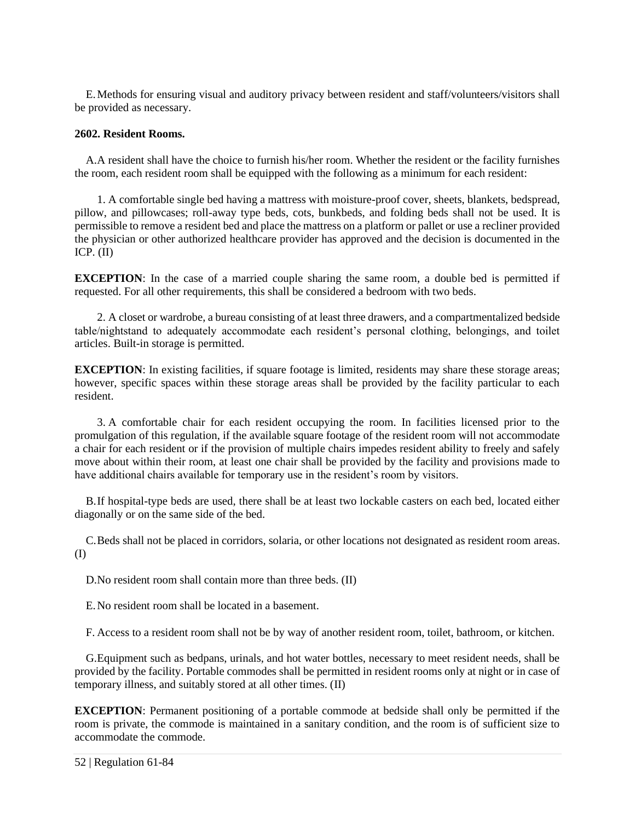E.Methods for ensuring visual and auditory privacy between resident and staff/volunteers/visitors shall be provided as necessary.

# <span id="page-57-0"></span>**2602. Resident Rooms.**

A.A resident shall have the choice to furnish his/her room. Whether the resident or the facility furnishes the room, each resident room shall be equipped with the following as a minimum for each resident:

1. A comfortable single bed having a mattress with moisture-proof cover, sheets, blankets, bedspread, pillow, and pillowcases; roll-away type beds, cots, bunkbeds, and folding beds shall not be used. It is permissible to remove a resident bed and place the mattress on a platform or pallet or use a recliner provided the physician or other authorized healthcare provider has approved and the decision is documented in the ICP.  $(II)$ 

**EXCEPTION**: In the case of a married couple sharing the same room, a double bed is permitted if requested. For all other requirements, this shall be considered a bedroom with two beds.

2. A closet or wardrobe, a bureau consisting of at least three drawers, and a compartmentalized bedside table/nightstand to adequately accommodate each resident's personal clothing, belongings, and toilet articles. Built-in storage is permitted.

**EXCEPTION**: In existing facilities, if square footage is limited, residents may share these storage areas; however, specific spaces within these storage areas shall be provided by the facility particular to each resident.

3. A comfortable chair for each resident occupying the room. In facilities licensed prior to the promulgation of this regulation, if the available square footage of the resident room will not accommodate a chair for each resident or if the provision of multiple chairs impedes resident ability to freely and safely move about within their room, at least one chair shall be provided by the facility and provisions made to have additional chairs available for temporary use in the resident's room by visitors.

B.If hospital-type beds are used, there shall be at least two lockable casters on each bed, located either diagonally or on the same side of the bed.

C.Beds shall not be placed in corridors, solaria, or other locations not designated as resident room areas. (I)

D.No resident room shall contain more than three beds. (II)

E.No resident room shall be located in a basement.

F. Access to a resident room shall not be by way of another resident room, toilet, bathroom, or kitchen.

G.Equipment such as bedpans, urinals, and hot water bottles, necessary to meet resident needs, shall be provided by the facility. Portable commodes shall be permitted in resident rooms only at night or in case of temporary illness, and suitably stored at all other times. (II)

**EXCEPTION**: Permanent positioning of a portable commode at bedside shall only be permitted if the room is private, the commode is maintained in a sanitary condition, and the room is of sufficient size to accommodate the commode.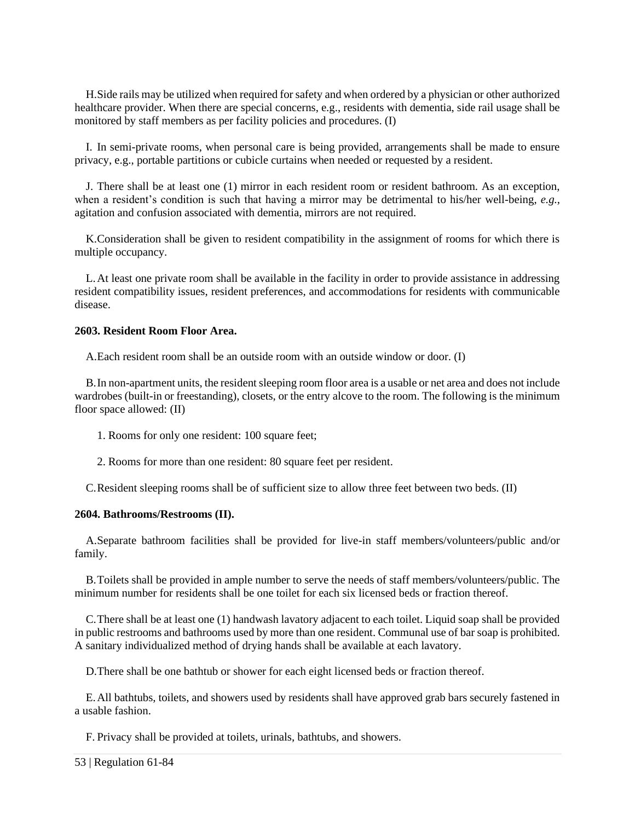H.Side rails may be utilized when required for safety and when ordered by a physician or other authorized healthcare provider. When there are special concerns, e.g., residents with dementia, side rail usage shall be monitored by staff members as per facility policies and procedures. (I)

I. In semi-private rooms, when personal care is being provided, arrangements shall be made to ensure privacy, e.g., portable partitions or cubicle curtains when needed or requested by a resident.

J. There shall be at least one (1) mirror in each resident room or resident bathroom. As an exception, when a resident's condition is such that having a mirror may be detrimental to his/her well-being, *e.g.*, agitation and confusion associated with dementia, mirrors are not required.

K.Consideration shall be given to resident compatibility in the assignment of rooms for which there is multiple occupancy.

L.At least one private room shall be available in the facility in order to provide assistance in addressing resident compatibility issues, resident preferences, and accommodations for residents with communicable disease.

# <span id="page-58-0"></span>**2603. Resident Room Floor Area.**

A.Each resident room shall be an outside room with an outside window or door. (I)

B.In non-apartment units, the resident sleeping room floor area is a usable or net area and does not include wardrobes (built-in or freestanding), closets, or the entry alcove to the room. The following is the minimum floor space allowed: (II)

- 1. Rooms for only one resident: 100 square feet;
- 2. Rooms for more than one resident: 80 square feet per resident.

C.Resident sleeping rooms shall be of sufficient size to allow three feet between two beds. (II)

#### <span id="page-58-1"></span>**2604. Bathrooms/Restrooms (II).**

A.Separate bathroom facilities shall be provided for live-in staff members/volunteers/public and/or family.

B.Toilets shall be provided in ample number to serve the needs of staff members/volunteers/public. The minimum number for residents shall be one toilet for each six licensed beds or fraction thereof.

C.There shall be at least one (1) handwash lavatory adjacent to each toilet. Liquid soap shall be provided in public restrooms and bathrooms used by more than one resident. Communal use of bar soap is prohibited. A sanitary individualized method of drying hands shall be available at each lavatory.

D.There shall be one bathtub or shower for each eight licensed beds or fraction thereof.

E.All bathtubs, toilets, and showers used by residents shall have approved grab bars securely fastened in a usable fashion.

F. Privacy shall be provided at toilets, urinals, bathtubs, and showers.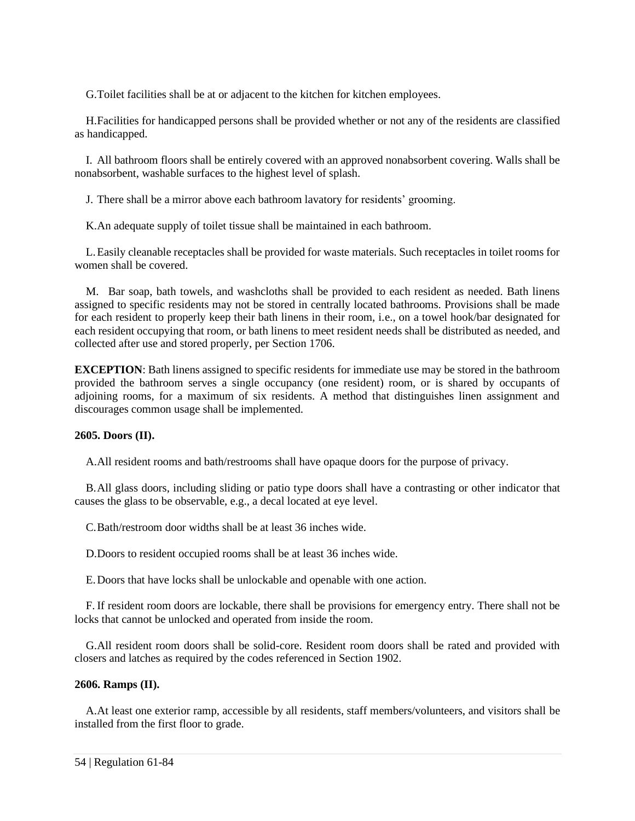G.Toilet facilities shall be at or adjacent to the kitchen for kitchen employees.

H.Facilities for handicapped persons shall be provided whether or not any of the residents are classified as handicapped.

I. All bathroom floors shall be entirely covered with an approved nonabsorbent covering. Walls shall be nonabsorbent, washable surfaces to the highest level of splash.

J. There shall be a mirror above each bathroom lavatory for residents' grooming.

K.An adequate supply of toilet tissue shall be maintained in each bathroom.

L.Easily cleanable receptacles shall be provided for waste materials. Such receptacles in toilet rooms for women shall be covered.

M. Bar soap, bath towels, and washcloths shall be provided to each resident as needed. Bath linens assigned to specific residents may not be stored in centrally located bathrooms. Provisions shall be made for each resident to properly keep their bath linens in their room, i.e., on a towel hook/bar designated for each resident occupying that room, or bath linens to meet resident needs shall be distributed as needed, and collected after use and stored properly, per Section 1706.

**EXCEPTION**: Bath linens assigned to specific residents for immediate use may be stored in the bathroom provided the bathroom serves a single occupancy (one resident) room, or is shared by occupants of adjoining rooms, for a maximum of six residents. A method that distinguishes linen assignment and discourages common usage shall be implemented.

# <span id="page-59-0"></span>**2605. Doors (II).**

A.All resident rooms and bath/restrooms shall have opaque doors for the purpose of privacy.

B.All glass doors, including sliding or patio type doors shall have a contrasting or other indicator that causes the glass to be observable, e.g., a decal located at eye level.

C.Bath/restroom door widths shall be at least 36 inches wide.

D.Doors to resident occupied rooms shall be at least 36 inches wide.

E.Doors that have locks shall be unlockable and openable with one action.

F. If resident room doors are lockable, there shall be provisions for emergency entry. There shall not be locks that cannot be unlocked and operated from inside the room.

G.All resident room doors shall be solid-core. Resident room doors shall be rated and provided with closers and latches as required by the codes referenced in Section 1902.

# <span id="page-59-1"></span>**2606. Ramps (II).**

A.At least one exterior ramp, accessible by all residents, staff members/volunteers, and visitors shall be installed from the first floor to grade.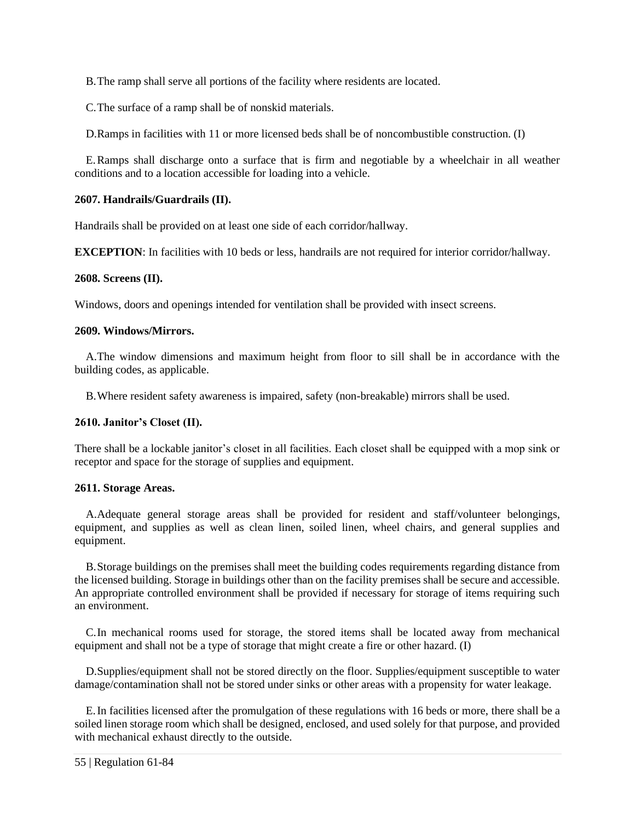B.The ramp shall serve all portions of the facility where residents are located.

C.The surface of a ramp shall be of nonskid materials.

D.Ramps in facilities with 11 or more licensed beds shall be of noncombustible construction. (I)

E.Ramps shall discharge onto a surface that is firm and negotiable by a wheelchair in all weather conditions and to a location accessible for loading into a vehicle.

# <span id="page-60-0"></span>**2607. Handrails/Guardrails (II).**

Handrails shall be provided on at least one side of each corridor/hallway.

**EXCEPTION**: In facilities with 10 beds or less, handrails are not required for interior corridor/hallway.

# <span id="page-60-1"></span>**2608. Screens (II).**

Windows, doors and openings intended for ventilation shall be provided with insect screens.

# <span id="page-60-2"></span>**2609. Windows/Mirrors.**

A.The window dimensions and maximum height from floor to sill shall be in accordance with the building codes, as applicable.

B.Where resident safety awareness is impaired, safety (non-breakable) mirrors shall be used.

# <span id="page-60-3"></span>**2610. Janitor's Closet (II).**

There shall be a lockable janitor's closet in all facilities. Each closet shall be equipped with a mop sink or receptor and space for the storage of supplies and equipment.

# <span id="page-60-4"></span>**2611. Storage Areas.**

A.Adequate general storage areas shall be provided for resident and staff/volunteer belongings, equipment, and supplies as well as clean linen, soiled linen, wheel chairs, and general supplies and equipment.

B.Storage buildings on the premises shall meet the building codes requirements regarding distance from the licensed building. Storage in buildings other than on the facility premises shall be secure and accessible. An appropriate controlled environment shall be provided if necessary for storage of items requiring such an environment.

C.In mechanical rooms used for storage, the stored items shall be located away from mechanical equipment and shall not be a type of storage that might create a fire or other hazard. (I)

D.Supplies/equipment shall not be stored directly on the floor. Supplies/equipment susceptible to water damage/contamination shall not be stored under sinks or other areas with a propensity for water leakage.

E.In facilities licensed after the promulgation of these regulations with 16 beds or more, there shall be a soiled linen storage room which shall be designed, enclosed, and used solely for that purpose, and provided with mechanical exhaust directly to the outside.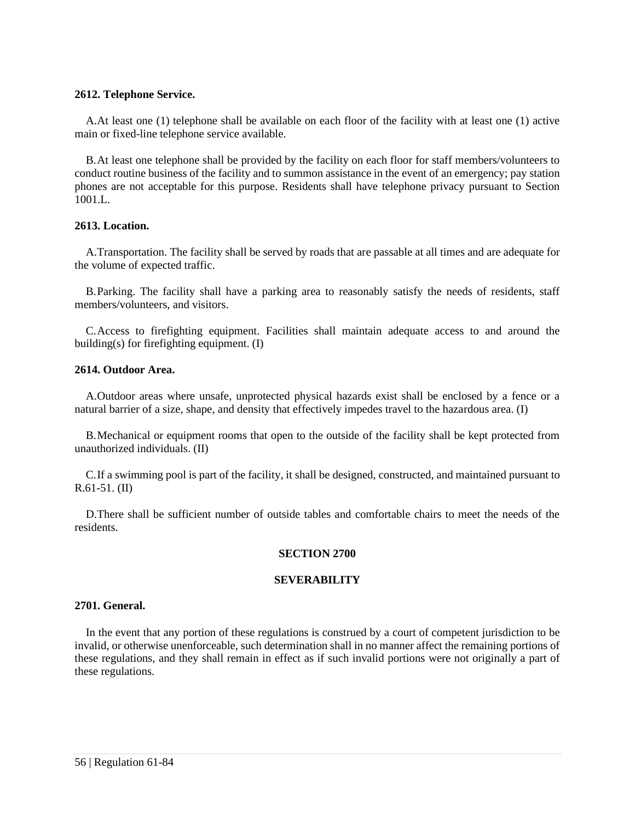#### <span id="page-61-0"></span>**2612. Telephone Service.**

A.At least one (1) telephone shall be available on each floor of the facility with at least one (1) active main or fixed-line telephone service available.

B.At least one telephone shall be provided by the facility on each floor for staff members/volunteers to conduct routine business of the facility and to summon assistance in the event of an emergency; pay station phones are not acceptable for this purpose. Residents shall have telephone privacy pursuant to Section 1001.L.

# <span id="page-61-1"></span>**2613. Location.**

A.Transportation. The facility shall be served by roads that are passable at all times and are adequate for the volume of expected traffic.

B.Parking. The facility shall have a parking area to reasonably satisfy the needs of residents, staff members/volunteers, and visitors.

C.Access to firefighting equipment. Facilities shall maintain adequate access to and around the building(s) for firefighting equipment. (I)

# <span id="page-61-2"></span>**2614. Outdoor Area.**

A.Outdoor areas where unsafe, unprotected physical hazards exist shall be enclosed by a fence or a natural barrier of a size, shape, and density that effectively impedes travel to the hazardous area. (I)

B.Mechanical or equipment rooms that open to the outside of the facility shall be kept protected from unauthorized individuals. (II)

C.If a swimming pool is part of the facility, it shall be designed, constructed, and maintained pursuant to R.61-51. (II)

<span id="page-61-3"></span>D.There shall be sufficient number of outside tables and comfortable chairs to meet the needs of the residents.

#### **SECTION 2700**

#### **SEVERABILITY**

#### <span id="page-61-4"></span>**2701. General.**

<span id="page-61-5"></span>In the event that any portion of these regulations is construed by a court of competent jurisdiction to be invalid, or otherwise unenforceable, such determination shall in no manner affect the remaining portions of these regulations, and they shall remain in effect as if such invalid portions were not originally a part of these regulations.